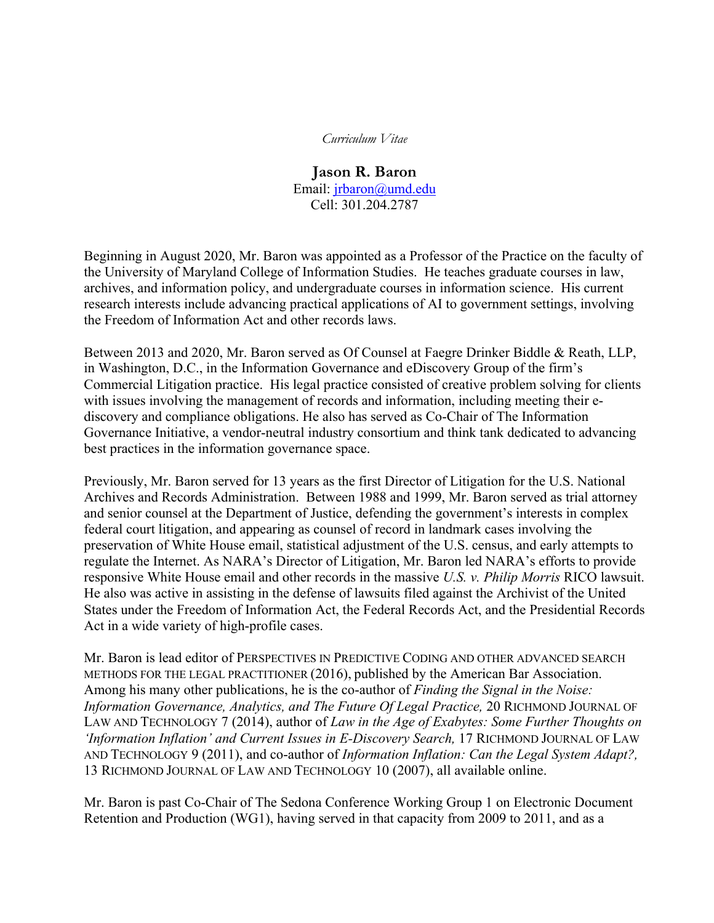*Curriculum Vitae*

**Jason R. Baron** Email: jrbaron@umd.edu Cell: 301.204.2787

Beginning in August 2020, Mr. Baron was appointed as a Professor of the Practice on the faculty of the University of Maryland College of Information Studies. He teaches graduate courses in law, archives, and information policy, and undergraduate courses in information science. His current research interests include advancing practical applications of AI to government settings, involving the Freedom of Information Act and other records laws.

Between 2013 and 2020, Mr. Baron served as Of Counsel at Faegre Drinker Biddle & Reath, LLP, in Washington, D.C., in the Information Governance and eDiscovery Group of the firm's Commercial Litigation practice. His legal practice consisted of creative problem solving for clients with issues involving the management of records and information, including meeting their ediscovery and compliance obligations. He also has served as Co-Chair of The Information Governance Initiative, a vendor-neutral industry consortium and think tank dedicated to advancing best practices in the information governance space.

Previously, Mr. Baron served for 13 years as the first Director of Litigation for the U.S. National Archives and Records Administration. Between 1988 and 1999, Mr. Baron served as trial attorney and senior counsel at the Department of Justice, defending the government's interests in complex federal court litigation, and appearing as counsel of record in landmark cases involving the preservation of White House email, statistical adjustment of the U.S. census, and early attempts to regulate the Internet. As NARA's Director of Litigation, Mr. Baron led NARA's efforts to provide responsive White House email and other records in the massive *U.S. v. Philip Morris* RICO lawsuit. He also was active in assisting in the defense of lawsuits filed against the Archivist of the United States under the Freedom of Information Act, the Federal Records Act, and the Presidential Records Act in a wide variety of high-profile cases.

Mr. Baron is lead editor of PERSPECTIVES IN PREDICTIVE CODING AND OTHER ADVANCED SEARCH METHODS FOR THE LEGAL PRACTITIONER (2016), published by the American Bar Association. Among his many other publications, he is the co-author of *Finding the Signal in the Noise: Information Governance, Analytics, and The Future Of Legal Practice,* 20 RICHMOND JOURNAL OF LAW AND TECHNOLOGY 7 (2014), author of *Law in the Age of Exabytes: Some Further Thoughts on 'Information Inflation' and Current Issues in E-Discovery Search,* 17 RICHMOND JOURNAL OF LAW AND TECHNOLOGY 9 (2011), and co-author of *Information Inflation: Can the Legal System Adapt?,*  13 RICHMOND JOURNAL OF LAW AND TECHNOLOGY 10 (2007), all available online.

Mr. Baron is past Co-Chair of The Sedona Conference Working Group 1 on Electronic Document Retention and Production (WG1), having served in that capacity from 2009 to 2011, and as a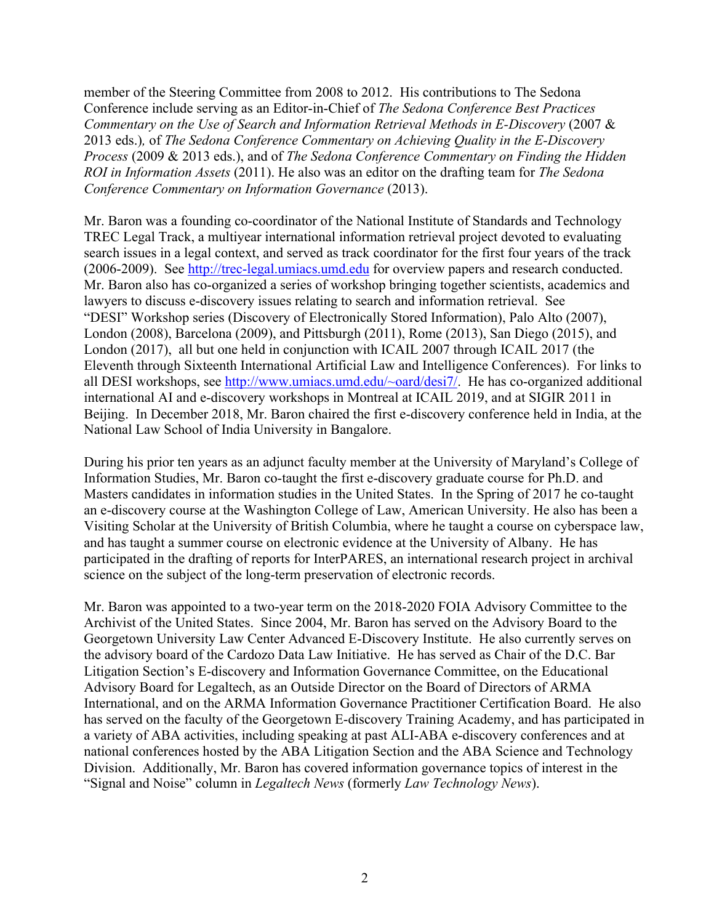member of the Steering Committee from 2008 to 2012. His contributions to The Sedona Conference include serving as an Editor-in-Chief of *The Sedona Conference Best Practices Commentary on the Use of Search and Information Retrieval Methods in E-Discovery* (2007 & 2013 eds.)*,* of *The Sedona Conference Commentary on Achieving Quality in the E-Discovery Process* (2009 & 2013 eds.), and of *The Sedona Conference Commentary on Finding the Hidden ROI in Information Assets* (2011). He also was an editor on the drafting team for *The Sedona Conference Commentary on Information Governance* (2013).

Mr. Baron was a founding co-coordinator of the National Institute of Standards and Technology TREC Legal Track, a multiyear international information retrieval project devoted to evaluating search issues in a legal context, and served as track coordinator for the first four years of the track (2006-2009). See http://trec-legal.umiacs.umd.edu for overview papers and research conducted. Mr. Baron also has co-organized a series of workshop bringing together scientists, academics and lawyers to discuss e-discovery issues relating to search and information retrieval. See "DESI" Workshop series (Discovery of Electronically Stored Information), Palo Alto (2007), London (2008), Barcelona (2009), and Pittsburgh (2011), Rome (2013), San Diego (2015), and London (2017), all but one held in conjunction with ICAIL 2007 through ICAIL 2017 (the Eleventh through Sixteenth International Artificial Law and Intelligence Conferences). For links to all DESI workshops, see http://www.umiacs.umd.edu/~oard/desi7/. He has co-organized additional international AI and e-discovery workshops in Montreal at ICAIL 2019, and at SIGIR 2011 in Beijing. In December 2018, Mr. Baron chaired the first e-discovery conference held in India, at the National Law School of India University in Bangalore.

During his prior ten years as an adjunct faculty member at the University of Maryland's College of Information Studies, Mr. Baron co-taught the first e-discovery graduate course for Ph.D. and Masters candidates in information studies in the United States. In the Spring of 2017 he co-taught an e-discovery course at the Washington College of Law, American University. He also has been a Visiting Scholar at the University of British Columbia, where he taught a course on cyberspace law, and has taught a summer course on electronic evidence at the University of Albany. He has participated in the drafting of reports for InterPARES, an international research project in archival science on the subject of the long-term preservation of electronic records.

Mr. Baron was appointed to a two-year term on the 2018-2020 FOIA Advisory Committee to the Archivist of the United States. Since 2004, Mr. Baron has served on the Advisory Board to the Georgetown University Law Center Advanced E-Discovery Institute. He also currently serves on the advisory board of the Cardozo Data Law Initiative. He has served as Chair of the D.C. Bar Litigation Section's E-discovery and Information Governance Committee, on the Educational Advisory Board for Legaltech, as an Outside Director on the Board of Directors of ARMA International, and on the ARMA Information Governance Practitioner Certification Board. He also has served on the faculty of the Georgetown E-discovery Training Academy, and has participated in a variety of ABA activities, including speaking at past ALI-ABA e-discovery conferences and at national conferences hosted by the ABA Litigation Section and the ABA Science and Technology Division. Additionally, Mr. Baron has covered information governance topics of interest in the "Signal and Noise" column in *Legaltech News* (formerly *Law Technology News*).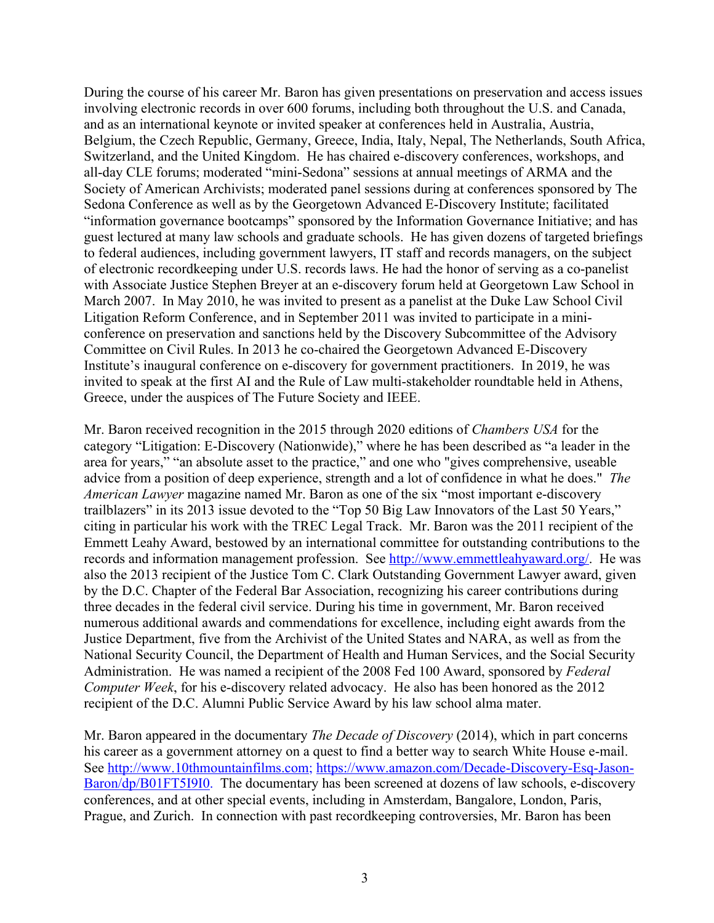During the course of his career Mr. Baron has given presentations on preservation and access issues involving electronic records in over 600 forums, including both throughout the U.S. and Canada, and as an international keynote or invited speaker at conferences held in Australia, Austria, Belgium, the Czech Republic, Germany, Greece, India, Italy, Nepal, The Netherlands, South Africa, Switzerland, and the United Kingdom. He has chaired e-discovery conferences, workshops, and all-day CLE forums; moderated "mini-Sedona" sessions at annual meetings of ARMA and the Society of American Archivists; moderated panel sessions during at conferences sponsored by The Sedona Conference as well as by the Georgetown Advanced E-Discovery Institute; facilitated "information governance bootcamps" sponsored by the Information Governance Initiative; and has guest lectured at many law schools and graduate schools. He has given dozens of targeted briefings to federal audiences, including government lawyers, IT staff and records managers, on the subject of electronic recordkeeping under U.S. records laws. He had the honor of serving as a co-panelist with Associate Justice Stephen Breyer at an e-discovery forum held at Georgetown Law School in March 2007. In May 2010, he was invited to present as a panelist at the Duke Law School Civil Litigation Reform Conference, and in September 2011 was invited to participate in a miniconference on preservation and sanctions held by the Discovery Subcommittee of the Advisory Committee on Civil Rules. In 2013 he co-chaired the Georgetown Advanced E-Discovery Institute's inaugural conference on e-discovery for government practitioners. In 2019, he was invited to speak at the first AI and the Rule of Law multi-stakeholder roundtable held in Athens, Greece, under the auspices of The Future Society and IEEE.

Mr. Baron received recognition in the 2015 through 2020 editions of *Chambers USA* for the category "Litigation: E-Discovery (Nationwide)," where he has been described as "a leader in the area for years," "an absolute asset to the practice," and one who "gives comprehensive, useable advice from a position of deep experience, strength and a lot of confidence in what he does." *The American Lawyer* magazine named Mr. Baron as one of the six "most important e-discovery trailblazers" in its 2013 issue devoted to the "Top 50 Big Law Innovators of the Last 50 Years," citing in particular his work with the TREC Legal Track. Mr. Baron was the 2011 recipient of the Emmett Leahy Award, bestowed by an international committee for outstanding contributions to the records and information management profession. See http://www.emmettleahyaward.org/. He was also the 2013 recipient of the Justice Tom C. Clark Outstanding Government Lawyer award, given by the D.C. Chapter of the Federal Bar Association, recognizing his career contributions during three decades in the federal civil service. During his time in government, Mr. Baron received numerous additional awards and commendations for excellence, including eight awards from the Justice Department, five from the Archivist of the United States and NARA, as well as from the National Security Council, the Department of Health and Human Services, and the Social Security Administration. He was named a recipient of the 2008 Fed 100 Award, sponsored by *Federal Computer Week*, for his e-discovery related advocacy. He also has been honored as the 2012 recipient of the D.C. Alumni Public Service Award by his law school alma mater.

Mr. Baron appeared in the documentary *The Decade of Discovery* (2014), which in part concerns his career as a government attorney on a quest to find a better way to search White House e-mail. See http://www.10thmountainfilms.com; https://www.amazon.com/Decade-Discovery-Esq-Jason-Baron/dp/B01FT5I9I0. The documentary has been screened at dozens of law schools, e-discovery conferences, and at other special events, including in Amsterdam, Bangalore, London, Paris, Prague, and Zurich. In connection with past recordkeeping controversies, Mr. Baron has been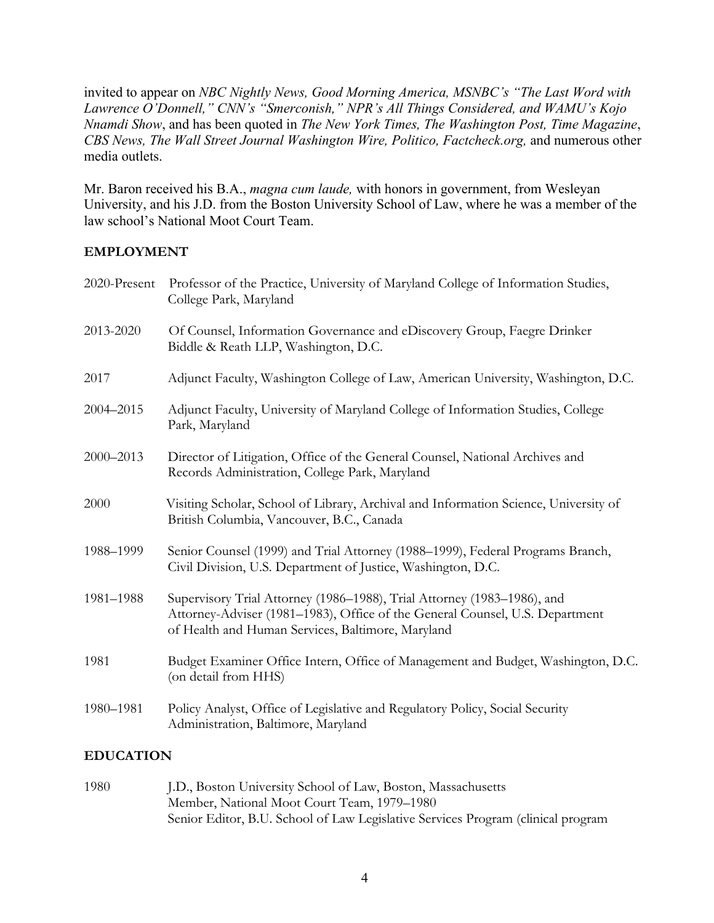invited to appear on *NBC Nightly News, Good Morning America, MSNBC's "The Last Word with Lawrence O'Donnell," CNN's "Smerconish," NPR's All Things Considered, and WAMU's Kojo Nnamdi Show*, and has been quoted in *The New York Times, The Washington Post, Time Magazine*, *CBS News, The Wall Street Journal Washington Wire, Politico, Factcheck.org,* and numerous other media outlets.

Mr. Baron received his B.A., *magna cum laude,* with honors in government, from Wesleyan University, and his J.D. from the Boston University School of Law, where he was a member of the law school's National Moot Court Team.

### **EMPLOYMENT**

| 2020-Present | Professor of the Practice, University of Maryland College of Information Studies,<br>College Park, Maryland                                                                                                  |
|--------------|--------------------------------------------------------------------------------------------------------------------------------------------------------------------------------------------------------------|
| 2013-2020    | Of Counsel, Information Governance and eDiscovery Group, Faegre Drinker<br>Biddle & Reath LLP, Washington, D.C.                                                                                              |
| 2017         | Adjunct Faculty, Washington College of Law, American University, Washington, D.C.                                                                                                                            |
| 2004-2015    | Adjunct Faculty, University of Maryland College of Information Studies, College<br>Park, Maryland                                                                                                            |
| 2000-2013    | Director of Litigation, Office of the General Counsel, National Archives and<br>Records Administration, College Park, Maryland                                                                               |
| 2000         | Visiting Scholar, School of Library, Archival and Information Science, University of<br>British Columbia, Vancouver, B.C., Canada                                                                            |
| 1988-1999    | Senior Counsel (1999) and Trial Attorney (1988–1999), Federal Programs Branch,<br>Civil Division, U.S. Department of Justice, Washington, D.C.                                                               |
| 1981-1988    | Supervisory Trial Attorney (1986–1988), Trial Attorney (1983–1986), and<br>Attorney-Adviser (1981-1983), Office of the General Counsel, U.S. Department<br>of Health and Human Services, Baltimore, Maryland |
| 1981         | Budget Examiner Office Intern, Office of Management and Budget, Washington, D.C.<br>(on detail from HHS)                                                                                                     |
| 1980-1981    | Policy Analyst, Office of Legislative and Regulatory Policy, Social Security<br>Administration, Baltimore, Maryland                                                                                          |

### **EDUCATION**

1980 J.D., Boston University School of Law, Boston, Massachusetts Member, National Moot Court Team, 1979–1980 Senior Editor, B.U. School of Law Legislative Services Program (clinical program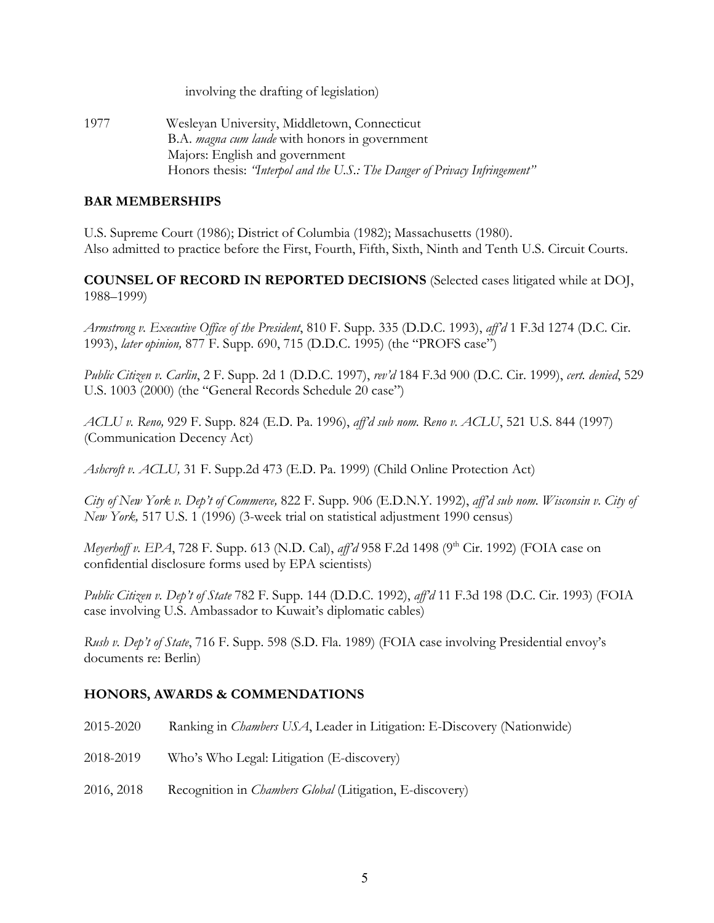involving the drafting of legislation)

1977 Wesleyan University, Middletown, Connecticut B.A. *magna cum laude* with honors in government Majors: English and government Honors thesis: *"Interpol and the U.S.: The Danger of Privacy Infringement"*

## **BAR MEMBERSHIPS**

U.S. Supreme Court (1986); District of Columbia (1982); Massachusetts (1980). Also admitted to practice before the First, Fourth, Fifth, Sixth, Ninth and Tenth U.S. Circuit Courts.

## **COUNSEL OF RECORD IN REPORTED DECISIONS** (Selected cases litigated while at DOJ, 1988–1999)

*Armstrong v. Executive Office of the President*, 810 F. Supp. 335 (D.D.C. 1993), *aff'd* 1 F.3d 1274 (D.C. Cir. 1993), *later opinion,* 877 F. Supp. 690, 715 (D.D.C. 1995) (the "PROFS case")

*Public Citizen v. Carlin*, 2 F. Supp. 2d 1 (D.D.C. 1997), *rev'd* 184 F.3d 900 (D.C. Cir. 1999), *cert. denied*, 529 U.S. 1003 (2000) (the "General Records Schedule 20 case")

*ACLU v. Reno,* 929 F. Supp. 824 (E.D. Pa. 1996), *aff'd sub nom. Reno v. ACLU*, 521 U.S. 844 (1997) (Communication Decency Act)

*Ashcroft v. ACLU,* 31 F. Supp.2d 473 (E.D. Pa. 1999) (Child Online Protection Act)

*City of New York v. Dep't of Commerce,* 822 F. Supp. 906 (E.D.N.Y. 1992), *aff'd sub nom. Wisconsin v. City of New York,* 517 U.S. 1 (1996) (3-week trial on statistical adjustment 1990 census)

*Meyerhoff v. EPA*, 728 F. Supp. 613 (N.D. Cal), *aff'd* 958 F.2d 1498 (9<sup>th</sup> Cir. 1992) (FOIA case on confidential disclosure forms used by EPA scientists)

*Public Citizen v. Dep't of State* 782 F. Supp. 144 (D.D.C. 1992), *aff'd* 11 F.3d 198 (D.C. Cir. 1993) (FOIA case involving U.S. Ambassador to Kuwait's diplomatic cables)

*Rush v. Dep't of State*, 716 F. Supp. 598 (S.D. Fla. 1989) (FOIA case involving Presidential envoy's documents re: Berlin)

# **HONORS, AWARDS & COMMENDATIONS**

2015-2020 Ranking in *Chambers USA*, Leader in Litigation: E-Discovery (Nationwide) 2018-2019 Who's Who Legal: Litigation (E-discovery) 2016, 2018 Recognition in *Chambers Global* (Litigation, E-discovery)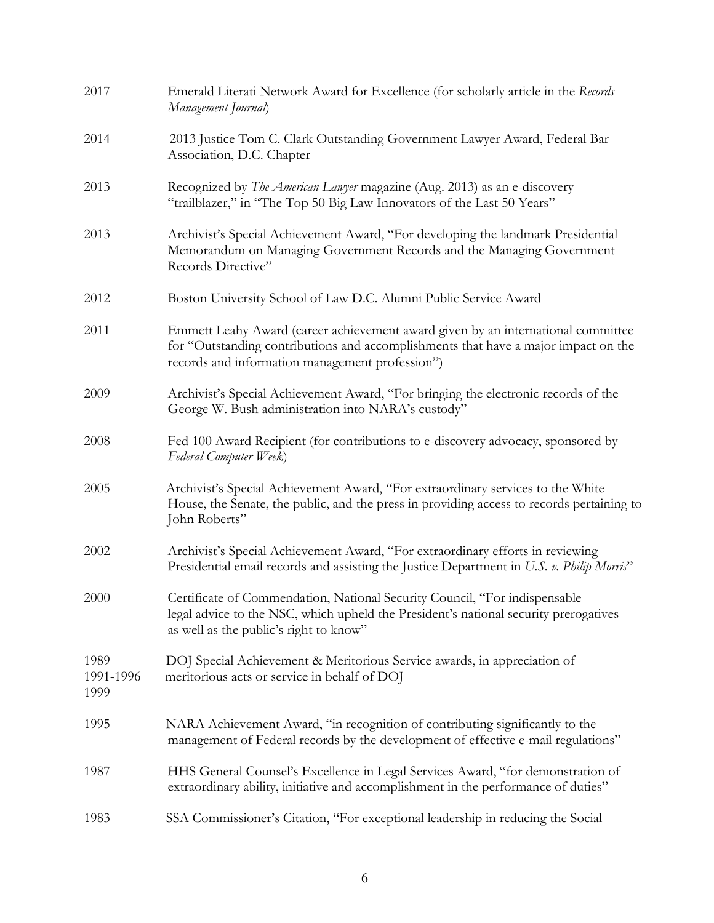| 2017                      | Emerald Literati Network Award for Excellence (for scholarly article in the Records<br>Management Journal)                                                                                                                |
|---------------------------|---------------------------------------------------------------------------------------------------------------------------------------------------------------------------------------------------------------------------|
| 2014                      | 2013 Justice Tom C. Clark Outstanding Government Lawyer Award, Federal Bar<br>Association, D.C. Chapter                                                                                                                   |
| 2013                      | Recognized by The American Lawyer magazine (Aug. 2013) as an e-discovery<br>"trailblazer," in "The Top 50 Big Law Innovators of the Last 50 Years"                                                                        |
| 2013                      | Archivist's Special Achievement Award, "For developing the landmark Presidential<br>Memorandum on Managing Government Records and the Managing Government<br>Records Directive"                                           |
| 2012                      | Boston University School of Law D.C. Alumni Public Service Award                                                                                                                                                          |
| 2011                      | Emmett Leahy Award (career achievement award given by an international committee<br>for "Outstanding contributions and accomplishments that have a major impact on the<br>records and information management profession") |
| 2009                      | Archivist's Special Achievement Award, "For bringing the electronic records of the<br>George W. Bush administration into NARA's custody"                                                                                  |
| 2008                      | Fed 100 Award Recipient (for contributions to e-discovery advocacy, sponsored by<br>Federal Computer Week)                                                                                                                |
| 2005                      | Archivist's Special Achievement Award, "For extraordinary services to the White<br>House, the Senate, the public, and the press in providing access to records pertaining to<br>John Roberts"                             |
| 2002                      | Archivist's Special Achievement Award, "For extraordinary efforts in reviewing<br>Presidential email records and assisting the Justice Department in U.S. v. Philip Morris"                                               |
| 2000                      | Certificate of Commendation, National Security Council, "For indispensable<br>legal advice to the NSC, which upheld the President's national security prerogatives<br>as well as the public's right to know"              |
| 1989<br>1991-1996<br>1999 | DOJ Special Achievement & Meritorious Service awards, in appreciation of<br>meritorious acts or service in behalf of DOJ                                                                                                  |
| 1995                      | NARA Achievement Award, "in recognition of contributing significantly to the<br>management of Federal records by the development of effective e-mail regulations"                                                         |
| 1987                      | HHS General Counsel's Excellence in Legal Services Award, "for demonstration of<br>extraordinary ability, initiative and accomplishment in the performance of duties"                                                     |
| 1983                      | SSA Commissioner's Citation, "For exceptional leadership in reducing the Social                                                                                                                                           |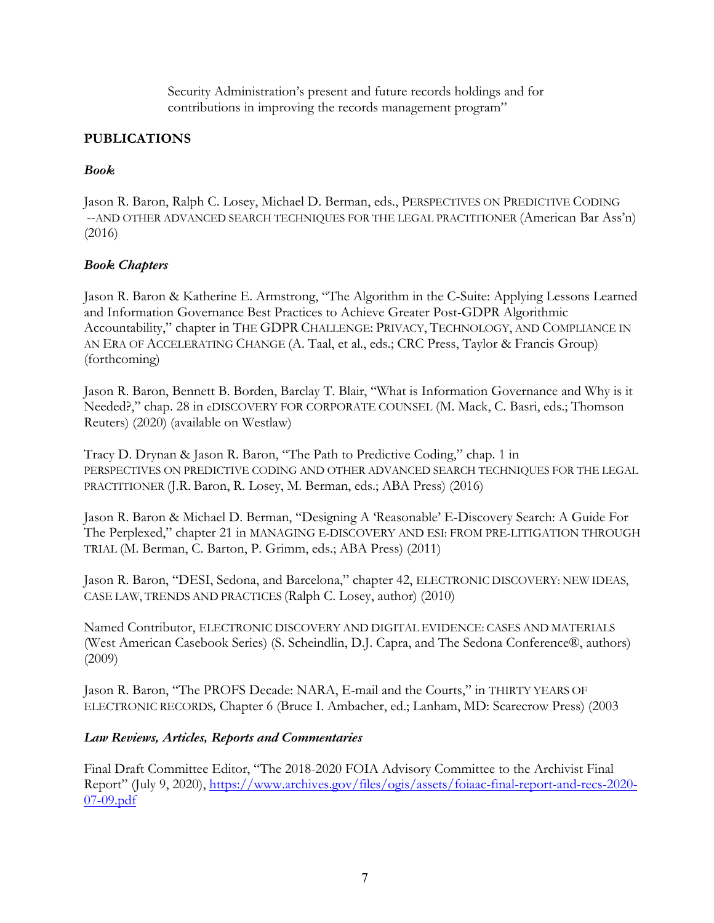Security Administration's present and future records holdings and for contributions in improving the records management program"

# **PUBLICATIONS**

## *Book*

Jason R. Baron, Ralph C. Losey, Michael D. Berman, eds., PERSPECTIVES ON PREDICTIVE CODING --AND OTHER ADVANCED SEARCH TECHNIQUES FOR THE LEGAL PRACTITIONER (American Bar Ass'n) (2016)

## *Book Chapters*

Jason R. Baron & Katherine E. Armstrong, "The Algorithm in the C-Suite: Applying Lessons Learned and Information Governance Best Practices to Achieve Greater Post-GDPR Algorithmic Accountability," chapter in THE GDPR CHALLENGE: PRIVACY, TECHNOLOGY, AND COMPLIANCE IN AN ERA OF ACCELERATING CHANGE (A. Taal, et al., eds.; CRC Press, Taylor & Francis Group) (forthcoming)

Jason R. Baron, Bennett B. Borden, Barclay T. Blair, "What is Information Governance and Why is it Needed?," chap. 28 in eDISCOVERY FOR CORPORATE COUNSEL (M. Mack, C. Basri, eds.; Thomson Reuters) (2020) (available on Westlaw)

Tracy D. Drynan & Jason R. Baron, "The Path to Predictive Coding," chap. 1 in PERSPECTIVES ON PREDICTIVE CODING AND OTHER ADVANCED SEARCH TECHNIQUES FOR THE LEGAL PRACTITIONER (J.R. Baron, R. Losey, M. Berman, eds.; ABA Press) (2016)

Jason R. Baron & Michael D. Berman, "Designing A 'Reasonable' E-Discovery Search: A Guide For The Perplexed," chapter 21 in MANAGING E-DISCOVERY AND ESI: FROM PRE-LITIGATION THROUGH TRIAL (M. Berman, C. Barton, P. Grimm, eds.; ABA Press) (2011)

Jason R. Baron, "DESI, Sedona, and Barcelona," chapter 42, ELECTRONIC DISCOVERY: NEW IDEAS, CASE LAW, TRENDS AND PRACTICES (Ralph C. Losey, author) (2010)

Named Contributor, ELECTRONIC DISCOVERY AND DIGITAL EVIDENCE: CASES AND MATERIALS (West American Casebook Series) (S. Scheindlin, D.J. Capra, and The Sedona Conference®, authors) (2009)

Jason R. Baron, "The PROFS Decade: NARA, E-mail and the Courts," in THIRTY YEARS OF ELECTRONIC RECORDS*,* Chapter 6 (Bruce I. Ambacher, ed.; Lanham, MD: Scarecrow Press) (2003

### *Law Reviews, Articles, Reports and Commentaries*

Final Draft Committee Editor, "The 2018-2020 FOIA Advisory Committee to the Archivist Final Report" (July 9, 2020), https://www.archives.gov/files/ogis/assets/foiaac-final-report-and-recs-2020- 07-09.pdf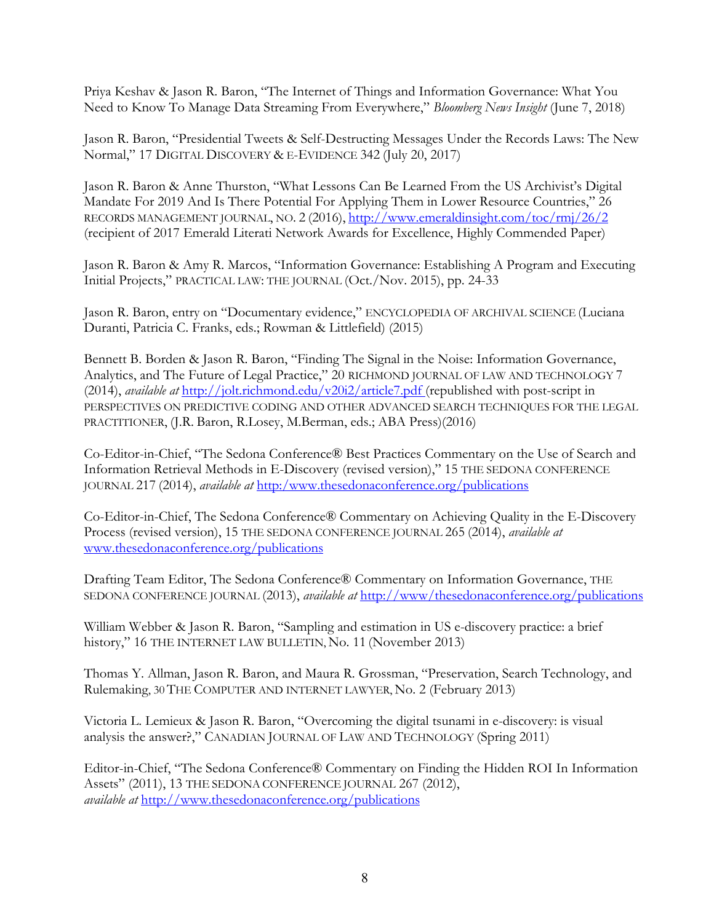Priya Keshav & Jason R. Baron, "The Internet of Things and Information Governance: What You Need to Know To Manage Data Streaming From Everywhere," *Bloomberg News Insight* (June 7, 2018)

Jason R. Baron, "Presidential Tweets & Self-Destructing Messages Under the Records Laws: The New Normal," 17 DIGITAL DISCOVERY & E-EVIDENCE 342 (July 20, 2017)

Jason R. Baron & Anne Thurston, "What Lessons Can Be Learned From the US Archivist's Digital Mandate For 2019 And Is There Potential For Applying Them in Lower Resource Countries," 26 RECORDS MANAGEMENT JOURNAL, NO. 2 (2016), http://www.emeraldinsight.com/toc/rmj/26/2 (recipient of 2017 Emerald Literati Network Awards for Excellence, Highly Commended Paper)

Jason R. Baron & Amy R. Marcos, "Information Governance: Establishing A Program and Executing Initial Projects," PRACTICAL LAW: THE JOURNAL (Oct./Nov. 2015), pp. 24-33

Jason R. Baron, entry on "Documentary evidence," ENCYCLOPEDIA OF ARCHIVAL SCIENCE (Luciana Duranti, Patricia C. Franks, eds.; Rowman & Littlefield) (2015)

Bennett B. Borden & Jason R. Baron, "Finding The Signal in the Noise: Information Governance, Analytics, and The Future of Legal Practice," 20 RICHMOND JOURNAL OF LAW AND TECHNOLOGY 7 (2014), *available at* http://jolt.richmond.edu/v20i2/article7.pdf (republished with post-script in PERSPECTIVES ON PREDICTIVE CODING AND OTHER ADVANCED SEARCH TECHNIQUES FOR THE LEGAL PRACTITIONER, (J.R. Baron, R.Losey, M.Berman, eds.; ABA Press)(2016)

Co-Editor-in-Chief, "The Sedona Conference® Best Practices Commentary on the Use of Search and Information Retrieval Methods in E-Discovery (revised version)," 15 THE SEDONA CONFERENCE JOURNAL 217 (2014), *available at* http:/www.thesedonaconference.org/publications

Co-Editor-in-Chief, The Sedona Conference® Commentary on Achieving Quality in the E-Discovery Process (revised version), 15 THE SEDONA CONFERENCE JOURNAL 265 (2014), *available at*  www.thesedonaconference.org/publications

Drafting Team Editor, The Sedona Conference® Commentary on Information Governance, THE SEDONA CONFERENCE JOURNAL (2013), *available at* http://www/thesedonaconference.org/publications

William Webber & Jason R. Baron, "Sampling and estimation in US e-discovery practice: a brief history," 16 THE INTERNET LAW BULLETIN, No. 11 (November 2013)

Thomas Y. Allman, Jason R. Baron, and Maura R. Grossman, "Preservation, Search Technology, and Rulemaking, 30 THE COMPUTER AND INTERNET LAWYER, No. 2 (February 2013)

Victoria L. Lemieux & Jason R. Baron, "Overcoming the digital tsunami in e-discovery: is visual analysis the answer?," CANADIAN JOURNAL OF LAW AND TECHNOLOGY (Spring 2011)

Editor-in-Chief, "The Sedona Conference® Commentary on Finding the Hidden ROI In Information Assets" (2011), 13 THE SEDONA CONFERENCE JOURNAL 267 (2012), *available at* http://www.thesedonaconference.org/publications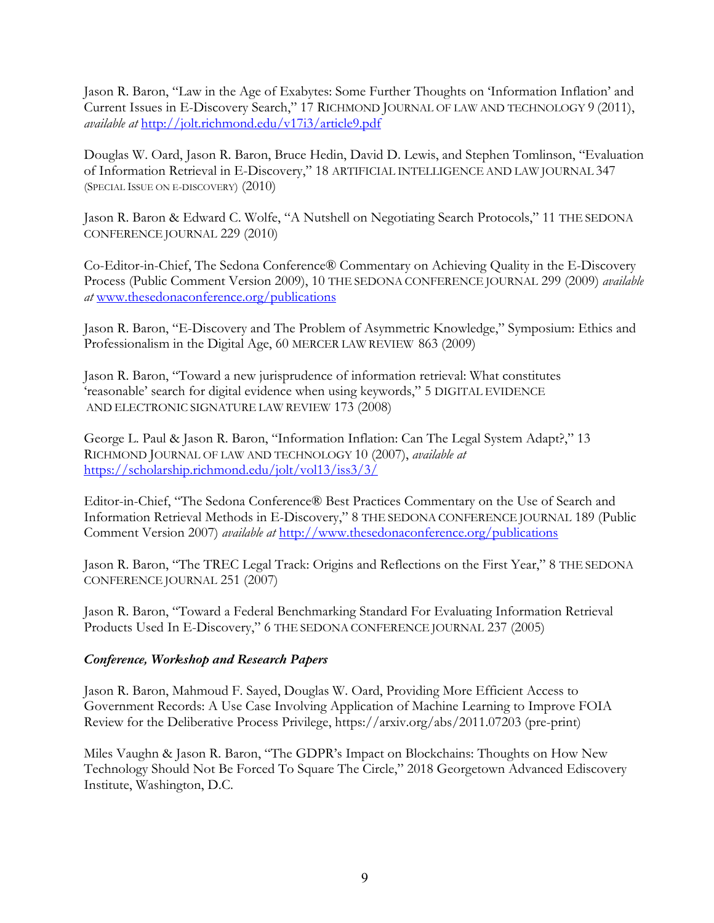Jason R. Baron, "Law in the Age of Exabytes: Some Further Thoughts on 'Information Inflation' and Current Issues in E-Discovery Search," 17 RICHMOND JOURNAL OF LAW AND TECHNOLOGY 9 (2011), *available at* http://jolt.richmond.edu/v17i3/article9.pdf

Douglas W. Oard, Jason R. Baron, Bruce Hedin, David D. Lewis, and Stephen Tomlinson, "Evaluation of Information Retrieval in E-Discovery," 18 ARTIFICIAL INTELLIGENCE AND LAW JOURNAL 347 (SPECIAL ISSUE ON E-DISCOVERY) (2010)

Jason R. Baron & Edward C. Wolfe, "A Nutshell on Negotiating Search Protocols," 11 THE SEDONA CONFERENCE JOURNAL 229 (2010)

Co-Editor-in-Chief, The Sedona Conference® Commentary on Achieving Quality in the E-Discovery Process (Public Comment Version 2009), 10 THE SEDONA CONFERENCE JOURNAL 299 (2009) *available at* www.thesedonaconference.org/publications

Jason R. Baron, "E-Discovery and The Problem of Asymmetric Knowledge," Symposium: Ethics and Professionalism in the Digital Age, 60 MERCER LAW REVIEW 863 (2009)

Jason R. Baron, "Toward a new jurisprudence of information retrieval: What constitutes 'reasonable' search for digital evidence when using keywords," 5 DIGITAL EVIDENCE AND ELECTRONIC SIGNATURE LAW REVIEW 173 (2008)

George L. Paul & Jason R. Baron, "Information Inflation: Can The Legal System Adapt?," 13 RICHMOND JOURNAL OF LAW AND TECHNOLOGY 10 (2007), *available at*  https://scholarship.richmond.edu/jolt/vol13/iss3/3/

Editor-in-Chief, "The Sedona Conference® Best Practices Commentary on the Use of Search and Information Retrieval Methods in E-Discovery," 8 THE SEDONA CONFERENCE JOURNAL 189 (Public Comment Version 2007) *available at* http://www.thesedonaconference.org/publications

Jason R. Baron, "The TREC Legal Track: Origins and Reflections on the First Year," 8 THE SEDONA CONFERENCE JOURNAL 251 (2007)

Jason R. Baron, "Toward a Federal Benchmarking Standard For Evaluating Information Retrieval Products Used In E-Discovery," 6 THE SEDONA CONFERENCE JOURNAL 237 (2005)

### *Conference, Workshop and Research Papers*

Jason R. Baron, Mahmoud F. Sayed, Douglas W. Oard, Providing More Efficient Access to Government Records: A Use Case Involving Application of Machine Learning to Improve FOIA Review for the Deliberative Process Privilege, https://arxiv.org/abs/2011.07203 (pre-print)

Miles Vaughn & Jason R. Baron, "The GDPR's Impact on Blockchains: Thoughts on How New Technology Should Not Be Forced To Square The Circle," 2018 Georgetown Advanced Ediscovery Institute, Washington, D.C.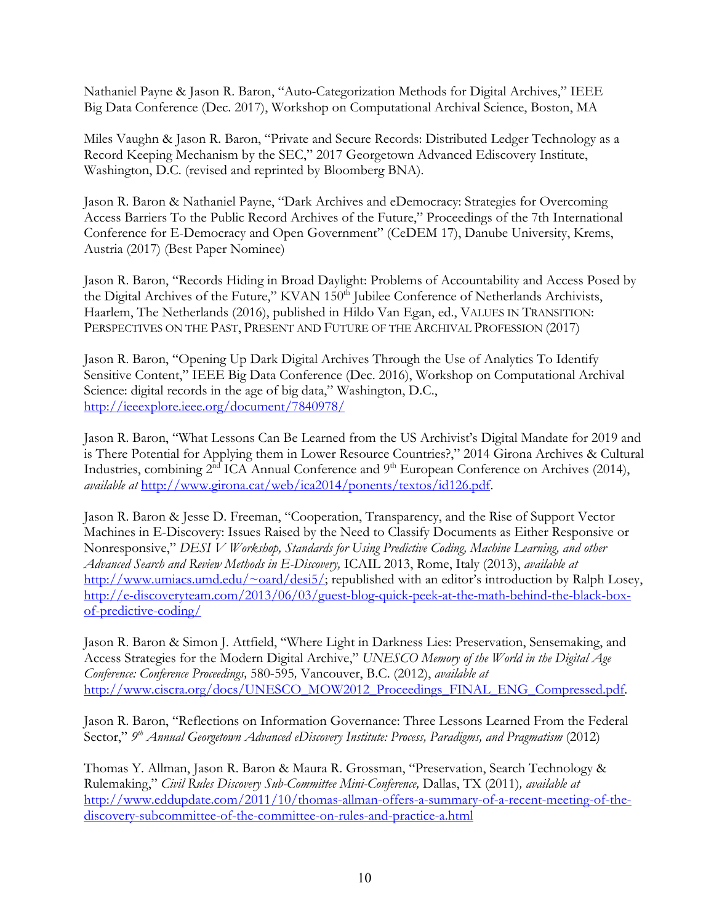Nathaniel Payne & Jason R. Baron, "Auto-Categorization Methods for Digital Archives," IEEE Big Data Conference (Dec. 2017), Workshop on Computational Archival Science, Boston, MA

Miles Vaughn & Jason R. Baron, "Private and Secure Records: Distributed Ledger Technology as a Record Keeping Mechanism by the SEC," 2017 Georgetown Advanced Ediscovery Institute, Washington, D.C. (revised and reprinted by Bloomberg BNA).

Jason R. Baron & Nathaniel Payne, "Dark Archives and eDemocracy: Strategies for Overcoming Access Barriers To the Public Record Archives of the Future," Proceedings of the 7th International Conference for E-Democracy and Open Government" (CeDEM 17), Danube University, Krems, Austria (2017) (Best Paper Nominee)

Jason R. Baron, "Records Hiding in Broad Daylight: Problems of Accountability and Access Posed by the Digital Archives of the Future," KVAN 150<sup>th</sup> Jubilee Conference of Netherlands Archivists, Haarlem, The Netherlands (2016), published in Hildo Van Egan, ed., VALUES IN TRANSITION: PERSPECTIVES ON THE PAST, PRESENT AND FUTURE OF THE ARCHIVAL PROFESSION (2017)

Jason R. Baron, "Opening Up Dark Digital Archives Through the Use of Analytics To Identify Sensitive Content," IEEE Big Data Conference (Dec. 2016), Workshop on Computational Archival Science: digital records in the age of big data," Washington, D.C., http://ieeexplore.ieee.org/document/7840978/

Jason R. Baron, "What Lessons Can Be Learned from the US Archivist's Digital Mandate for 2019 and is There Potential for Applying them in Lower Resource Countries?," 2014 Girona Archives & Cultural Industries, combining 2<sup>nd</sup> ICA Annual Conference and 9<sup>th</sup> European Conference on Archives (2014), *available at* http://www.girona.cat/web/ica2014/ponents/textos/id126.pdf.

Jason R. Baron & Jesse D. Freeman, "Cooperation, Transparency, and the Rise of Support Vector Machines in E-Discovery: Issues Raised by the Need to Classify Documents as Either Responsive or Nonresponsive," *DESI V Workshop, Standards for Using Predictive Coding, Machine Learning, and other Advanced Search and Review Methods in E-Discovery,* ICAIL 2013, Rome, Italy (2013), *available at*  http://www.umiacs.umd.edu/~oard/desi5/; republished with an editor's introduction by Ralph Losey, http://e-discoveryteam.com/2013/06/03/guest-blog-quick-peek-at-the-math-behind-the-black-boxof-predictive-coding/

Jason R. Baron & Simon J. Attfield, "Where Light in Darkness Lies: Preservation, Sensemaking, and Access Strategies for the Modern Digital Archive," *UNESCO Memory of the World in the Digital Age Conference: Conference Proceedings,* 580-595*,* Vancouver, B.C. (2012), *available at*  http://www.ciscra.org/docs/UNESCO\_MOW2012\_Proceedings\_FINAL\_ENG\_Compressed.pdf.

Jason R. Baron, "Reflections on Information Governance: Three Lessons Learned From the Federal Sector," *9th Annual Georgetown Advanced eDiscovery Institute: Process, Paradigms, and Pragmatism* (2012)

Thomas Y. Allman, Jason R. Baron & Maura R. Grossman, "Preservation, Search Technology & Rulemaking," *Civil Rules Discovery Sub-Committee Mini-Conference,* Dallas, TX (2011)*, available at*  http://www.eddupdate.com/2011/10/thomas-allman-offers-a-summary-of-a-recent-meeting-of-thediscovery-subcommittee-of-the-committee-on-rules-and-practice-a.html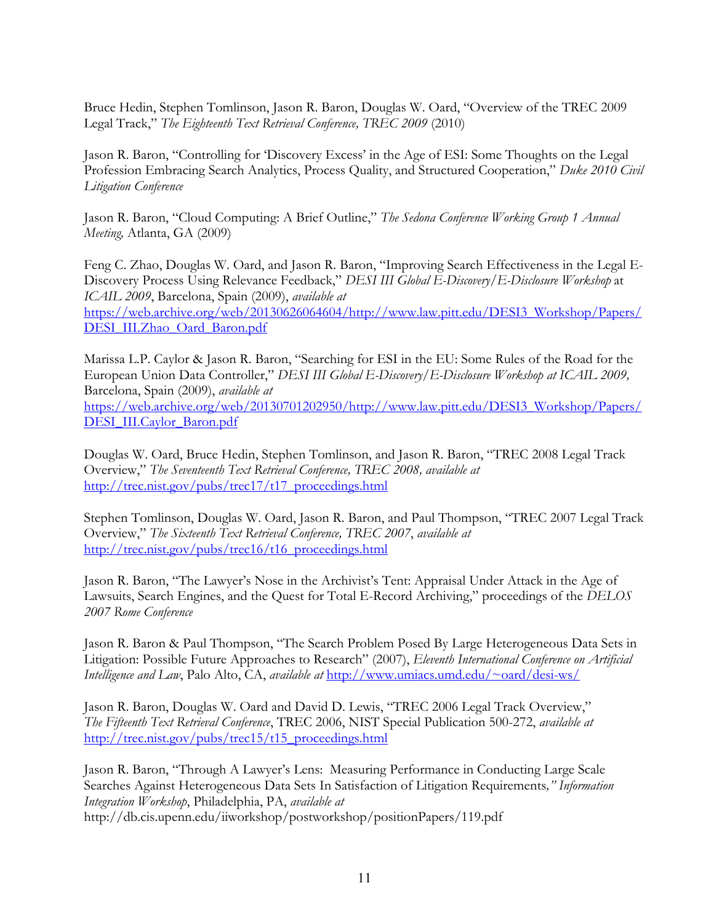Bruce Hedin, Stephen Tomlinson, Jason R. Baron, Douglas W. Oard, "Overview of the TREC 2009 Legal Track," *The Eighteenth Text Retrieval Conference, TREC 2009* (2010)

Jason R. Baron, "Controlling for 'Discovery Excess' in the Age of ESI: Some Thoughts on the Legal Profession Embracing Search Analytics, Process Quality, and Structured Cooperation," *Duke 2010 Civil Litigation Conference*

Jason R. Baron, "Cloud Computing: A Brief Outline," *The Sedona Conference Working Group 1 Annual Meeting,* Atlanta, GA (2009)

Feng C. Zhao, Douglas W. Oard, and Jason R. Baron, "Improving Search Effectiveness in the Legal E-Discovery Process Using Relevance Feedback," *DESI III Global E-Discovery/E-Disclosure Workshop* at *ICAIL 2009*, Barcelona, Spain (2009), *available at* https://web.archive.org/web/20130626064604/http://www.law.pitt.edu/DESI3\_Workshop/Papers/ DESI\_III.Zhao\_Oard\_Baron.pdf

Marissa L.P. Caylor & Jason R. Baron, "Searching for ESI in the EU: Some Rules of the Road for the European Union Data Controller," *DESI III Global E-Discovery/E-Disclosure Workshop at ICAIL 2009,* Barcelona, Spain (2009), *available at*  https://web.archive.org/web/20130701202950/http://www.law.pitt.edu/DESI3\_Workshop/Papers/ DESI\_III.Caylor\_Baron.pdf

Douglas W. Oard, Bruce Hedin, Stephen Tomlinson, and Jason R. Baron, "TREC 2008 Legal Track Overview," *The Seventeenth Text Retrieval Conference, TREC 2008, available at* http://trec.nist.gov/pubs/trec17/t17\_proceedings.html

Stephen Tomlinson, Douglas W. Oard, Jason R. Baron, and Paul Thompson, "TREC 2007 Legal Track Overview," *The Sixteenth Text Retrieval Conference, TREC 2007*, *available at*  http://trec.nist.gov/pubs/trec16/t16\_proceedings.html

Jason R. Baron, "The Lawyer's Nose in the Archivist's Tent: Appraisal Under Attack in the Age of Lawsuits, Search Engines, and the Quest for Total E-Record Archiving," proceedings of the *DELOS 2007 Rome Conference*

Jason R. Baron & Paul Thompson, "The Search Problem Posed By Large Heterogeneous Data Sets in Litigation: Possible Future Approaches to Research" (2007), *Eleventh International Conference on Artificial Intelligence and Law*, Palo Alto, CA, *available at* http://www.umiacs.umd.edu/~oard/desi-ws/

Jason R. Baron, Douglas W. Oard and David D. Lewis, "TREC 2006 Legal Track Overview," *The Fifteenth Text Retrieval Conference*, TREC 2006, NIST Special Publication 500-272, *available at* http://trec.nist.gov/pubs/trec15/t15\_proceedings.html

Jason R. Baron, "Through A Lawyer's Lens: Measuring Performance in Conducting Large Scale Searches Against Heterogeneous Data Sets In Satisfaction of Litigation Requirements*," Information Integration Workshop*, Philadelphia, PA, *available at*  http://db.cis.upenn.edu/iiworkshop/postworkshop/positionPapers/119.pdf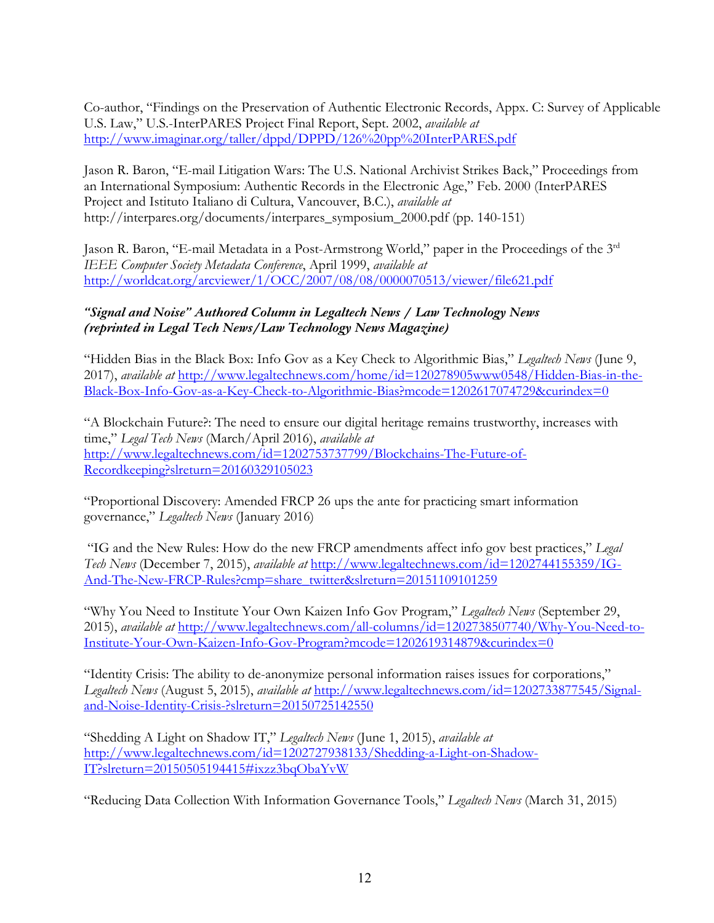Co-author, "Findings on the Preservation of Authentic Electronic Records, Appx. C: Survey of Applicable U.S. Law," U.S.-InterPARES Project Final Report, Sept. 2002, *available at* http://www.imaginar.org/taller/dppd/DPPD/126%20pp%20InterPARES.pdf

Jason R. Baron, "E-mail Litigation Wars: The U.S. National Archivist Strikes Back," Proceedings from an International Symposium: Authentic Records in the Electronic Age," Feb. 2000 (InterPARES Project and Istituto Italiano di Cultura, Vancouver, B.C.), *available at* http://interpares.org/documents/interpares\_symposium\_2000.pdf (pp. 140-151)

Jason R. Baron, "E-mail Metadata in a Post-Armstrong World," paper in the Proceedings of the 3rd *IEEE Computer Society Metadata Conference*, April 1999, *available at*  http://worldcat.org/arcviewer/1/OCC/2007/08/08/0000070513/viewer/file621.pdf

# *"Signal and Noise" Authored Column in Legaltech News / Law Technology News (reprinted in Legal Tech News/Law Technology News Magazine)*

"Hidden Bias in the Black Box: Info Gov as a Key Check to Algorithmic Bias," *Legaltech News* (June 9, 2017), *available at* http://www.legaltechnews.com/home/id=120278905www0548/Hidden-Bias-in-the-Black-Box-Info-Gov-as-a-Key-Check-to-Algorithmic-Bias?mcode=1202617074729&curindex=0

"A Blockchain Future?: The need to ensure our digital heritage remains trustworthy, increases with time," *Legal Tech News* (March/April 2016), *available at*  http://www.legaltechnews.com/id=1202753737799/Blockchains-The-Future-of-Recordkeeping?slreturn=20160329105023

"Proportional Discovery: Amended FRCP 26 ups the ante for practicing smart information governance," *Legaltech News* (January 2016)

"IG and the New Rules: How do the new FRCP amendments affect info gov best practices," *Legal Tech News* (December 7, 2015), *available at* http://www.legaltechnews.com/id=1202744155359/IG-And-The-New-FRCP-Rules?cmp=share\_twitter&slreturn=20151109101259

"Why You Need to Institute Your Own Kaizen Info Gov Program," *Legaltech News* (September 29, 2015), *available at* http://www.legaltechnews.com/all-columns/id=1202738507740/Why-You-Need-to-Institute-Your-Own-Kaizen-Info-Gov-Program?mcode=1202619314879&curindex=0

"Identity Crisis: The ability to de-anonymize personal information raises issues for corporations," *Legaltech News* (August 5, 2015), *available at* http://www.legaltechnews.com/id=1202733877545/Signaland-Noise-Identity-Crisis-?slreturn=20150725142550

"Shedding A Light on Shadow IT," *Legaltech News* (June 1, 2015), *available at*  http://www.legaltechnews.com/id=1202727938133/Shedding-a-Light-on-Shadow-IT?slreturn=20150505194415#ixzz3bqObaYvW

"Reducing Data Collection With Information Governance Tools," *Legaltech News* (March 31, 2015)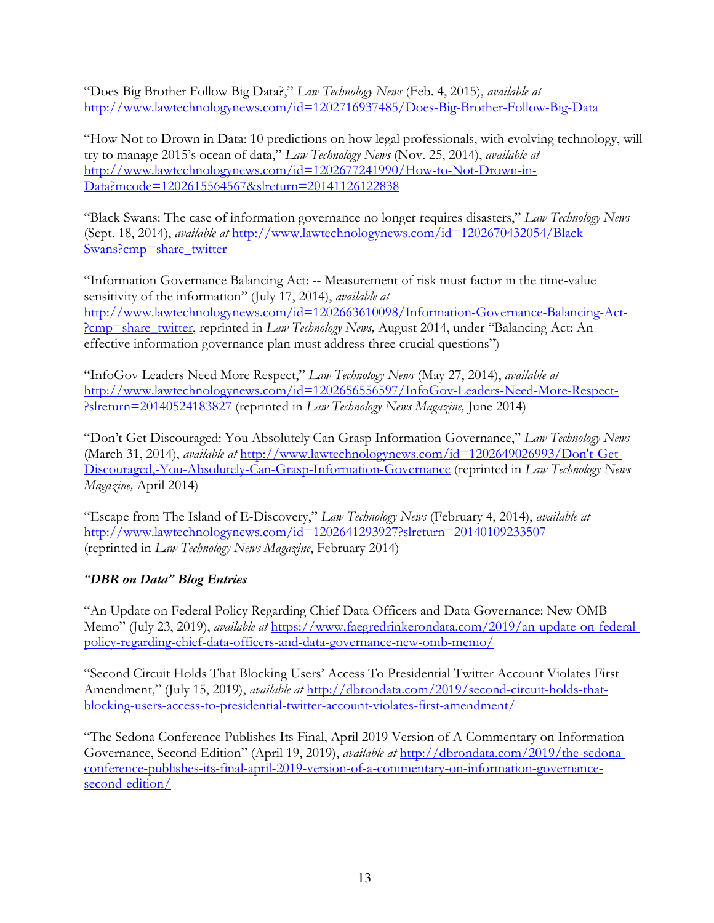"Does Big Brother Follow Big Data?," *Law Technology News* (Feb. 4, 2015), *available at*  http://www.lawtechnologynews.com/id=1202716937485/Does-Big-Brother-Follow-Big-Data

"How Not to Drown in Data: 10 predictions on how legal professionals, with evolving technology, will try to manage 2015's ocean of data," *Law Technology News* (Nov. 25, 2014), *available at*  http://www.lawtechnologynews.com/id=1202677241990/How-to-Not-Drown-in-Data?mcode=1202615564567&slreturn=20141126122838

"Black Swans: The case of information governance no longer requires disasters," *Law Technology News*  (Sept. 18, 2014), *available at* http://www.lawtechnologynews.com/id=1202670432054/Black-Swans?cmp=share\_twitter

"Information Governance Balancing Act: -- Measurement of risk must factor in the time-value sensitivity of the information" (July 17, 2014), *available at*  http://www.lawtechnologynews.com/id=1202663610098/Information-Governance-Balancing-Act- ?cmp=share\_twitter, reprinted in *Law Technology News,* August 2014, under "Balancing Act: An effective information governance plan must address three crucial questions")

"InfoGov Leaders Need More Respect," *Law Technology News* (May 27, 2014), *available at*  http://www.lawtechnologynews.com/id=1202656556597/InfoGov-Leaders-Need-More-Respect- ?slreturn=20140524183827 (reprinted in *Law Technology News Magazine,* June 2014)

"Don't Get Discouraged: You Absolutely Can Grasp Information Governance," *Law Technology News*  (March 31, 2014), *available at* http://www.lawtechnologynews.com/id=1202649026993/Don't-Get-Discouraged,-You-Absolutely-Can-Grasp-Information-Governance (reprinted in *Law Technology News Magazine,* April 2014)

"Escape from The Island of E-Discovery," *Law Technology News* (February 4, 2014), *available at*  http://www.lawtechnologynews.com/id=1202641293927?slreturn=20140109233507 (reprinted in *Law Technology News Magazine*, February 2014)

# *"DBR on Data" Blog Entries*

"An Update on Federal Policy Regarding Chief Data Officers and Data Governance: New OMB Memo" (July 23, 2019), *available at* https://www.faegredrinkerondata.com/2019/an-update-on-federalpolicy-regarding-chief-data-officers-and-data-governance-new-omb-memo/

"Second Circuit Holds That Blocking Users' Access To Presidential Twitter Account Violates First Amendment," (July 15, 2019), *available at* http://dbrondata.com/2019/second-circuit-holds-thatblocking-users-access-to-presidential-twitter-account-violates-first-amendment/

"The Sedona Conference Publishes Its Final, April 2019 Version of A Commentary on Information Governance, Second Edition" (April 19, 2019), *available at* http://dbrondata.com/2019/the-sedonaconference-publishes-its-final-april-2019-version-of-a-commentary-on-information-governancesecond-edition/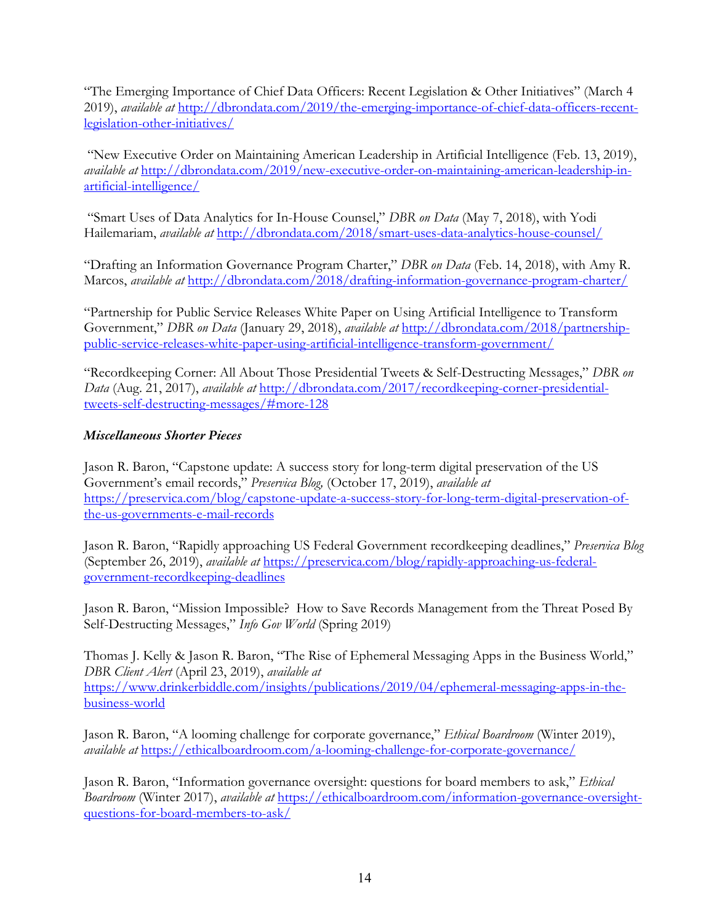"The Emerging Importance of Chief Data Officers: Recent Legislation & Other Initiatives" (March 4 2019), *available at* http://dbrondata.com/2019/the-emerging-importance-of-chief-data-officers-recentlegislation-other-initiatives/

"New Executive Order on Maintaining American Leadership in Artificial Intelligence (Feb. 13, 2019), *available at* http://dbrondata.com/2019/new-executive-order-on-maintaining-american-leadership-inartificial-intelligence/

"Smart Uses of Data Analytics for In-House Counsel," *DBR on Data* (May 7, 2018), with Yodi Hailemariam, *available at* http://dbrondata.com/2018/smart-uses-data-analytics-house-counsel/

"Drafting an Information Governance Program Charter," *DBR on Data* (Feb. 14, 2018), with Amy R. Marcos, *available at* http://dbrondata.com/2018/drafting-information-governance-program-charter/

"Partnership for Public Service Releases White Paper on Using Artificial Intelligence to Transform Government," *DBR on Data* (January 29, 2018), *available at* http://dbrondata.com/2018/partnershippublic-service-releases-white-paper-using-artificial-intelligence-transform-government/

"Recordkeeping Corner: All About Those Presidential Tweets & Self-Destructing Messages," *DBR on Data* (Aug. 21, 2017), *available at* http://dbrondata.com/2017/recordkeeping-corner-presidentialtweets-self-destructing-messages/#more-128

## *Miscellaneous Shorter Pieces*

Jason R. Baron, "Capstone update: A success story for long-term digital preservation of the US Government's email records," *Preservica Blog,* (October 17, 2019), *available at*  https://preservica.com/blog/capstone-update-a-success-story-for-long-term-digital-preservation-ofthe-us-governments-e-mail-records

Jason R. Baron, "Rapidly approaching US Federal Government recordkeeping deadlines," *Preservica Blog*  (September 26, 2019), *available at* https://preservica.com/blog/rapidly-approaching-us-federalgovernment-recordkeeping-deadlines

Jason R. Baron, "Mission Impossible? How to Save Records Management from the Threat Posed By Self-Destructing Messages," *Info Gov World* (Spring 2019)

Thomas J. Kelly & Jason R. Baron, "The Rise of Ephemeral Messaging Apps in the Business World," *DBR Client Alert* (April 23, 2019), *available at*  https://www.drinkerbiddle.com/insights/publications/2019/04/ephemeral-messaging-apps-in-thebusiness-world

Jason R. Baron, "A looming challenge for corporate governance," *Ethical Boardroom* (Winter 2019), *available at* https://ethicalboardroom.com/a-looming-challenge-for-corporate-governance/

Jason R. Baron, "Information governance oversight: questions for board members to ask," *Ethical Boardroom* (Winter 2017), *available at* https://ethicalboardroom.com/information-governance-oversightquestions-for-board-members-to-ask/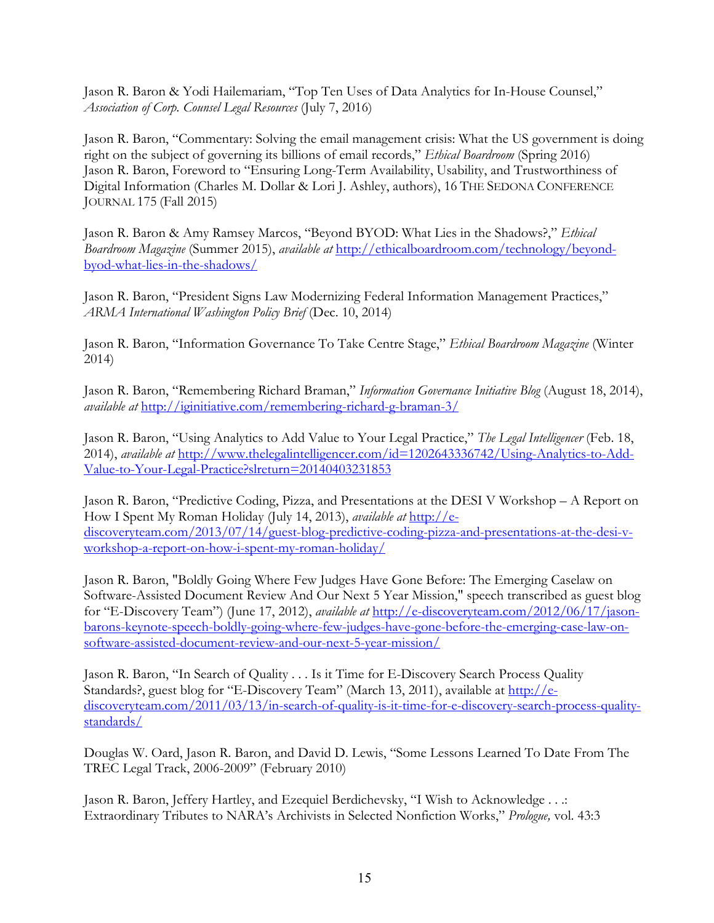Jason R. Baron & Yodi Hailemariam, "Top Ten Uses of Data Analytics for In-House Counsel," *Association of Corp. Counsel Legal Resources* (July 7, 2016)

Jason R. Baron, "Commentary: Solving the email management crisis: What the US government is doing right on the subject of governing its billions of email records," *Ethical Boardroom* (Spring 2016) Jason R. Baron, Foreword to "Ensuring Long-Term Availability, Usability, and Trustworthiness of Digital Information (Charles M. Dollar & Lori J. Ashley, authors), 16 THE SEDONA CONFERENCE JOURNAL 175 (Fall 2015)

Jason R. Baron & Amy Ramsey Marcos, "Beyond BYOD: What Lies in the Shadows?," *Ethical Boardroom Magazine* (Summer 2015), *available at* http://ethicalboardroom.com/technology/beyondbyod-what-lies-in-the-shadows/

Jason R. Baron, "President Signs Law Modernizing Federal Information Management Practices," *ARMA International Washington Policy Brief* (Dec. 10, 2014)

Jason R. Baron, "Information Governance To Take Centre Stage," *Ethical Boardroom Magazine* (Winter 2014)

Jason R. Baron, "Remembering Richard Braman," *Information Governance Initiative Blog* (August 18, 2014), *available at* http://iginitiative.com/remembering-richard-g-braman-3*/*

Jason R. Baron, "Using Analytics to Add Value to Your Legal Practice," *The Legal Intelligencer* (Feb. 18, 2014), *available at* http://www.thelegalintelligencer.com/id=1202643336742/Using-Analytics-to-Add-Value-to-Your-Legal-Practice?slreturn=20140403231853

Jason R. Baron, "Predictive Coding, Pizza, and Presentations at the DESI V Workshop – A Report on How I Spent My Roman Holiday (July 14, 2013), *available at* http://ediscoveryteam.com/2013/07/14/guest-blog-predictive-coding-pizza-and-presentations-at-the-desi-vworkshop-a-report-on-how-i-spent-my-roman-holiday/

Jason R. Baron, "Boldly Going Where Few Judges Have Gone Before: The Emerging Caselaw on Software-Assisted Document Review And Our Next 5 Year Mission," speech transcribed as guest blog for "E-Discovery Team") (June 17, 2012), *available at* http://e-discoveryteam.com/2012/06/17/jasonbarons-keynote-speech-boldly-going-where-few-judges-have-gone-before-the-emerging-case-law-onsoftware-assisted-document-review-and-our-next-5-year-mission/

Jason R. Baron, "In Search of Quality . . . Is it Time for E-Discovery Search Process Quality Standards?, guest blog for "E-Discovery Team" (March 13, 2011), available at http://ediscoveryteam.com/2011/03/13/in-search-of-quality-is-it-time-for-e-discovery-search-process-qualitystandards/

Douglas W. Oard, Jason R. Baron, and David D. Lewis, "Some Lessons Learned To Date From The TREC Legal Track, 2006-2009" (February 2010)

Jason R. Baron, Jeffery Hartley, and Ezequiel Berdichevsky, "I Wish to Acknowledge . . .: Extraordinary Tributes to NARA's Archivists in Selected Nonfiction Works," *Prologue,* vol. 43:3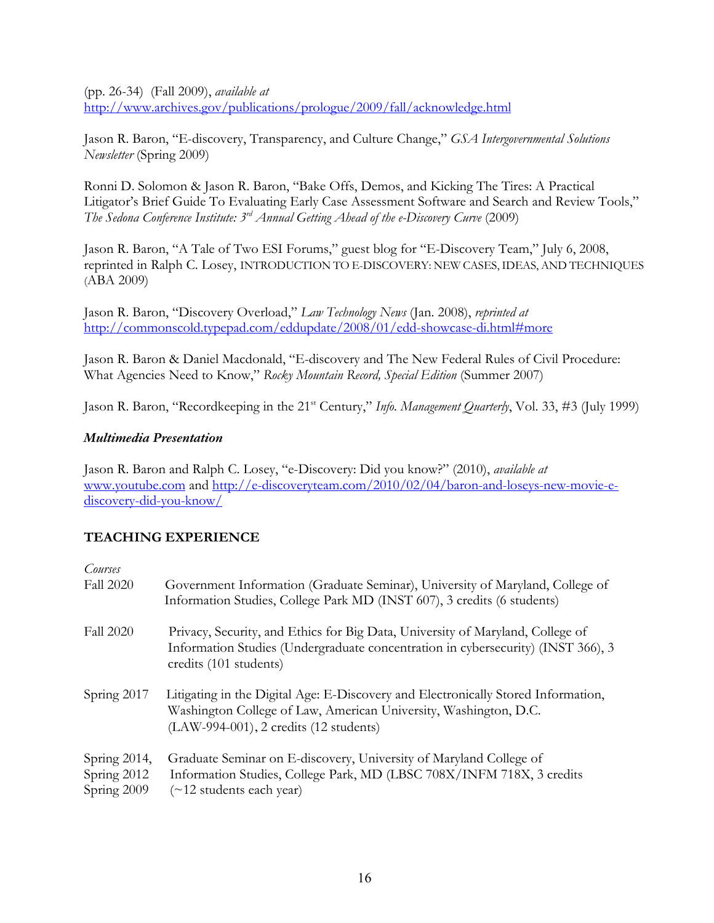(pp. 26-34) (Fall 2009), *available at*  http://www.archives.gov/publications/prologue/2009/fall/acknowledge.html

Jason R. Baron, "E-discovery, Transparency, and Culture Change," *GSA Intergovernmental Solutions Newsletter* (Spring 2009)

Ronni D. Solomon & Jason R. Baron, "Bake Offs, Demos, and Kicking The Tires: A Practical Litigator's Brief Guide To Evaluating Early Case Assessment Software and Search and Review Tools," *The Sedona Conference Institute: 3rd Annual Getting Ahead of the e-Discovery Curve* (2009)

Jason R. Baron, "A Tale of Two ESI Forums," guest blog for "E-Discovery Team," July 6, 2008, reprinted in Ralph C. Losey, INTRODUCTION TO E-DISCOVERY: NEW CASES, IDEAS, AND TECHNIQUES (ABA 2009)

Jason R. Baron, "Discovery Overload," *Law Technology News* (Jan. 2008), *reprinted at*  http://commonscold.typepad.com/eddupdate/2008/01/edd-showcase-di.html#more

Jason R. Baron & Daniel Macdonald, "E-discovery and The New Federal Rules of Civil Procedure: What Agencies Need to Know," *Rocky Mountain Record, Special Edition* (Summer 2007)

Jason R. Baron, "Recordkeeping in the 21<sup>st</sup> Century," *Info. Management Quarterly*, Vol. 33, #3 (July 1999)

### *Multimedia Presentation*

Jason R. Baron and Ralph C. Losey, "e-Discovery: Did you know?" (2010), *available at*  www.youtube.com and http://e-discoveryteam.com/2010/02/04/baron-and-loseys-new-movie-ediscovery-did-you-know/

# **TEACHING EXPERIENCE**

### *Courses*

| Fall 2020                                  | Government Information (Graduate Seminar), University of Maryland, College of<br>Information Studies, College Park MD (INST 607), 3 credits (6 students)                                        |
|--------------------------------------------|-------------------------------------------------------------------------------------------------------------------------------------------------------------------------------------------------|
| <b>Fall 2020</b>                           | Privacy, Security, and Ethics for Big Data, University of Maryland, College of<br>Information Studies (Undergraduate concentration in cybersecurity) (INST 366), 3<br>credits (101 students)    |
| Spring 2017                                | Litigating in the Digital Age: E-Discovery and Electronically Stored Information,<br>Washington College of Law, American University, Washington, D.C.<br>(LAW-994-001), 2 credits (12 students) |
| Spring 2014,<br>Spring 2012<br>Spring 2009 | Graduate Seminar on E-discovery, University of Maryland College of<br>Information Studies, College Park, MD (LBSC 708X/INFM 718X, 3 credits<br>$(\sim 12$ students each year)                   |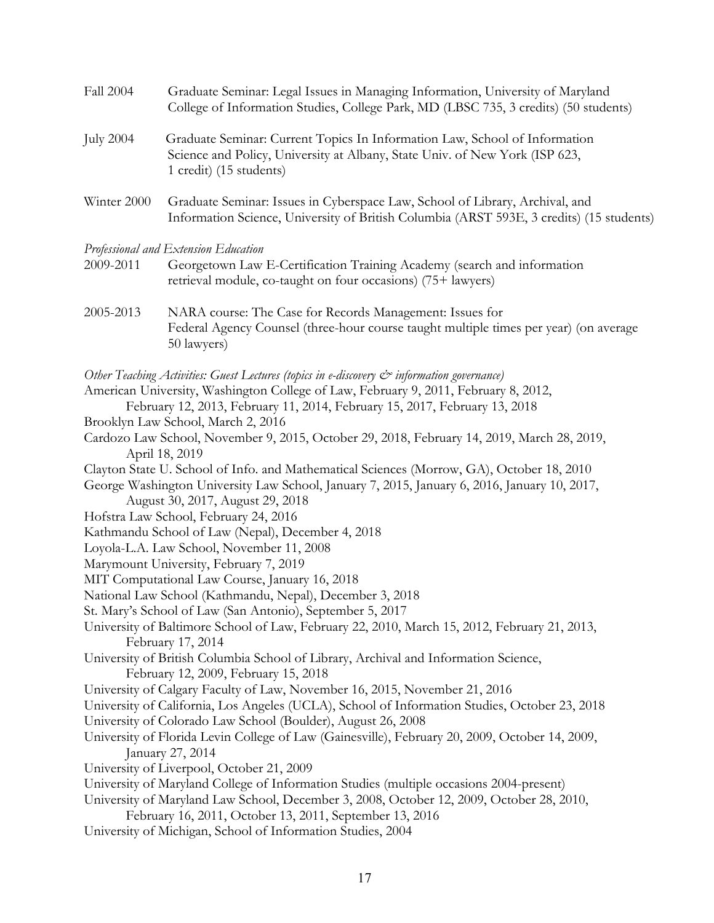| Fall 2004        | Graduate Seminar: Legal Issues in Managing Information, University of Maryland<br>College of Information Studies, College Park, MD (LBSC 735, 3 credits) (50 students)                                                                                                                                                                                                                                                                                                                                                                                                                                                                                                                                                                                                                                                                                                                                                                                                                                                                                                                                                                                                                                                                                                                                                                                                                                                                                                                                                                                                                                                                                                                                                                                                                                                                                                                                                                                                                                        |
|------------------|---------------------------------------------------------------------------------------------------------------------------------------------------------------------------------------------------------------------------------------------------------------------------------------------------------------------------------------------------------------------------------------------------------------------------------------------------------------------------------------------------------------------------------------------------------------------------------------------------------------------------------------------------------------------------------------------------------------------------------------------------------------------------------------------------------------------------------------------------------------------------------------------------------------------------------------------------------------------------------------------------------------------------------------------------------------------------------------------------------------------------------------------------------------------------------------------------------------------------------------------------------------------------------------------------------------------------------------------------------------------------------------------------------------------------------------------------------------------------------------------------------------------------------------------------------------------------------------------------------------------------------------------------------------------------------------------------------------------------------------------------------------------------------------------------------------------------------------------------------------------------------------------------------------------------------------------------------------------------------------------------------------|
| <b>July 2004</b> | Graduate Seminar: Current Topics In Information Law, School of Information<br>Science and Policy, University at Albany, State Univ. of New York (ISP 623,<br>1 credit) (15 students)                                                                                                                                                                                                                                                                                                                                                                                                                                                                                                                                                                                                                                                                                                                                                                                                                                                                                                                                                                                                                                                                                                                                                                                                                                                                                                                                                                                                                                                                                                                                                                                                                                                                                                                                                                                                                          |
| Winter 2000      | Graduate Seminar: Issues in Cyberspace Law, School of Library, Archival, and<br>Information Science, University of British Columbia (ARST 593E, 3 credits) (15 students)                                                                                                                                                                                                                                                                                                                                                                                                                                                                                                                                                                                                                                                                                                                                                                                                                                                                                                                                                                                                                                                                                                                                                                                                                                                                                                                                                                                                                                                                                                                                                                                                                                                                                                                                                                                                                                      |
| 2009-2011        | Professional and Extension Education<br>Georgetown Law E-Certification Training Academy (search and information<br>retrieval module, co-taught on four occasions) (75+ lawyers)                                                                                                                                                                                                                                                                                                                                                                                                                                                                                                                                                                                                                                                                                                                                                                                                                                                                                                                                                                                                                                                                                                                                                                                                                                                                                                                                                                                                                                                                                                                                                                                                                                                                                                                                                                                                                               |
| 2005-2013        | NARA course: The Case for Records Management: Issues for<br>Federal Agency Counsel (three-hour course taught multiple times per year) (on average<br>50 lawyers)                                                                                                                                                                                                                                                                                                                                                                                                                                                                                                                                                                                                                                                                                                                                                                                                                                                                                                                                                                                                                                                                                                                                                                                                                                                                                                                                                                                                                                                                                                                                                                                                                                                                                                                                                                                                                                              |
|                  | Other Teaching Activities: Guest Lectures (topics in e-discovery & information governance)<br>American University, Washington College of Law, February 9, 2011, February 8, 2012,<br>February 12, 2013, February 11, 2014, February 15, 2017, February 13, 2018<br>Brooklyn Law School, March 2, 2016<br>Cardozo Law School, November 9, 2015, October 29, 2018, February 14, 2019, March 28, 2019,<br>April 18, 2019<br>Clayton State U. School of Info. and Mathematical Sciences (Morrow, GA), October 18, 2010<br>George Washington University Law School, January 7, 2015, January 6, 2016, January 10, 2017,<br>August 30, 2017, August 29, 2018<br>Hofstra Law School, February 24, 2016<br>Kathmandu School of Law (Nepal), December 4, 2018<br>Loyola-L.A. Law School, November 11, 2008<br>Marymount University, February 7, 2019<br>MIT Computational Law Course, January 16, 2018<br>National Law School (Kathmandu, Nepal), December 3, 2018<br>St. Mary's School of Law (San Antonio), September 5, 2017<br>University of Baltimore School of Law, February 22, 2010, March 15, 2012, February 21, 2013,<br>February 17, 2014<br>University of British Columbia School of Library, Archival and Information Science,<br>February 12, 2009, February 15, 2018<br>University of Calgary Faculty of Law, November 16, 2015, November 21, 2016<br>University of California, Los Angeles (UCLA), School of Information Studies, October 23, 2018<br>University of Colorado Law School (Boulder), August 26, 2008<br>University of Florida Levin College of Law (Gainesville), February 20, 2009, October 14, 2009,<br>January 27, 2014<br>University of Liverpool, October 21, 2009<br>University of Maryland College of Information Studies (multiple occasions 2004-present)<br>University of Maryland Law School, December 3, 2008, October 12, 2009, October 28, 2010,<br>February 16, 2011, October 13, 2011, September 13, 2016<br>University of Michigan, School of Information Studies, 2004 |
|                  |                                                                                                                                                                                                                                                                                                                                                                                                                                                                                                                                                                                                                                                                                                                                                                                                                                                                                                                                                                                                                                                                                                                                                                                                                                                                                                                                                                                                                                                                                                                                                                                                                                                                                                                                                                                                                                                                                                                                                                                                               |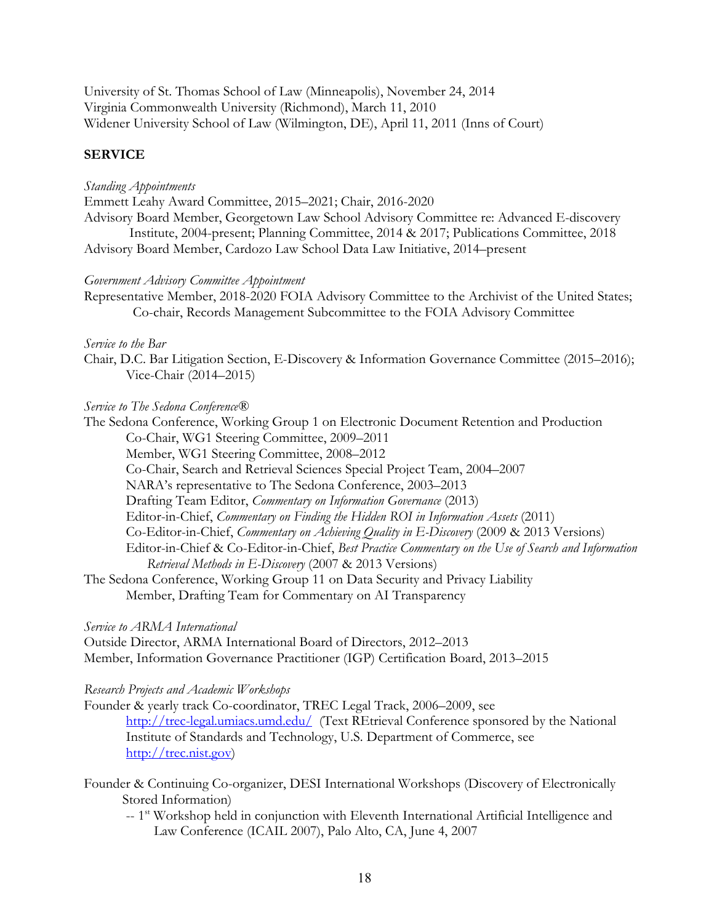University of St. Thomas School of Law (Minneapolis), November 24, 2014 Virginia Commonwealth University (Richmond), March 11, 2010 Widener University School of Law (Wilmington, DE), April 11, 2011 (Inns of Court)

### **SERVICE**

#### *Standing Appointments*

Emmett Leahy Award Committee, 2015–2021; Chair, 2016-2020

Advisory Board Member, Georgetown Law School Advisory Committee re: Advanced E-discovery Institute, 2004-present; Planning Committee, 2014 & 2017; Publications Committee, 2018 Advisory Board Member, Cardozo Law School Data Law Initiative, 2014–present

#### *Government Advisory Committee Appointment*

Representative Member, 2018-2020 FOIA Advisory Committee to the Archivist of the United States; Co-chair, Records Management Subcommittee to the FOIA Advisory Committee

### *Service to the Bar*

Chair, D.C. Bar Litigation Section, E-Discovery & Information Governance Committee (2015–2016); Vice-Chair (2014–2015)

#### *Service to The Sedona Conference®*

The Sedona Conference, Working Group 1 on Electronic Document Retention and Production Co-Chair, WG1 Steering Committee, 2009–2011 Member, WG1 Steering Committee, 2008–2012 Co-Chair, Search and Retrieval Sciences Special Project Team, 2004–2007 NARA's representative to The Sedona Conference, 2003–2013 Drafting Team Editor, *Commentary on Information Governance* (2013) Editor-in-Chief, *Commentary on Finding the Hidden ROI in Information Assets* (2011) Co-Editor-in-Chief, *Commentary on Achieving Quality in E-Discovery* (2009 & 2013 Versions) Editor-in-Chief & Co-Editor-in-Chief, *Best Practice Commentary on the Use of Search and Information Retrieval Methods in E-Discovery* (2007 & 2013 Versions) The Sedona Conference, Working Group 11 on Data Security and Privacy Liability

Member, Drafting Team for Commentary on AI Transparency

#### *Service to ARMA International*

Outside Director, ARMA International Board of Directors, 2012–2013 Member, Information Governance Practitioner (IGP) Certification Board, 2013–2015

#### *Research Projects and Academic Workshops*

Founder & yearly track Co-coordinator, TREC Legal Track, 2006–2009, see http://trec-legal.umiacs.umd.edu/ (Text REtrieval Conference sponsored by the National Institute of Standards and Technology, U.S. Department of Commerce, see http://trec.nist.gov)

- Founder & Continuing Co-organizer, DESI International Workshops (Discovery of Electronically Stored Information)
	- -- 1<sup>st</sup> Workshop held in conjunction with Eleventh International Artificial Intelligence and Law Conference (ICAIL 2007), Palo Alto, CA, June 4, 2007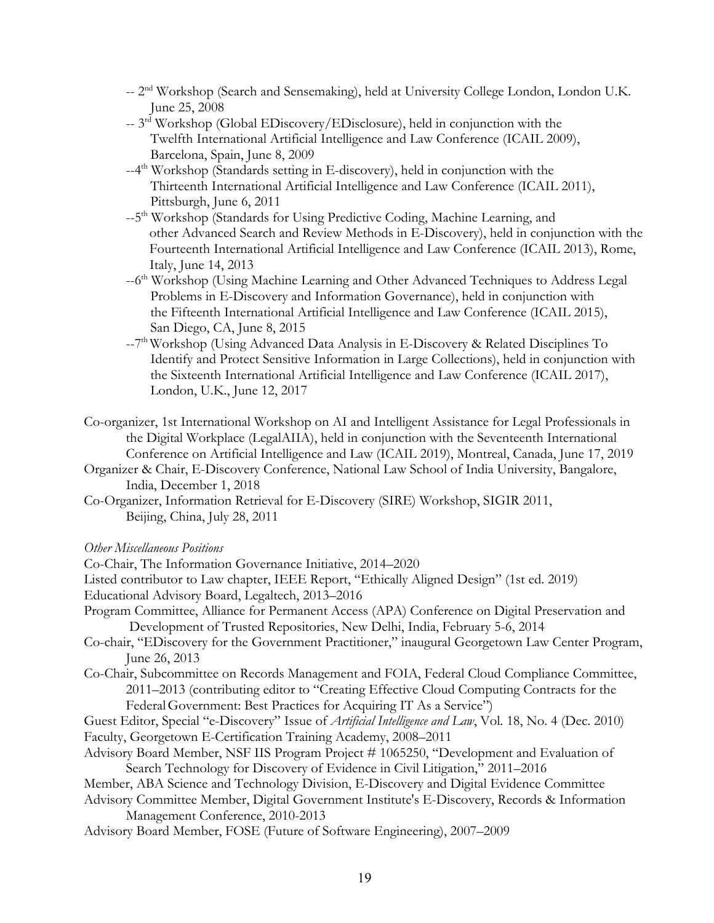- -- 2nd Workshop (Search and Sensemaking), held at University College London, London U.K. June 25, 2008
- $-3^{rd}$  Workshop (Global EDiscovery/EDisclosure), held in conjunction with the Twelfth International Artificial Intelligence and Law Conference (ICAIL 2009), Barcelona, Spain, June 8, 2009
- --4<sup>th</sup> Workshop (Standards setting in E-discovery), held in conjunction with the Thirteenth International Artificial Intelligence and Law Conference (ICAIL 2011), Pittsburgh, June 6, 2011
- --5<sup>th</sup> Workshop (Standards for Using Predictive Coding, Machine Learning, and other Advanced Search and Review Methods in E-Discovery), held in conjunction with the Fourteenth International Artificial Intelligence and Law Conference (ICAIL 2013), Rome, Italy, June 14, 2013
- --6<sup>th</sup> Workshop (Using Machine Learning and Other Advanced Techniques to Address Legal Problems in E-Discovery and Information Governance), held in conjunction with the Fifteenth International Artificial Intelligence and Law Conference (ICAIL 2015), San Diego, CA, June 8, 2015
- $-7<sup>th</sup>$  Workshop (Using Advanced Data Analysis in E-Discovery & Related Disciplines To Identify and Protect Sensitive Information in Large Collections), held in conjunction with the Sixteenth International Artificial Intelligence and Law Conference (ICAIL 2017), London, U.K., June 12, 2017
- Co-organizer, 1st International Workshop on AI and Intelligent Assistance for Legal Professionals in the Digital Workplace (LegalAIIA), held in conjunction with the Seventeenth International Conference on Artificial Intelligence and Law (ICAIL 2019), Montreal, Canada, June 17, 2019
- Organizer & Chair, E-Discovery Conference, National Law School of India University, Bangalore, India, December 1, 2018

Co-Organizer, Information Retrieval for E-Discovery (SIRE) Workshop, SIGIR 2011, Beijing, China, July 28, 2011

*Other Miscellaneous Positions* 

Co-Chair, The Information Governance Initiative, 2014–2020

Listed contributor to Law chapter, IEEE Report, "Ethically Aligned Design" (1st ed. 2019)

- Educational Advisory Board, Legaltech, 2013–2016
- Program Committee, Alliance for Permanent Access (APA) Conference on Digital Preservation and Development of Trusted Repositories, New Delhi, India, February 5-6, 2014
- Co-chair, "EDiscovery for the Government Practitioner," inaugural Georgetown Law Center Program, June 26, 2013
- Co-Chair, Subcommittee on Records Management and FOIA, Federal Cloud Compliance Committee, 2011–2013 (contributing editor to "Creating Effective Cloud Computing Contracts for the Federal Government: Best Practices for Acquiring IT As a Service")

Guest Editor, Special "e-Discovery" Issue of *Artificial Intelligence and Law*, Vol. 18, No. 4 (Dec. 2010) Faculty, Georgetown E-Certification Training Academy, 2008–2011

- Advisory Board Member, NSF IIS Program Project # 1065250, "Development and Evaluation of Search Technology for Discovery of Evidence in Civil Litigation," 2011–2016
- Member, ABA Science and Technology Division, E-Discovery and Digital Evidence Committee

Advisory Committee Member, Digital Government Institute's E-Discovery, Records & Information Management Conference, 2010-2013

Advisory Board Member, FOSE (Future of Software Engineering), 2007–2009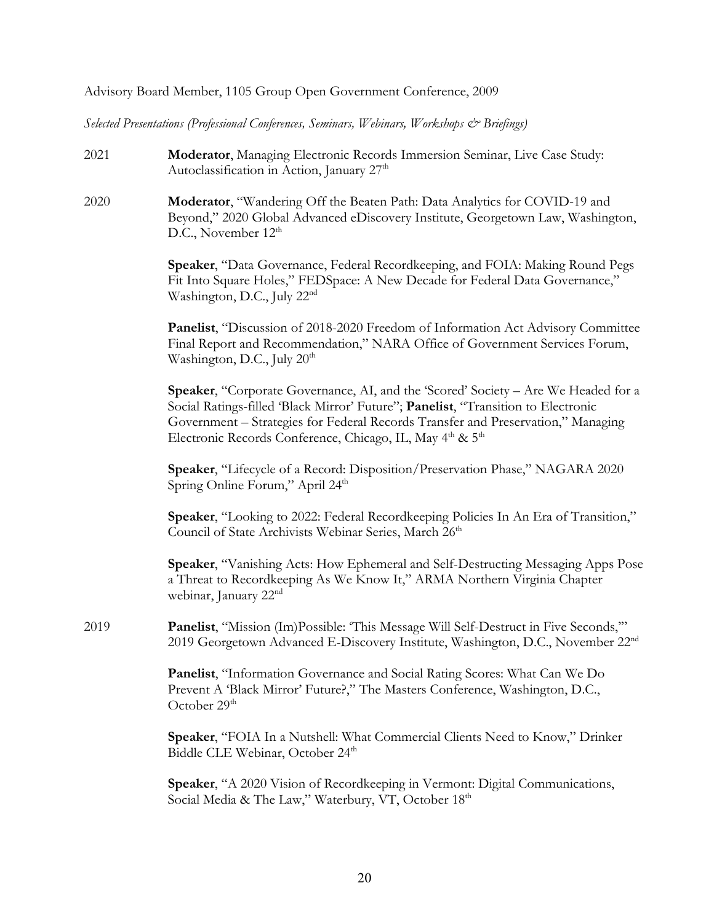### Advisory Board Member, 1105 Group Open Government Conference, 2009

*Selected Presentations (Professional Conferences, Seminars, Webinars, Workshops & Briefings)*

- 2021 **Moderator**, Managing Electronic Records Immersion Seminar, Live Case Study: Autoclassification in Action, January 27<sup>th</sup>
- 2020 **Moderator**, "Wandering Off the Beaten Path: Data Analytics for COVID-19 and Beyond," 2020 Global Advanced eDiscovery Institute, Georgetown Law, Washington, D.C., November  $12<sup>th</sup>$

**Speaker**, "Data Governance, Federal Recordkeeping, and FOIA: Making Round Pegs Fit Into Square Holes," FEDSpace: A New Decade for Federal Data Governance," Washington, D.C., July 22<sup>nd</sup>

**Panelist**, "Discussion of 2018-2020 Freedom of Information Act Advisory Committee Final Report and Recommendation," NARA Office of Government Services Forum, Washington, D.C., July  $20<sup>th</sup>$ 

**Speaker**, "Corporate Governance, AI, and the 'Scored' Society – Are We Headed for a Social Ratings-filled 'Black Mirror' Future"; **Panelist**, "Transition to Electronic Government – Strategies for Federal Records Transfer and Preservation," Managing Electronic Records Conference, Chicago, IL, May  $4<sup>th</sup>$  &  $5<sup>th</sup>$ 

**Speaker**, "Lifecycle of a Record: Disposition/Preservation Phase," NAGARA 2020 Spring Online Forum," April 24<sup>th</sup>

**Speaker**, "Looking to 2022: Federal Recordkeeping Policies In An Era of Transition," Council of State Archivists Webinar Series, March 26<sup>th</sup>

**Speaker**, "Vanishing Acts: How Ephemeral and Self-Destructing Messaging Apps Pose a Threat to Recordkeeping As We Know It," ARMA Northern Virginia Chapter webinar, January 22<sup>nd</sup>

2019 **Panelist**, "Mission (Im)Possible: 'This Message Will Self-Destruct in Five Seconds,'" 2019 Georgetown Advanced E-Discovery Institute, Washington, D.C., November 22<sup>nd</sup>

> **Panelist**, "Information Governance and Social Rating Scores: What Can We Do Prevent A 'Black Mirror' Future?," The Masters Conference, Washington, D.C., October 29<sup>th</sup>

**Speaker**, "FOIA In a Nutshell: What Commercial Clients Need to Know," Drinker Biddle CLE Webinar, October 24<sup>th</sup>

**Speaker**, "A 2020 Vision of Recordkeeping in Vermont: Digital Communications, Social Media & The Law," Waterbury, VT, October 18<sup>th</sup>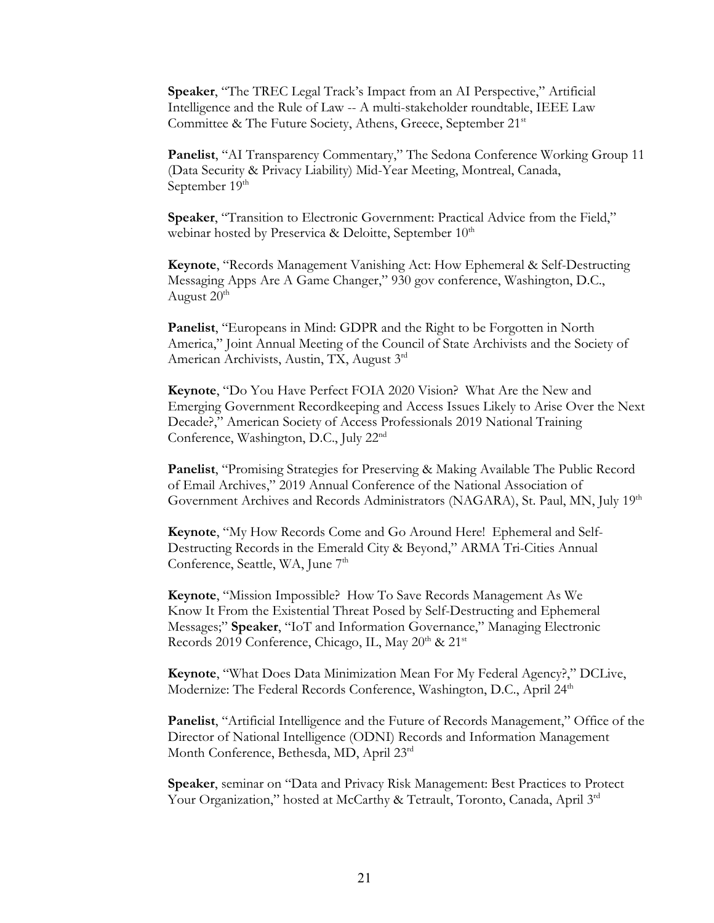**Speaker**, "The TREC Legal Track's Impact from an AI Perspective," Artificial Intelligence and the Rule of Law -- A multi-stakeholder roundtable, IEEE Law Committee & The Future Society, Athens, Greece, September 21<sup>st</sup>

**Panelist**, "AI Transparency Commentary," The Sedona Conference Working Group 11 (Data Security & Privacy Liability) Mid-Year Meeting, Montreal, Canada, September 19<sup>th</sup>

**Speaker**, "Transition to Electronic Government: Practical Advice from the Field," webinar hosted by Preservica & Deloitte, September  $10<sup>th</sup>$ 

**Keynote**, "Records Management Vanishing Act: How Ephemeral & Self-Destructing Messaging Apps Are A Game Changer," 930 gov conference, Washington, D.C., August  $20<sup>th</sup>$ 

**Panelist**, "Europeans in Mind: GDPR and the Right to be Forgotten in North America," Joint Annual Meeting of the Council of State Archivists and the Society of American Archivists, Austin, TX, August 3rd

**Keynote**, "Do You Have Perfect FOIA 2020 Vision? What Are the New and Emerging Government Recordkeeping and Access Issues Likely to Arise Over the Next Decade?," American Society of Access Professionals 2019 National Training Conference, Washington, D.C., July 22nd

**Panelist**, "Promising Strategies for Preserving & Making Available The Public Record of Email Archives," 2019 Annual Conference of the National Association of Government Archives and Records Administrators (NAGARA), St. Paul, MN, July 19th

**Keynote**, "My How Records Come and Go Around Here! Ephemeral and Self-Destructing Records in the Emerald City & Beyond," ARMA Tri-Cities Annual Conference, Seattle, WA, June  $7<sup>th</sup>$ 

**Keynote**, "Mission Impossible? How To Save Records Management As We Know It From the Existential Threat Posed by Self-Destructing and Ephemeral Messages;" **Speaker**, "IoT and Information Governance," Managing Electronic Records 2019 Conference, Chicago, IL, May  $20^{th}$  &  $21^{st}$ 

**Keynote**, "What Does Data Minimization Mean For My Federal Agency?," DCLive, Modernize: The Federal Records Conference, Washington, D.C., April 24<sup>th</sup>

**Panelist**, "Artificial Intelligence and the Future of Records Management," Office of the Director of National Intelligence (ODNI) Records and Information Management Month Conference, Bethesda, MD, April 23rd

**Speaker**, seminar on "Data and Privacy Risk Management: Best Practices to Protect Your Organization," hosted at McCarthy & Tetrault, Toronto, Canada, April 3rd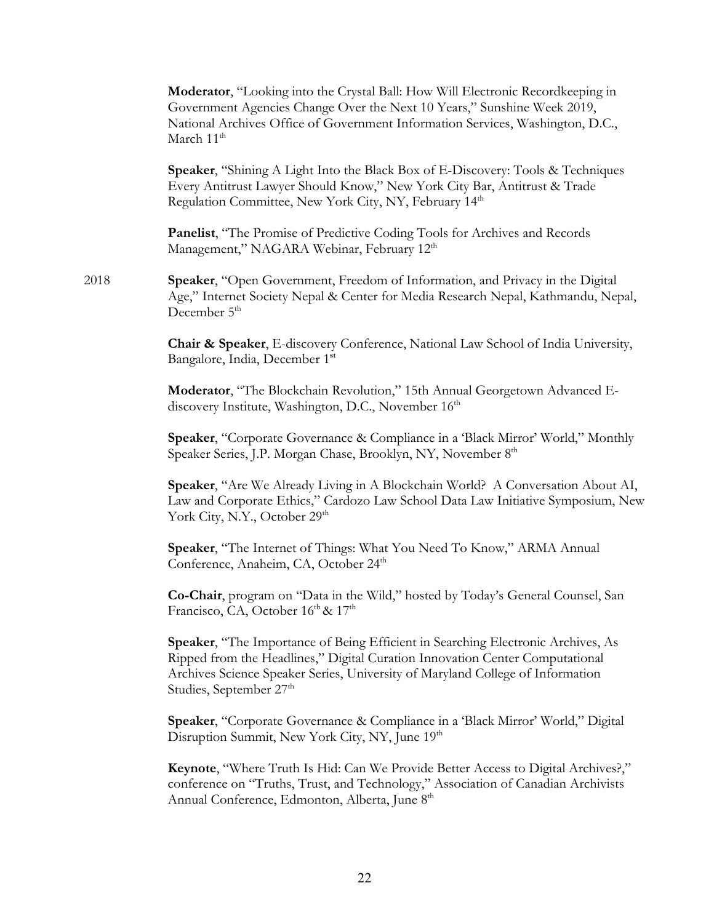**Moderator**, "Looking into the Crystal Ball: How Will Electronic Recordkeeping in Government Agencies Change Over the Next 10 Years," Sunshine Week 2019, National Archives Office of Government Information Services, Washington, D.C., March  $11^{\text{th}}$ 

**Speaker**, "Shining A Light Into the Black Box of E-Discovery: Tools & Techniques Every Antitrust Lawyer Should Know," New York City Bar, Antitrust & Trade Regulation Committee, New York City, NY, February 14th

**Panelist**, "The Promise of Predictive Coding Tools for Archives and Records Management," NAGARA Webinar, February 12<sup>th</sup>

2018 **Speaker**, "Open Government, Freedom of Information, and Privacy in the Digital Age," Internet Society Nepal & Center for Media Research Nepal, Kathmandu, Nepal, December 5<sup>th</sup>

> **Chair & Speaker**, E-discovery Conference, National Law School of India University, Bangalore, India, December 1**st**

**Moderator**, "The Blockchain Revolution," 15th Annual Georgetown Advanced Ediscovery Institute, Washington, D.C., November 16<sup>th</sup>

**Speaker**, "Corporate Governance & Compliance in a 'Black Mirror' World," Monthly Speaker Series, J.P. Morgan Chase, Brooklyn, NY, November 8<sup>th</sup>

**Speaker**, "Are We Already Living in A Blockchain World? A Conversation About AI, Law and Corporate Ethics," Cardozo Law School Data Law Initiative Symposium, New York City, N.Y., October 29<sup>th</sup>

**Speaker**, "The Internet of Things: What You Need To Know," ARMA Annual Conference, Anaheim, CA, October 24<sup>th</sup>

**Co-Chair**, program on "Data in the Wild," hosted by Today's General Counsel, San Francisco, CA, October  $16<sup>th</sup>$ &  $17<sup>th</sup>$ 

**Speaker**, "The Importance of Being Efficient in Searching Electronic Archives, As Ripped from the Headlines," Digital Curation Innovation Center Computational Archives Science Speaker Series, University of Maryland College of Information Studies, September  $27<sup>th</sup>$ 

**Speaker**, "Corporate Governance & Compliance in a 'Black Mirror' World," Digital Disruption Summit, New York City, NY, June 19th

**Keynote**, "Where Truth Is Hid: Can We Provide Better Access to Digital Archives?," conference on "Truths, Trust, and Technology," Association of Canadian Archivists Annual Conference, Edmonton, Alberta, June 8<sup>th</sup>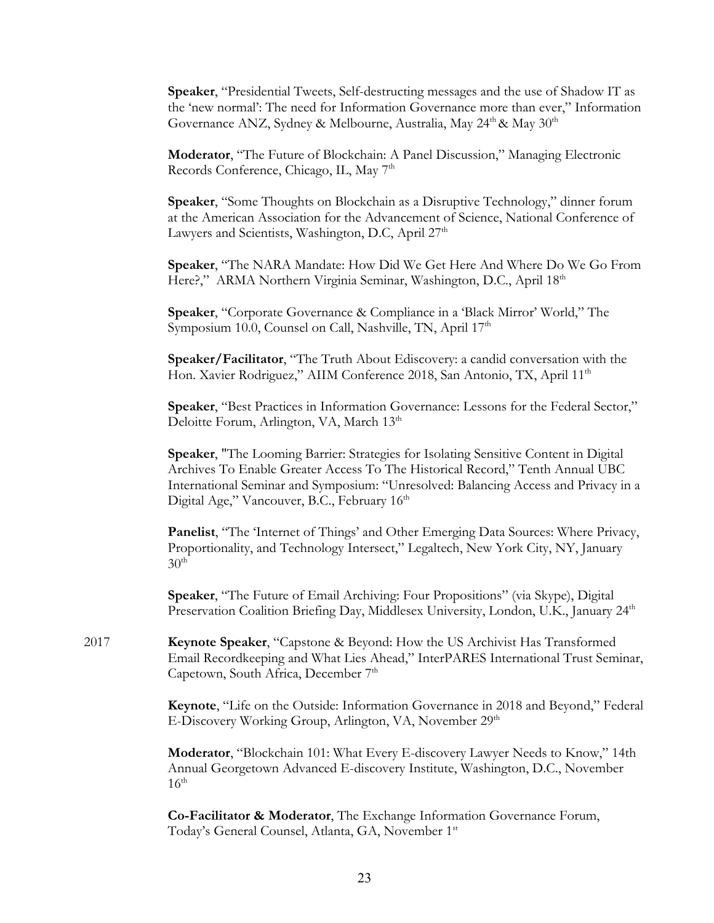**Speaker**, "Presidential Tweets, Self-destructing messages and the use of Shadow IT as the 'new normal': The need for Information Governance more than ever," Information Governance ANZ, Sydney & Melbourne, Australia, May 24<sup>th</sup> & May 30<sup>th</sup>

**Moderator**, "The Future of Blockchain: A Panel Discussion," Managing Electronic Records Conference, Chicago, IL, May 7<sup>th</sup>

**Speaker**, "Some Thoughts on Blockchain as a Disruptive Technology," dinner forum at the American Association for the Advancement of Science, National Conference of Lawyers and Scientists, Washington, D.C, April 27<sup>th</sup>

**Speaker**, "The NARA Mandate: How Did We Get Here And Where Do We Go From Here?," ARMA Northern Virginia Seminar, Washington, D.C., April 18<sup>th</sup>

**Speaker**, "Corporate Governance & Compliance in a 'Black Mirror' World," The Symposium 10.0, Counsel on Call, Nashville, TN, April 17<sup>th</sup>

**Speaker/Facilitator**, "The Truth About Ediscovery: a candid conversation with the Hon. Xavier Rodriguez," AIIM Conference 2018, San Antonio, TX, April 11<sup>th</sup>

**Speaker**, "Best Practices in Information Governance: Lessons for the Federal Sector," Deloitte Forum, Arlington, VA, March 13<sup>th</sup>

**Speaker**, "The Looming Barrier: Strategies for Isolating Sensitive Content in Digital Archives To Enable Greater Access To The Historical Record," Tenth Annual UBC International Seminar and Symposium: "Unresolved: Balancing Access and Privacy in a Digital Age," Vancouver, B.C., February 16<sup>th</sup>

**Panelist**, "The 'Internet of Things' and Other Emerging Data Sources: Where Privacy, Proportionality, and Technology Intersect," Legaltech, New York City, NY, January  $30<sup>th</sup>$ 

**Speaker**, "The Future of Email Archiving: Four Propositions" (via Skype), Digital Preservation Coalition Briefing Day, Middlesex University, London, U.K., January 24<sup>th</sup>

2017 **Keynote Speaker**, "Capstone & Beyond: How the US Archivist Has Transformed Email Recordkeeping and What Lies Ahead," InterPARES International Trust Seminar, Capetown, South Africa, December 7<sup>th</sup>

> **Keynote**, "Life on the Outside: Information Governance in 2018 and Beyond," Federal E-Discovery Working Group, Arlington, VA, November 29<sup>th</sup>

**Moderator**, "Blockchain 101: What Every E-discovery Lawyer Needs to Know," 14th Annual Georgetown Advanced E-discovery Institute, Washington, D.C., November  $16^{th}$ 

**Co-Facilitator & Moderator**, The Exchange Information Governance Forum, Today's General Counsel, Atlanta, GA, November 1<sup>st</sup>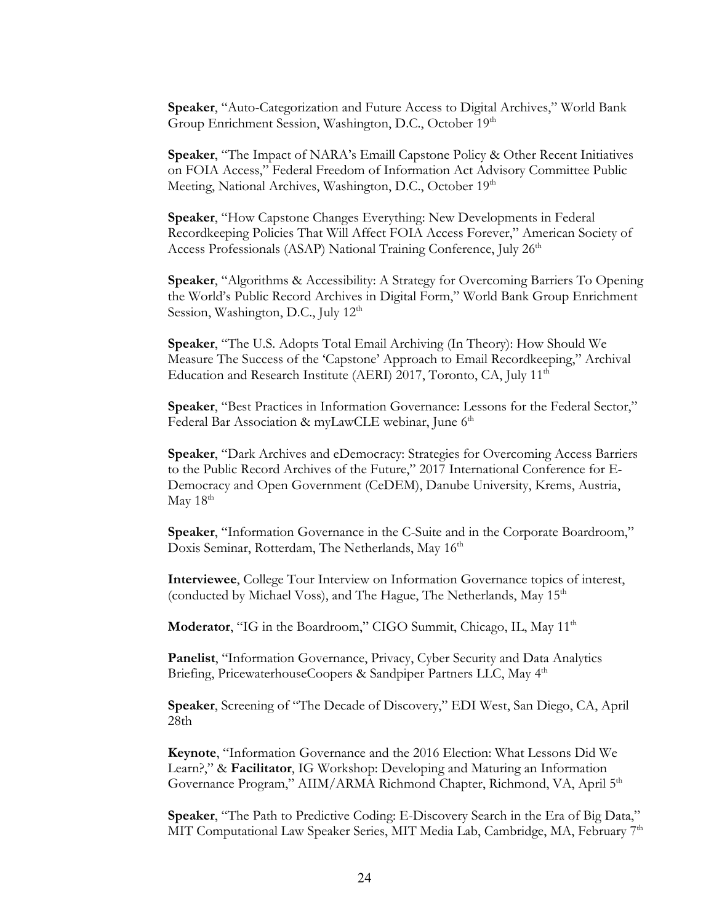**Speaker**, "Auto-Categorization and Future Access to Digital Archives," World Bank Group Enrichment Session, Washington, D.C., October 19<sup>th</sup>

**Speaker**, "The Impact of NARA's Emaill Capstone Policy & Other Recent Initiatives on FOIA Access," Federal Freedom of Information Act Advisory Committee Public Meeting, National Archives, Washington, D.C., October 19<sup>th</sup>

**Speaker**, "How Capstone Changes Everything: New Developments in Federal Recordkeeping Policies That Will Affect FOIA Access Forever," American Society of Access Professionals (ASAP) National Training Conference, July 26<sup>th</sup>

**Speaker**, "Algorithms & Accessibility: A Strategy for Overcoming Barriers To Opening the World's Public Record Archives in Digital Form," World Bank Group Enrichment Session, Washington, D.C., July 12<sup>th</sup>

**Speaker**, "The U.S. Adopts Total Email Archiving (In Theory): How Should We Measure The Success of the 'Capstone' Approach to Email Recordkeeping," Archival Education and Research Institute (AERI) 2017, Toronto, CA, July 11<sup>th</sup>

**Speaker**, "Best Practices in Information Governance: Lessons for the Federal Sector," Federal Bar Association & myLawCLE webinar, June 6<sup>th</sup>

**Speaker**, "Dark Archives and eDemocracy: Strategies for Overcoming Access Barriers to the Public Record Archives of the Future," 2017 International Conference for E-Democracy and Open Government (CeDEM), Danube University, Krems, Austria, May  $18<sup>th</sup>$ 

**Speaker**, "Information Governance in the C-Suite and in the Corporate Boardroom," Doxis Seminar, Rotterdam, The Netherlands, May 16<sup>th</sup>

**Interviewee**, College Tour Interview on Information Governance topics of interest, (conducted by Michael Voss), and The Hague, The Netherlands, May 15<sup>th</sup>

**Moderator**, "IG in the Boardroom," CIGO Summit, Chicago, IL, May 11<sup>th</sup>

**Panelist**, "Information Governance, Privacy, Cyber Security and Data Analytics Briefing, PricewaterhouseCoopers & Sandpiper Partners LLC, May 4<sup>th</sup>

**Speaker**, Screening of "The Decade of Discovery," EDI West, San Diego, CA, April 28th

**Keynote**, "Information Governance and the 2016 Election: What Lessons Did We Learn?," & **Facilitator**, IG Workshop: Developing and Maturing an Information Governance Program," AIIM/ARMA Richmond Chapter, Richmond, VA, April 5th

**Speaker**, "The Path to Predictive Coding: E-Discovery Search in the Era of Big Data," MIT Computational Law Speaker Series, MIT Media Lab, Cambridge, MA, February 7<sup>th</sup>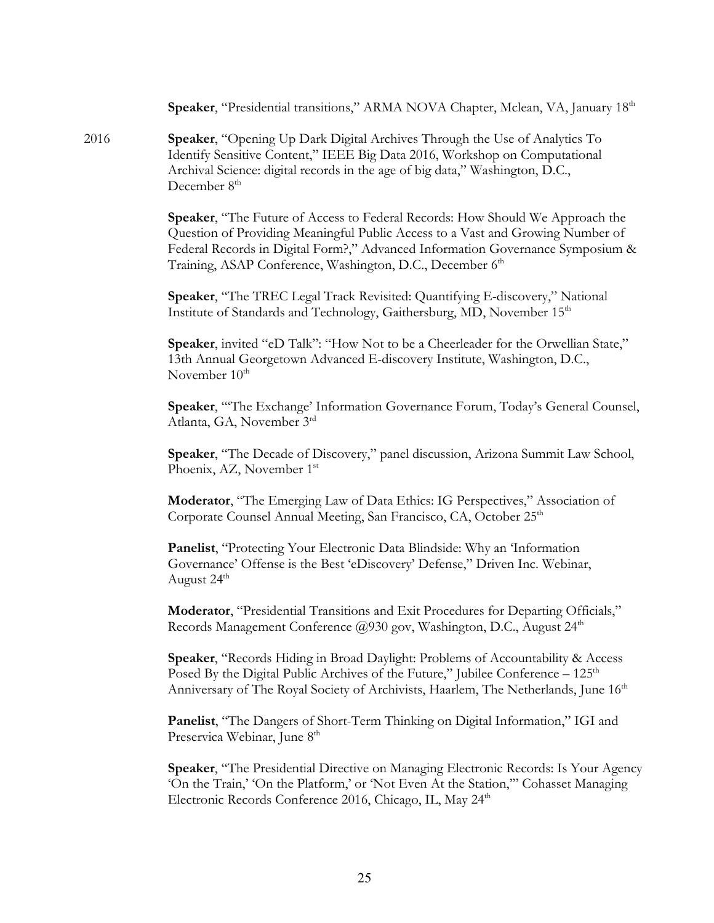2016 **Speaker**, "Opening Up Dark Digital Archives Through the Use of Analytics To Identify Sensitive Content," IEEE Big Data 2016, Workshop on Computational Archival Science: digital records in the age of big data," Washington, D.C., December 8<sup>th</sup> **Speaker**, "The Future of Access to Federal Records: How Should We Approach the Question of Providing Meaningful Public Access to a Vast and Growing Number of Federal Records in Digital Form?," Advanced Information Governance Symposium & Training, ASAP Conference, Washington, D.C., December 6<sup>th</sup>

**Speaker**, "Presidential transitions," ARMA NOVA Chapter, Mclean, VA, January 18<sup>th</sup>

**Speaker**, "The TREC Legal Track Revisited: Quantifying E-discovery," National Institute of Standards and Technology, Gaithersburg, MD, November 15<sup>th</sup>

**Speaker**, invited "eD Talk": "How Not to be a Cheerleader for the Orwellian State," 13th Annual Georgetown Advanced E-discovery Institute, Washington, D.C., November  $10<sup>th</sup>$ 

**Speaker**, "'The Exchange' Information Governance Forum, Today's General Counsel, Atlanta, GA, November 3rd

**Speaker**, "The Decade of Discovery," panel discussion, Arizona Summit Law School, Phoenix, AZ, November 1<sup>st</sup>

**Moderator**, "The Emerging Law of Data Ethics: IG Perspectives," Association of Corporate Counsel Annual Meeting, San Francisco, CA, October 25<sup>th</sup>

**Panelist**, "Protecting Your Electronic Data Blindside: Why an 'Information Governance' Offense is the Best 'eDiscovery' Defense," Driven Inc. Webinar, August 24<sup>th</sup>

**Moderator**, "Presidential Transitions and Exit Procedures for Departing Officials," Records Management Conference  $\omega$ 930 gov, Washington, D.C., August 24<sup>th</sup>

**Speaker**, "Records Hiding in Broad Daylight: Problems of Accountability & Access Posed By the Digital Public Archives of the Future," Jubilee Conference  $-125<sup>th</sup>$ Anniversary of The Royal Society of Archivists, Haarlem, The Netherlands, June 16<sup>th</sup>

**Panelist**, "The Dangers of Short-Term Thinking on Digital Information," IGI and Preservica Webinar, June 8<sup>th</sup>

**Speaker**, "The Presidential Directive on Managing Electronic Records: Is Your Agency 'On the Train,' 'On the Platform,' or 'Not Even At the Station,'" Cohasset Managing Electronic Records Conference 2016, Chicago, IL, May 24<sup>th</sup>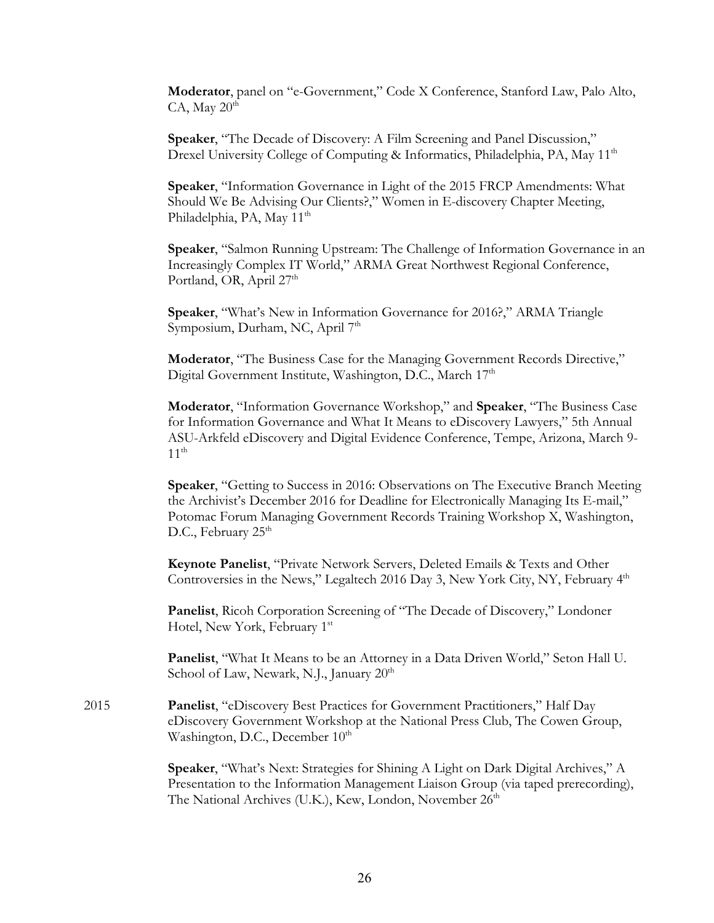**Moderator**, panel on "e-Government," Code X Conference, Stanford Law, Palo Alto,  $CA, May 20<sup>th</sup>$ 

**Speaker**, "The Decade of Discovery: A Film Screening and Panel Discussion," Drexel University College of Computing & Informatics, Philadelphia, PA, May 11<sup>th</sup>

**Speaker**, "Information Governance in Light of the 2015 FRCP Amendments: What Should We Be Advising Our Clients?," Women in E-discovery Chapter Meeting, Philadelphia, PA, May 11<sup>th</sup>

**Speaker**, "Salmon Running Upstream: The Challenge of Information Governance in an Increasingly Complex IT World," ARMA Great Northwest Regional Conference, Portland, OR, April  $27<sup>th</sup>$ 

**Speaker**, "What's New in Information Governance for 2016?," ARMA Triangle Symposium, Durham, NC, April 7<sup>th</sup>

**Moderator**, "The Business Case for the Managing Government Records Directive," Digital Government Institute, Washington, D.C., March 17<sup>th</sup>

**Moderator**, "Information Governance Workshop," and **Speaker**, "The Business Case for Information Governance and What It Means to eDiscovery Lawyers," 5th Annual ASU-Arkfeld eDiscovery and Digital Evidence Conference, Tempe, Arizona, March 9-  $11<sup>th</sup>$ 

**Speaker**, "Getting to Success in 2016: Observations on The Executive Branch Meeting the Archivist's December 2016 for Deadline for Electronically Managing Its E-mail," Potomac Forum Managing Government Records Training Workshop X, Washington, D.C., February  $25<sup>th</sup>$ 

**Keynote Panelist**, "Private Network Servers, Deleted Emails & Texts and Other Controversies in the News," Legaltech 2016 Day 3, New York City, NY, February  $4<sup>th</sup>$ 

**Panelist**, Ricoh Corporation Screening of "The Decade of Discovery," Londoner Hotel, New York, February 1st

**Panelist**, "What It Means to be an Attorney in a Data Driven World," Seton Hall U. School of Law, Newark, N.J., January  $20<sup>th</sup>$ 

2015 **Panelist**, "eDiscovery Best Practices for Government Practitioners," Half Day eDiscovery Government Workshop at the National Press Club, The Cowen Group, Washington, D.C., December  $10^{th}$ 

> **Speaker**, "What's Next: Strategies for Shining A Light on Dark Digital Archives," A Presentation to the Information Management Liaison Group (via taped prerecording), The National Archives (U.K.), Kew, London, November 26<sup>th</sup>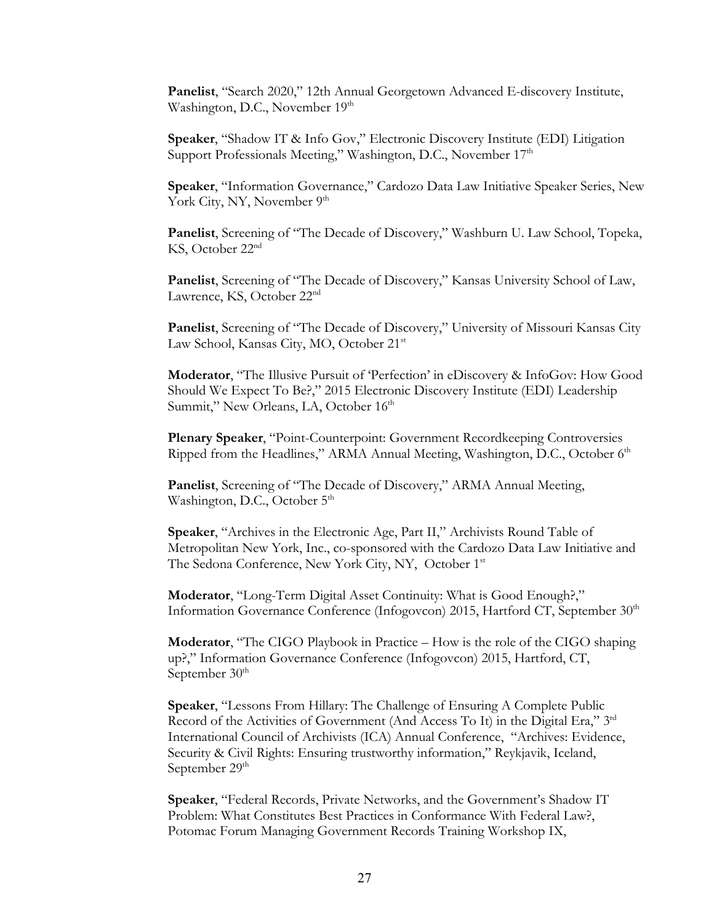**Panelist**, "Search 2020," 12th Annual Georgetown Advanced E-discovery Institute, Washington, D.C., November 19<sup>th</sup>

**Speaker**, "Shadow IT & Info Gov," Electronic Discovery Institute (EDI) Litigation Support Professionals Meeting," Washington, D.C., November 17<sup>th</sup>

**Speaker**, "Information Governance," Cardozo Data Law Initiative Speaker Series, New York City, NY, November 9<sup>th</sup>

**Panelist**, Screening of "The Decade of Discovery," Washburn U. Law School, Topeka, KS, October 22nd

**Panelist**, Screening of "The Decade of Discovery," Kansas University School of Law, Lawrence, KS, October 22nd

**Panelist**, Screening of "The Decade of Discovery," University of Missouri Kansas City Law School, Kansas City, MO, October 21<sup>st</sup>

**Moderator**, "The Illusive Pursuit of 'Perfection' in eDiscovery & InfoGov: How Good Should We Expect To Be?," 2015 Electronic Discovery Institute (EDI) Leadership Summit," New Orleans, LA, October 16<sup>th</sup>

**Plenary Speaker**, "Point-Counterpoint: Government Recordkeeping Controversies Ripped from the Headlines," ARMA Annual Meeting, Washington, D.C., October 6<sup>th</sup>

**Panelist**, Screening of "The Decade of Discovery," ARMA Annual Meeting, Washington, D.C., October 5<sup>th</sup>

**Speaker**, "Archives in the Electronic Age, Part II," Archivists Round Table of Metropolitan New York, Inc., co-sponsored with the Cardozo Data Law Initiative and The Sedona Conference, New York City, NY, October 1st

**Moderator**, "Long-Term Digital Asset Continuity: What is Good Enough?," Information Governance Conference (Infogovcon) 2015, Hartford CT, September 30<sup>th</sup>

**Moderator**, "The CIGO Playbook in Practice – How is the role of the CIGO shaping up?," Information Governance Conference (Infogovcon) 2015, Hartford, CT, September  $30<sup>th</sup>$ 

**Speaker**, "Lessons From Hillary: The Challenge of Ensuring A Complete Public Record of the Activities of Government (And Access To It) in the Digital Era," 3rd International Council of Archivists (ICA) Annual Conference, "Archives: Evidence, Security & Civil Rights: Ensuring trustworthy information," Reykjavik, Iceland, September 29<sup>th</sup>

**Speaker**, "Federal Records, Private Networks, and the Government's Shadow IT Problem: What Constitutes Best Practices in Conformance With Federal Law?, Potomac Forum Managing Government Records Training Workshop IX,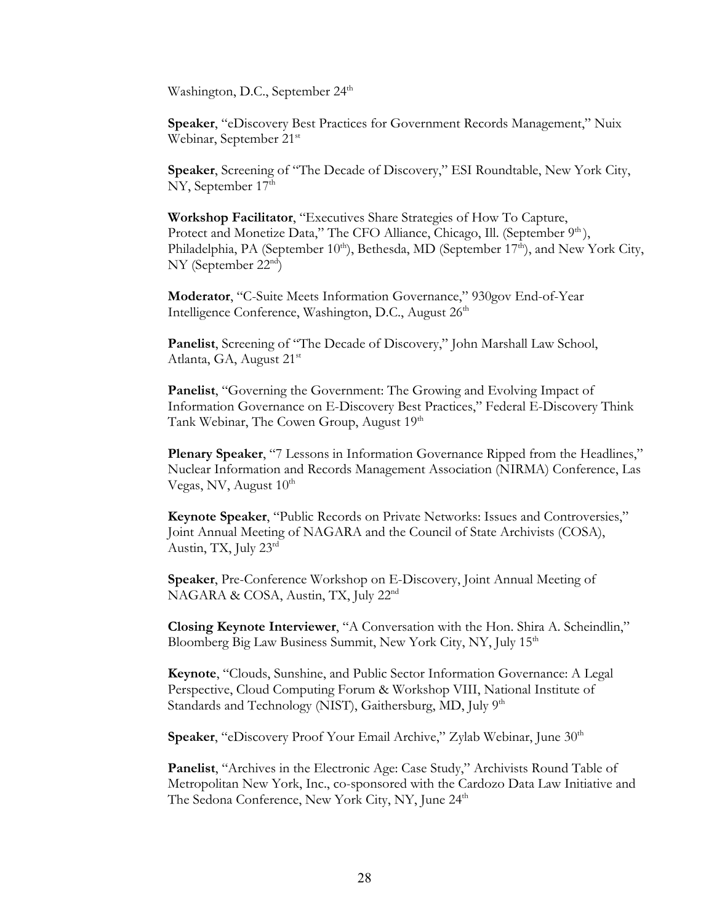Washington, D.C., September 24<sup>th</sup>

**Speaker**, "eDiscovery Best Practices for Government Records Management," Nuix Webinar, September 21<sup>st</sup>

**Speaker**, Screening of "The Decade of Discovery," ESI Roundtable, New York City, NY, September  $17<sup>th</sup>$ 

**Workshop Facilitator**, "Executives Share Strategies of How To Capture, Protect and Monetize Data," The CFO Alliance, Chicago, Ill. (September 9<sup>th</sup>), Philadelphia, PA (September  $10^{th}$ ), Bethesda, MD (September  $17^{th}$ ), and New York City,  $NY$  (September  $22<sup>nd</sup>$ )

**Moderator**, "C-Suite Meets Information Governance," 930gov End-of-Year Intelligence Conference, Washington, D.C., August  $26<sup>th</sup>$ 

**Panelist**, Screening of "The Decade of Discovery," John Marshall Law School, Atlanta, GA, August 21<sup>st</sup>

**Panelist**, "Governing the Government: The Growing and Evolving Impact of Information Governance on E-Discovery Best Practices," Federal E-Discovery Think Tank Webinar, The Cowen Group, August 19<sup>th</sup>

**Plenary Speaker**, "7 Lessons in Information Governance Ripped from the Headlines," Nuclear Information and Records Management Association (NIRMA) Conference, Las Vegas, NV, August  $10<sup>th</sup>$ 

**Keynote Speaker**, "Public Records on Private Networks: Issues and Controversies," Joint Annual Meeting of NAGARA and the Council of State Archivists (COSA), Austin, TX, July 23rd

**Speaker**, Pre-Conference Workshop on E-Discovery, Joint Annual Meeting of NAGARA & COSA, Austin, TX, July 22<sup>nd</sup>

**Closing Keynote Interviewer**, "A Conversation with the Hon. Shira A. Scheindlin," Bloomberg Big Law Business Summit, New York City, NY, July 15<sup>th</sup>

**Keynote**, "Clouds, Sunshine, and Public Sector Information Governance: A Legal Perspective, Cloud Computing Forum & Workshop VIII, National Institute of Standards and Technology (NIST), Gaithersburg, MD, July 9<sup>th</sup>

**Speaker,** "eDiscovery Proof Your Email Archive," Zylab Webinar, June 30<sup>th</sup>

**Panelist**, "Archives in the Electronic Age: Case Study," Archivists Round Table of Metropolitan New York, Inc., co-sponsored with the Cardozo Data Law Initiative and The Sedona Conference, New York City, NY, June 24<sup>th</sup>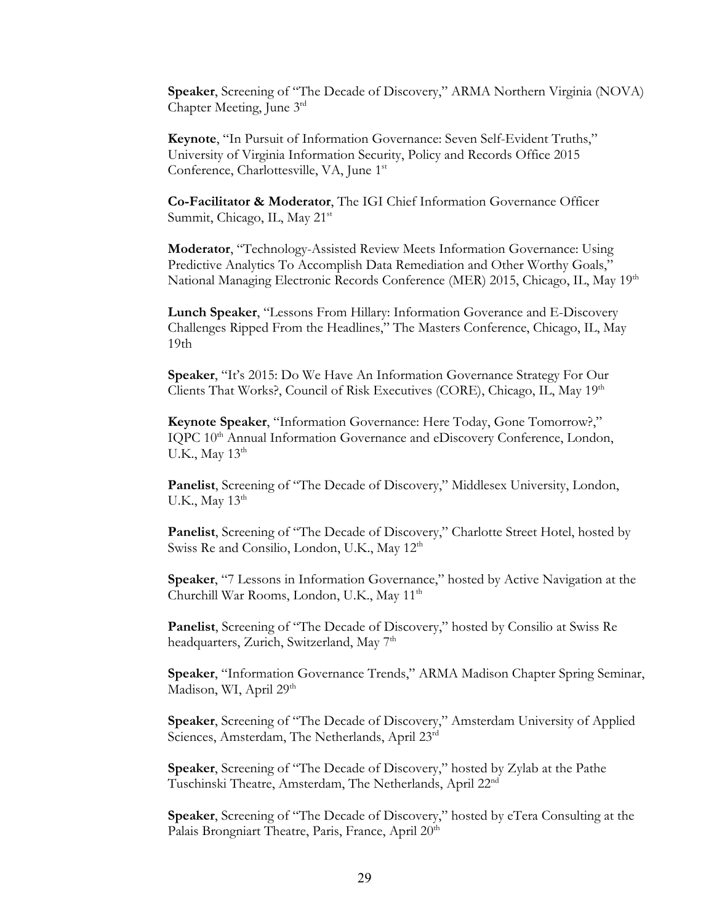**Speaker**, Screening of "The Decade of Discovery," ARMA Northern Virginia (NOVA) Chapter Meeting, June 3rd

**Keynote**, "In Pursuit of Information Governance: Seven Self-Evident Truths," University of Virginia Information Security, Policy and Records Office 2015 Conference, Charlottesville, VA, June 1<sup>st</sup>

**Co-Facilitator & Moderator**, The IGI Chief Information Governance Officer Summit, Chicago, IL, May 21<sup>st</sup>

**Moderator**, "Technology-Assisted Review Meets Information Governance: Using Predictive Analytics To Accomplish Data Remediation and Other Worthy Goals," National Managing Electronic Records Conference (MER) 2015, Chicago, IL, May 19<sup>th</sup>

**Lunch Speaker**, "Lessons From Hillary: Information Goverance and E-Discovery Challenges Ripped From the Headlines," The Masters Conference, Chicago, IL, May 19th

**Speaker**, "It's 2015: Do We Have An Information Governance Strategy For Our Clients That Works?, Council of Risk Executives (CORE), Chicago, IL, May 19<sup>th</sup>

**Keynote Speaker**, "Information Governance: Here Today, Gone Tomorrow?," IQPC 10<sup>th</sup> Annual Information Governance and eDiscovery Conference, London, U.K., May  $13<sup>th</sup>$ 

**Panelist**, Screening of "The Decade of Discovery," Middlesex University, London, U.K., May  $13<sup>th</sup>$ 

**Panelist**, Screening of "The Decade of Discovery," Charlotte Street Hotel, hosted by Swiss Re and Consilio, London, U.K., May 12<sup>th</sup>

**Speaker**, "7 Lessons in Information Governance," hosted by Active Navigation at the Churchill War Rooms, London, U.K., May 11<sup>th</sup>

**Panelist**, Screening of "The Decade of Discovery," hosted by Consilio at Swiss Re headquarters, Zurich, Switzerland, May 7<sup>th</sup>

**Speaker**, "Information Governance Trends," ARMA Madison Chapter Spring Seminar, Madison, WI, April 29<sup>th</sup>

**Speaker**, Screening of "The Decade of Discovery," Amsterdam University of Applied Sciences, Amsterdam, The Netherlands, April 23rd

**Speaker**, Screening of "The Decade of Discovery," hosted by Zylab at the Pathe Tuschinski Theatre, Amsterdam, The Netherlands, April 22nd

**Speaker**, Screening of "The Decade of Discovery," hosted by eTera Consulting at the Palais Brongniart Theatre, Paris, France, April 20<sup>th</sup>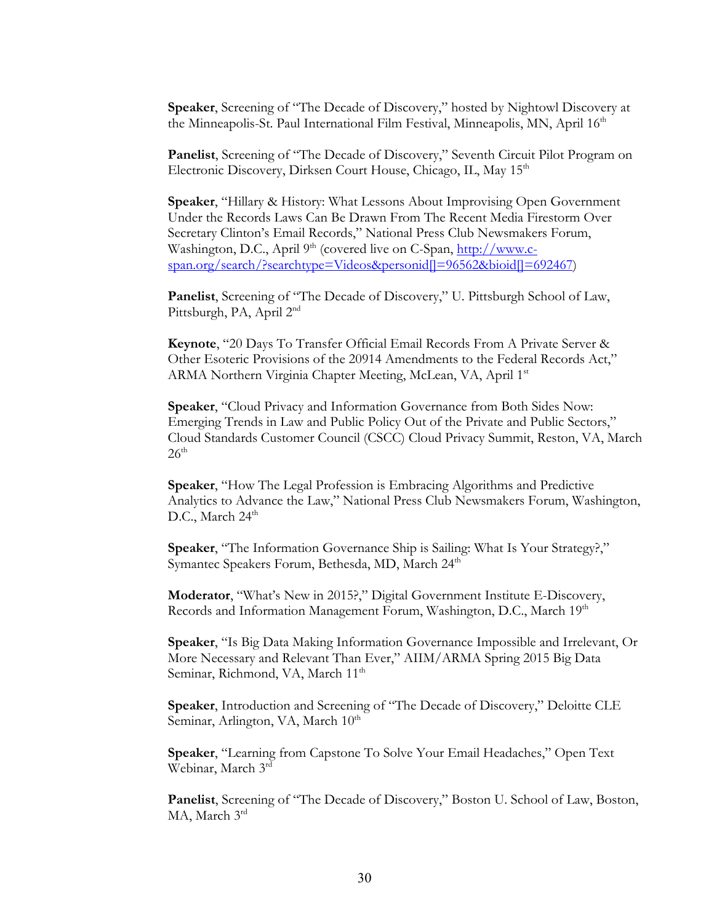**Speaker**, Screening of "The Decade of Discovery," hosted by Nightowl Discovery at the Minneapolis-St. Paul International Film Festival, Minneapolis, MN, April 16<sup>th</sup>

**Panelist**, Screening of "The Decade of Discovery," Seventh Circuit Pilot Program on Electronic Discovery, Dirksen Court House, Chicago, IL, May 15<sup>th</sup>

**Speaker**, "Hillary & History: What Lessons About Improvising Open Government Under the Records Laws Can Be Drawn From The Recent Media Firestorm Over Secretary Clinton's Email Records," National Press Club Newsmakers Forum, Washington, D.C., April 9<sup>th</sup> (covered live on C-Span, http://www.cspan.org/search/?searchtype=Videos&personid[]=96562&bioid[]=692467)

**Panelist**, Screening of "The Decade of Discovery," U. Pittsburgh School of Law, Pittsburgh, PA, April 2<sup>nd</sup>

**Keynote**, "20 Days To Transfer Official Email Records From A Private Server & Other Esoteric Provisions of the 20914 Amendments to the Federal Records Act," ARMA Northern Virginia Chapter Meeting, McLean, VA, April 1st

**Speaker**, "Cloud Privacy and Information Governance from Both Sides Now: Emerging Trends in Law and Public Policy Out of the Private and Public Sectors," Cloud Standards Customer Council (CSCC) Cloud Privacy Summit, Reston, VA, March  $26<sup>th</sup>$ 

**Speaker**, "How The Legal Profession is Embracing Algorithms and Predictive Analytics to Advance the Law," National Press Club Newsmakers Forum, Washington, D.C., March  $24<sup>th</sup>$ 

**Speaker**, "The Information Governance Ship is Sailing: What Is Your Strategy?," Symantec Speakers Forum, Bethesda, MD, March 24<sup>th</sup>

**Moderator**, "What's New in 2015?," Digital Government Institute E-Discovery, Records and Information Management Forum, Washington, D.C., March 19th

**Speaker**, "Is Big Data Making Information Governance Impossible and Irrelevant, Or More Necessary and Relevant Than Ever," AIIM/ARMA Spring 2015 Big Data Seminar, Richmond, VA, March 11<sup>th</sup>

**Speaker**, Introduction and Screening of "The Decade of Discovery," Deloitte CLE Seminar, Arlington, VA, March 10<sup>th</sup>

**Speaker**, "Learning from Capstone To Solve Your Email Headaches," Open Text Webinar, March 3rd

**Panelist**, Screening of "The Decade of Discovery," Boston U. School of Law, Boston, MA, March 3rd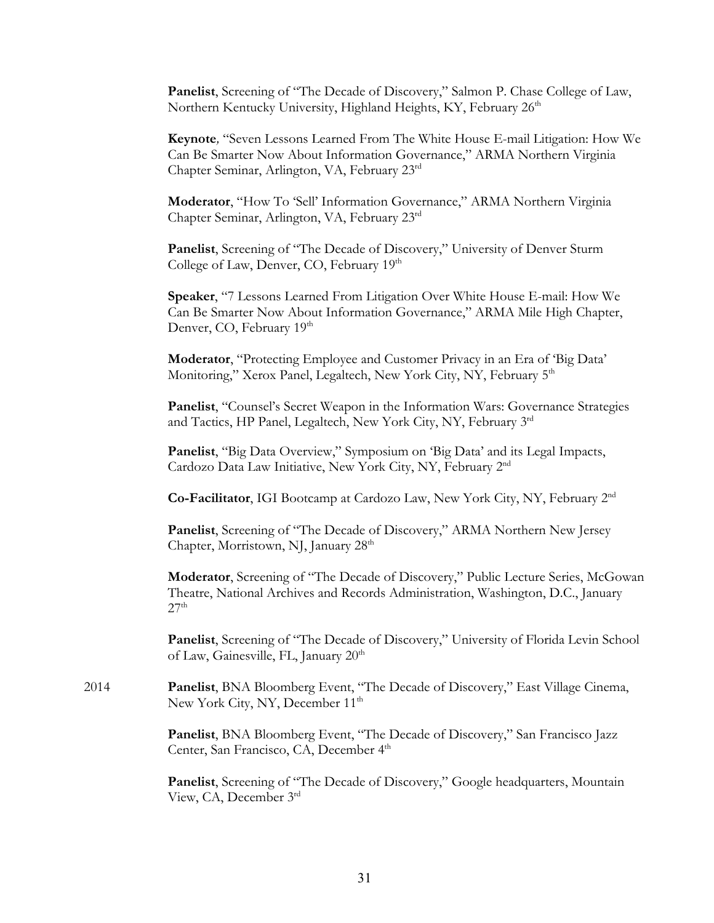**Panelist**, Screening of "The Decade of Discovery," Salmon P. Chase College of Law, Northern Kentucky University, Highland Heights, KY, February 26<sup>th</sup>

**Keynote***,* "Seven Lessons Learned From The White House E-mail Litigation: How We Can Be Smarter Now About Information Governance," ARMA Northern Virginia Chapter Seminar, Arlington, VA, February 23rd

**Moderator**, "How To 'Sell' Information Governance," ARMA Northern Virginia Chapter Seminar, Arlington, VA, February 23rd

**Panelist**, Screening of "The Decade of Discovery," University of Denver Sturm College of Law, Denver, CO, February 19<sup>th</sup>

**Speaker**, "7 Lessons Learned From Litigation Over White House E-mail: How We Can Be Smarter Now About Information Governance," ARMA Mile High Chapter, Denver, CO, February 19<sup>th</sup>

**Moderator**, "Protecting Employee and Customer Privacy in an Era of 'Big Data' Monitoring," Xerox Panel, Legaltech, New York City, NY, February 5<sup>th</sup>

**Panelist**, "Counsel's Secret Weapon in the Information Wars: Governance Strategies and Tactics, HP Panel, Legaltech, New York City, NY, February 3rd

**Panelist**, "Big Data Overview," Symposium on 'Big Data' and its Legal Impacts, Cardozo Data Law Initiative, New York City, NY, February 2nd

**Co-Facilitator**, IGI Bootcamp at Cardozo Law, New York City, NY, February 2nd

**Panelist**, Screening of "The Decade of Discovery," ARMA Northern New Jersey Chapter, Morristown, NJ, January 28<sup>th</sup>

**Moderator**, Screening of "The Decade of Discovery," Public Lecture Series, McGowan Theatre, National Archives and Records Administration, Washington, D.C., January  $27<sup>th</sup>$ 

**Panelist**, Screening of "The Decade of Discovery," University of Florida Levin School of Law, Gainesville, FL, January 20<sup>th</sup>

2014 **Panelist**, BNA Bloomberg Event, "The Decade of Discovery," East Village Cinema, New York City, NY, December  $11<sup>th</sup>$ 

> **Panelist**, BNA Bloomberg Event, "The Decade of Discovery," San Francisco Jazz Center, San Francisco, CA, December 4<sup>th</sup>

Panelist, Screening of "The Decade of Discovery," Google headquarters, Mountain View, CA, December 3rd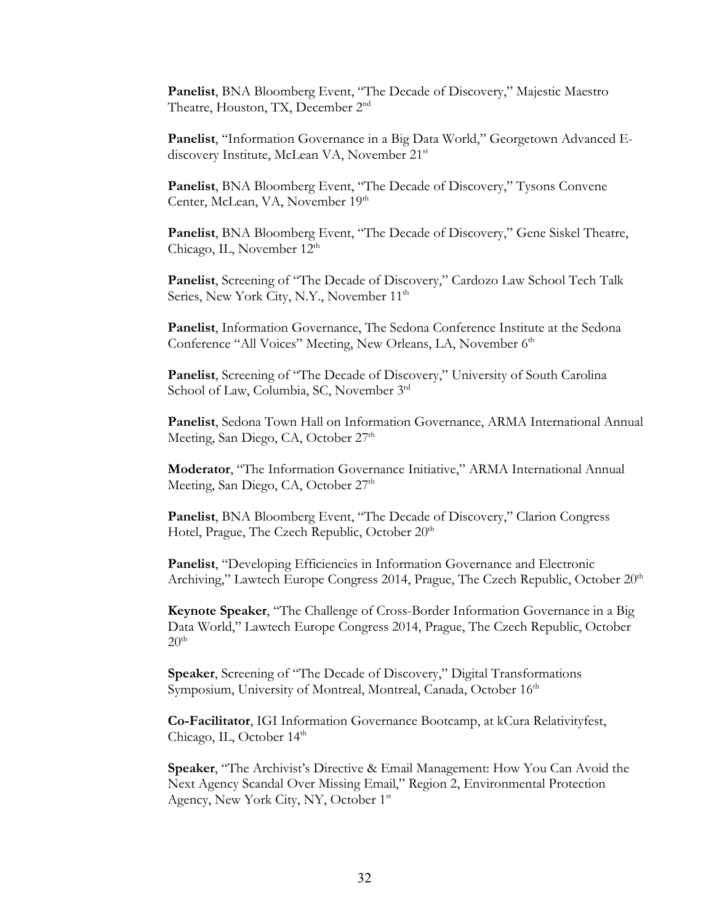**Panelist**, BNA Bloomberg Event, "The Decade of Discovery," Majestic Maestro Theatre, Houston, TX, December 2<sup>nd</sup>

**Panelist**, "Information Governance in a Big Data World," Georgetown Advanced Ediscovery Institute, McLean VA, November 21<sup>st</sup>

**Panelist**, BNA Bloomberg Event, "The Decade of Discovery," Tysons Convene Center, McLean, VA, November 19<sup>th</sup>

**Panelist**, BNA Bloomberg Event, "The Decade of Discovery," Gene Siskel Theatre, Chicago, IL, November 12<sup>th</sup>

**Panelist**, Screening of "The Decade of Discovery," Cardozo Law School Tech Talk Series, New York City, N.Y., November 11<sup>th</sup>

**Panelist**, Information Governance, The Sedona Conference Institute at the Sedona Conference "All Voices" Meeting, New Orleans, LA, November 6th

**Panelist**, Screening of "The Decade of Discovery," University of South Carolina School of Law, Columbia, SC, November 3rd

**Panelist**, Sedona Town Hall on Information Governance, ARMA International Annual Meeting, San Diego, CA, October 27<sup>th</sup>

**Moderator**, "The Information Governance Initiative," ARMA International Annual Meeting, San Diego, CA, October 27<sup>th</sup>

**Panelist**, BNA Bloomberg Event, "The Decade of Discovery," Clarion Congress Hotel, Prague, The Czech Republic, October  $20<sup>th</sup>$ 

**Panelist**, "Developing Efficiencies in Information Governance and Electronic Archiving," Lawtech Europe Congress 2014, Prague, The Czech Republic, October  $20<sup>th</sup>$ 

**Keynote Speaker**, "The Challenge of Cross-Border Information Governance in a Big Data World," Lawtech Europe Congress 2014, Prague, The Czech Republic, October  $20<sup>th</sup>$ 

**Speaker**, Screening of "The Decade of Discovery," Digital Transformations Symposium, University of Montreal, Montreal, Canada, October 16<sup>th</sup>

**Co-Facilitator**, IGI Information Governance Bootcamp, at kCura Relativityfest, Chicago, IL, October  $14<sup>th</sup>$ 

**Speaker**, "The Archivist's Directive & Email Management: How You Can Avoid the Next Agency Scandal Over Missing Email," Region 2, Environmental Protection Agency, New York City, NY, October 1st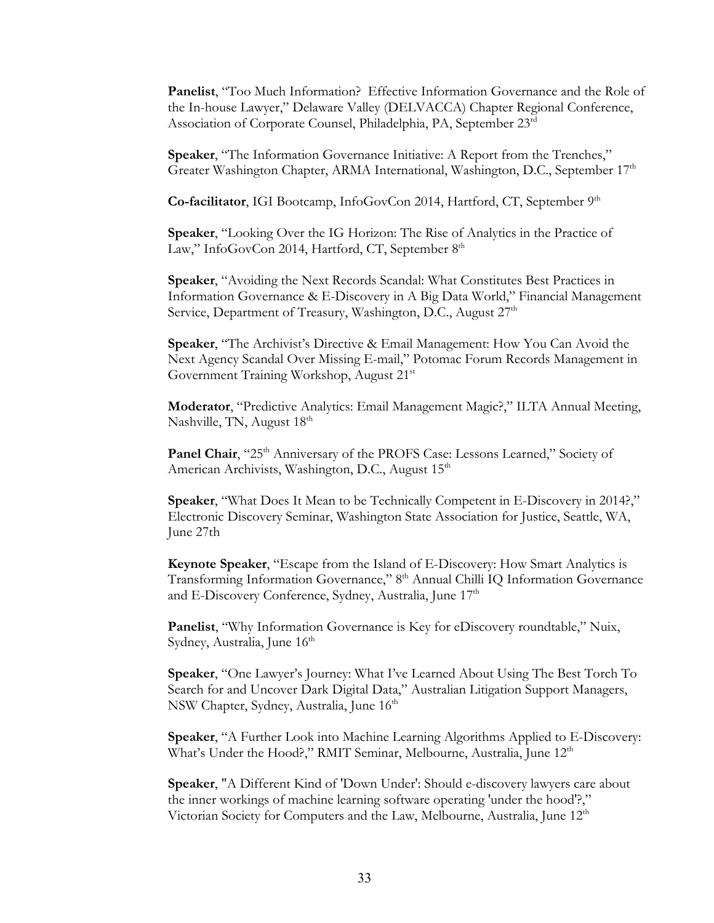**Panelist**, "Too Much Information? Effective Information Governance and the Role of the In-house Lawyer," Delaware Valley (DELVACCA) Chapter Regional Conference, Association of Corporate Counsel, Philadelphia, PA, September 23rd

**Speaker**, "The Information Governance Initiative: A Report from the Trenches," Greater Washington Chapter, ARMA International, Washington, D.C., September 17<sup>th</sup>

**Co-facilitator**, IGI Bootcamp, InfoGovCon 2014, Hartford, CT, September 9<sup>th</sup>

**Speaker**, "Looking Over the IG Horizon: The Rise of Analytics in the Practice of Law," InfoGovCon 2014, Hartford, CT, September 8<sup>th</sup>

**Speaker**, "Avoiding the Next Records Scandal: What Constitutes Best Practices in Information Governance & E-Discovery in A Big Data World," Financial Management Service, Department of Treasury, Washington, D.C., August 27<sup>th</sup>

**Speaker**, "The Archivist's Directive & Email Management: How You Can Avoid the Next Agency Scandal Over Missing E-mail," Potomac Forum Records Management in Government Training Workshop, August 21<sup>st</sup>

**Moderator**, "Predictive Analytics: Email Management Magic?," ILTA Annual Meeting, Nashville, TN, August 18th

Panel Chair, "25<sup>th</sup> Anniversary of the PROFS Case: Lessons Learned," Society of American Archivists, Washington, D.C., August 15<sup>th</sup>

**Speaker**, "What Does It Mean to be Technically Competent in E-Discovery in 2014?," Electronic Discovery Seminar, Washington State Association for Justice, Seattle, WA, June 27th

**Keynote Speaker**, "Escape from the Island of E-Discovery: How Smart Analytics is Transforming Information Governance," 8<sup>th</sup> Annual Chilli IQ Information Governance and E-Discovery Conference, Sydney, Australia, June 17<sup>th</sup>

**Panelist**, "Why Information Governance is Key for eDiscovery roundtable," Nuix, Sydney, Australia, June  $16<sup>th</sup>$ 

**Speaker**, "One Lawyer's Journey: What I've Learned About Using The Best Torch To Search for and Uncover Dark Digital Data," Australian Litigation Support Managers, NSW Chapter, Sydney, Australia, June 16<sup>th</sup>

**Speaker**, "A Further Look into Machine Learning Algorithms Applied to E-Discovery: What's Under the Hood?," RMIT Seminar, Melbourne, Australia, June 12<sup>th</sup>

**Speaker**, "A Different Kind of 'Down Under': Should e-discovery lawyers care about the inner workings of machine learning software operating 'under the hood'?," Victorian Society for Computers and the Law, Melbourne, Australia, June  $12<sup>th</sup>$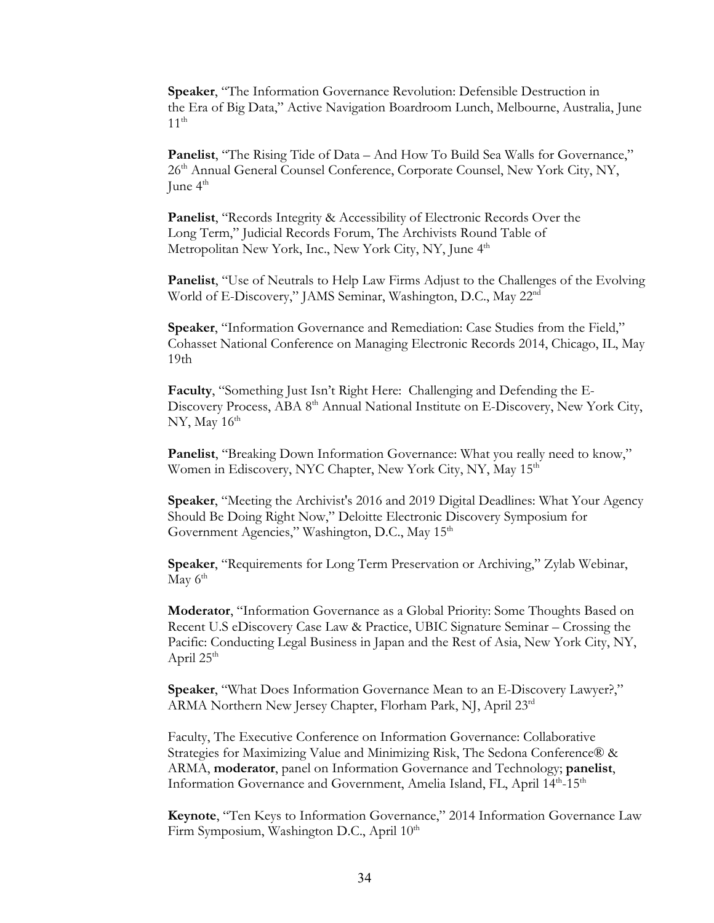**Speaker**, "The Information Governance Revolution: Defensible Destruction in the Era of Big Data," Active Navigation Boardroom Lunch, Melbourne, Australia, June  $11<sup>th</sup>$ 

**Panelist**, "The Rising Tide of Data – And How To Build Sea Walls for Governance," 26<sup>th</sup> Annual General Counsel Conference, Corporate Counsel, New York City, NY, June  $4<sup>th</sup>$ 

**Panelist**, "Records Integrity & Accessibility of Electronic Records Over the Long Term," Judicial Records Forum, The Archivists Round Table of Metropolitan New York, Inc., New York City, NY, June 4<sup>th</sup>

**Panelist**, "Use of Neutrals to Help Law Firms Adjust to the Challenges of the Evolving World of E-Discovery," JAMS Seminar, Washington, D.C., May 22nd

**Speaker**, "Information Governance and Remediation: Case Studies from the Field," Cohasset National Conference on Managing Electronic Records 2014, Chicago, IL, May 19th

**Faculty**, "Something Just Isn't Right Here: Challenging and Defending the E-Discovery Process, ABA 8<sup>th</sup> Annual National Institute on E-Discovery, New York City,  $NY, May 16<sup>th</sup>$ 

**Panelist**, "Breaking Down Information Governance: What you really need to know," Women in Ediscovery, NYC Chapter, New York City, NY, May 15<sup>th</sup>

**Speaker**, "Meeting the Archivist's 2016 and 2019 Digital Deadlines: What Your Agency Should Be Doing Right Now," Deloitte Electronic Discovery Symposium for Government Agencies," Washington, D.C., May 15<sup>th</sup>

**Speaker**, "Requirements for Long Term Preservation or Archiving," Zylab Webinar, May  $6<sup>th</sup>$ 

**Moderator**, "Information Governance as a Global Priority: Some Thoughts Based on Recent U.S eDiscovery Case Law & Practice, UBIC Signature Seminar – Crossing the Pacific: Conducting Legal Business in Japan and the Rest of Asia, New York City, NY, April  $25<sup>th</sup>$ 

**Speaker**, "What Does Information Governance Mean to an E-Discovery Lawyer?," ARMA Northern New Jersey Chapter, Florham Park, NJ, April 23<sup>rd</sup>

Faculty, The Executive Conference on Information Governance: Collaborative Strategies for Maximizing Value and Minimizing Risk, The Sedona Conference® & ARMA, **moderator**, panel on Information Governance and Technology; **panelist**, Information Governance and Government, Amelia Island, FL, April 14th-15th

**Keynote**, "Ten Keys to Information Governance," 2014 Information Governance Law Firm Symposium, Washington D.C., April 10<sup>th</sup>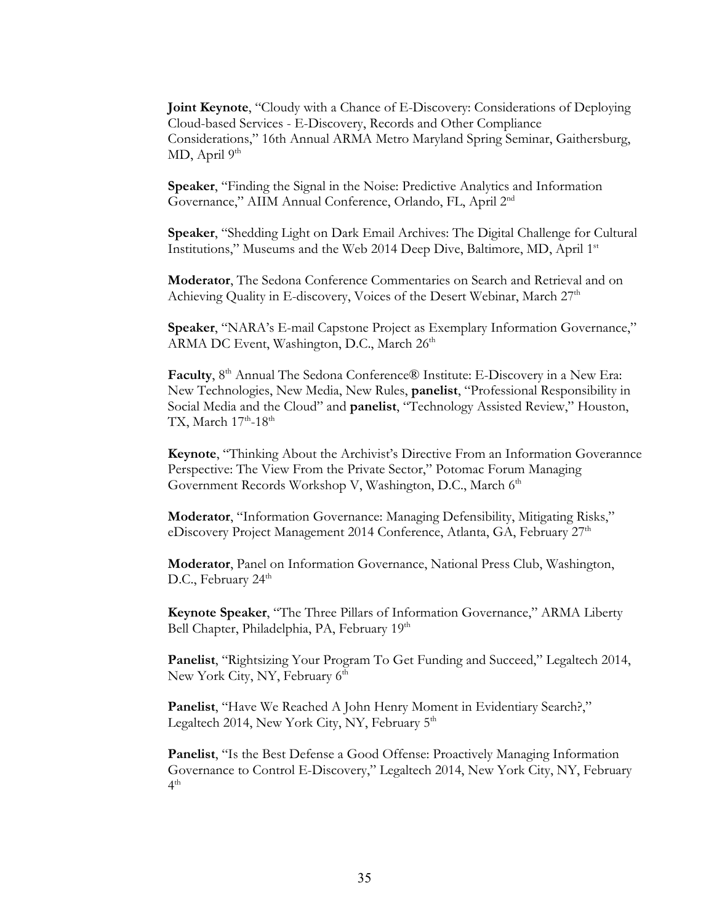**Joint Keynote**, "Cloudy with a Chance of E-Discovery: Considerations of Deploying Cloud-based Services - E-Discovery, Records and Other Compliance Considerations," 16th Annual ARMA Metro Maryland Spring Seminar, Gaithersburg, MD, April  $9<sup>th</sup>$ 

**Speaker**, "Finding the Signal in the Noise: Predictive Analytics and Information Governance," AIIM Annual Conference, Orlando, FL, April 2nd

**Speaker**, "Shedding Light on Dark Email Archives: The Digital Challenge for Cultural Institutions," Museums and the Web 2014 Deep Dive, Baltimore, MD, April 1st

**Moderator**, The Sedona Conference Commentaries on Search and Retrieval and on Achieving Quality in E-discovery, Voices of the Desert Webinar, March  $27<sup>th</sup>$ 

**Speaker**, "NARA's E-mail Capstone Project as Exemplary Information Governance," ARMA DC Event, Washington, D.C., March 26<sup>th</sup>

**Faculty**, 8<sup>th</sup> Annual The Sedona Conference® Institute: E-Discovery in a New Era: New Technologies, New Media, New Rules, **panelist**, "Professional Responsibility in Social Media and the Cloud" and **panelist**, "Technology Assisted Review," Houston, TX, March  $17<sup>th</sup>$ -18<sup>th</sup>

**Keynote**, "Thinking About the Archivist's Directive From an Information Goverannce Perspective: The View From the Private Sector," Potomac Forum Managing Government Records Workshop V, Washington, D.C., March 6<sup>th</sup>

**Moderator**, "Information Governance: Managing Defensibility, Mitigating Risks," eDiscovery Project Management 2014 Conference, Atlanta, GA, February  $27<sup>th</sup>$ 

**Moderator**, Panel on Information Governance, National Press Club, Washington, D.C., February 24<sup>th</sup>

**Keynote Speaker**, "The Three Pillars of Information Governance," ARMA Liberty Bell Chapter, Philadelphia, PA, February 19<sup>th</sup>

**Panelist**, "Rightsizing Your Program To Get Funding and Succeed," Legaltech 2014, New York City, NY, February 6<sup>th</sup>

**Panelist**, "Have We Reached A John Henry Moment in Evidentiary Search?," Legaltech 2014, New York City, NY, February 5<sup>th</sup>

**Panelist**, "Is the Best Defense a Good Offense: Proactively Managing Information Governance to Control E-Discovery," Legaltech 2014, New York City, NY, February  $4<sup>th</sup>$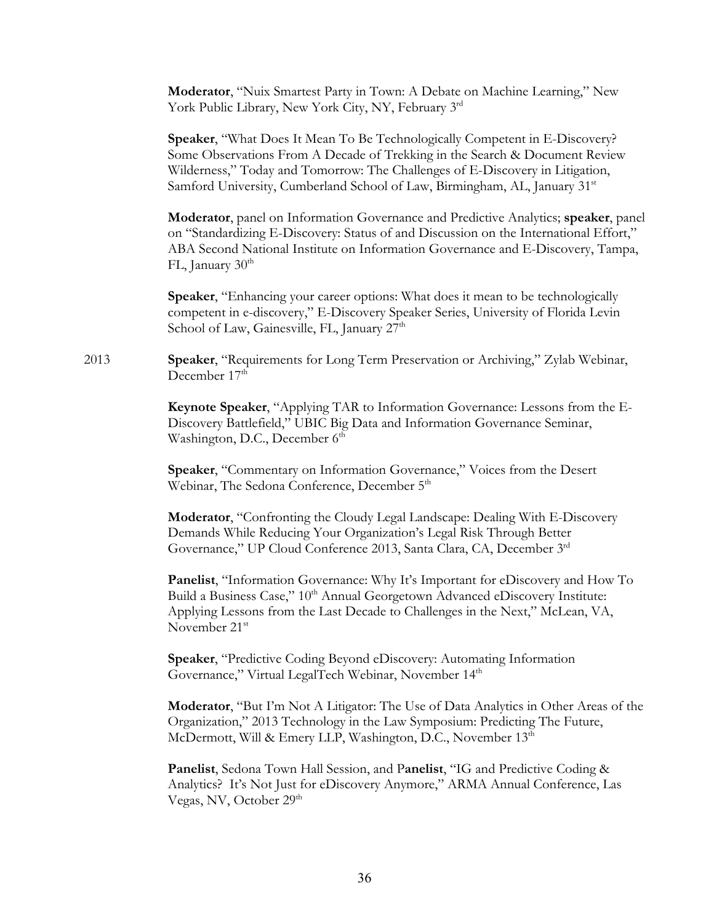**Moderator**, "Nuix Smartest Party in Town: A Debate on Machine Learning," New York Public Library, New York City, NY, February 3rd

**Speaker**, "What Does It Mean To Be Technologically Competent in E-Discovery? Some Observations From A Decade of Trekking in the Search & Document Review Wilderness," Today and Tomorrow: The Challenges of E-Discovery in Litigation, Samford University, Cumberland School of Law, Birmingham, AL, January 31<sup>st</sup>

**Moderator**, panel on Information Governance and Predictive Analytics; **speaker**, panel on "Standardizing E-Discovery: Status of and Discussion on the International Effort," ABA Second National Institute on Information Governance and E-Discovery, Tampa, FL, January  $30<sup>th</sup>$ 

**Speaker**, "Enhancing your career options: What does it mean to be technologically competent in e-discovery," E-Discovery Speaker Series, University of Florida Levin School of Law, Gainesville, FL, January 27<sup>th</sup>

2013 **Speaker**, "Requirements for Long Term Preservation or Archiving," Zylab Webinar, December 17<sup>th</sup>

> **Keynote Speaker**, "Applying TAR to Information Governance: Lessons from the E-Discovery Battlefield," UBIC Big Data and Information Governance Seminar, Washington, D.C., December  $6<sup>th</sup>$

**Speaker**, "Commentary on Information Governance," Voices from the Desert Webinar, The Sedona Conference, December 5<sup>th</sup>

**Moderator**, "Confronting the Cloudy Legal Landscape: Dealing With E-Discovery Demands While Reducing Your Organization's Legal Risk Through Better Governance," UP Cloud Conference 2013, Santa Clara, CA, December 3rd

**Panelist**, "Information Governance: Why It's Important for eDiscovery and How To Build a Business Case," 10<sup>th</sup> Annual Georgetown Advanced eDiscovery Institute: Applying Lessons from the Last Decade to Challenges in the Next," McLean, VA, November 21<sup>st</sup>

**Speaker**, "Predictive Coding Beyond eDiscovery: Automating Information Governance," Virtual LegalTech Webinar, November 14<sup>th</sup>

**Moderator**, "But I'm Not A Litigator: The Use of Data Analytics in Other Areas of the Organization," 2013 Technology in the Law Symposium: Predicting The Future, McDermott, Will & Emery LLP, Washington, D.C., November 13<sup>th</sup>

**Panelist**, Sedona Town Hall Session, and P**anelist**, "IG and Predictive Coding & Analytics? It's Not Just for eDiscovery Anymore," ARMA Annual Conference, Las Vegas, NV, October 29<sup>th</sup>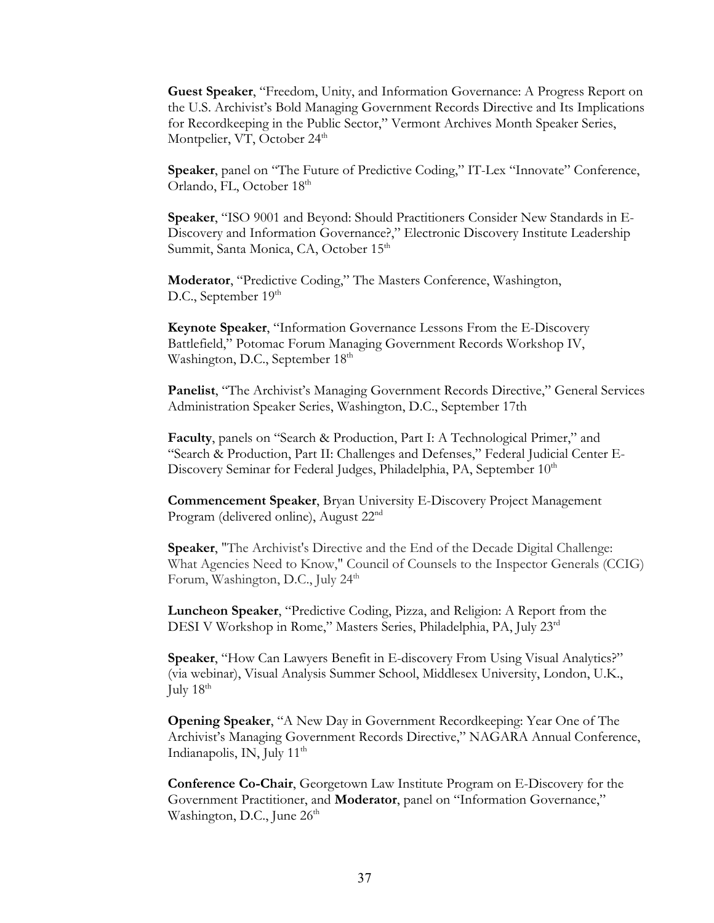**Guest Speaker**, "Freedom, Unity, and Information Governance: A Progress Report on the U.S. Archivist's Bold Managing Government Records Directive and Its Implications for Recordkeeping in the Public Sector," Vermont Archives Month Speaker Series, Montpelier, VT, October 24<sup>th</sup>

**Speaker**, panel on "The Future of Predictive Coding," IT-Lex "Innovate" Conference, Orlando, FL, October 18<sup>th</sup>

**Speaker**, "ISO 9001 and Beyond: Should Practitioners Consider New Standards in E-Discovery and Information Governance?," Electronic Discovery Institute Leadership Summit, Santa Monica, CA, October 15<sup>th</sup>

**Moderator**, "Predictive Coding," The Masters Conference, Washington, D.C., September 19<sup>th</sup>

**Keynote Speaker**, "Information Governance Lessons From the E-Discovery Battlefield," Potomac Forum Managing Government Records Workshop IV, Washington, D.C., September 18<sup>th</sup>

**Panelist**, "The Archivist's Managing Government Records Directive," General Services Administration Speaker Series, Washington, D.C., September 17th

**Faculty**, panels on "Search & Production, Part I: A Technological Primer," and "Search & Production, Part II: Challenges and Defenses," Federal Judicial Center E-Discovery Seminar for Federal Judges, Philadelphia, PA, September 10<sup>th</sup>

**Commencement Speaker**, Bryan University E-Discovery Project Management Program (delivered online), August 22<sup>nd</sup>

**Speaker**, "The Archivist's Directive and the End of the Decade Digital Challenge: What Agencies Need to Know," Council of Counsels to the Inspector Generals (CCIG) Forum, Washington, D.C., July 24<sup>th</sup>

**Luncheon Speaker**, "Predictive Coding, Pizza, and Religion: A Report from the DESI V Workshop in Rome," Masters Series, Philadelphia, PA, July 23rd

**Speaker**, "How Can Lawyers Benefit in E-discovery From Using Visual Analytics?" (via webinar), Visual Analysis Summer School, Middlesex University, London, U.K., July  $18<sup>th</sup>$ 

**Opening Speaker**, "A New Day in Government Recordkeeping: Year One of The Archivist's Managing Government Records Directive," NAGARA Annual Conference, Indianapolis, IN, July  $11<sup>th</sup>$ 

**Conference Co-Chair**, Georgetown Law Institute Program on E-Discovery for the Government Practitioner, and **Moderator**, panel on "Information Governance," Washington, D.C., June  $26<sup>th</sup>$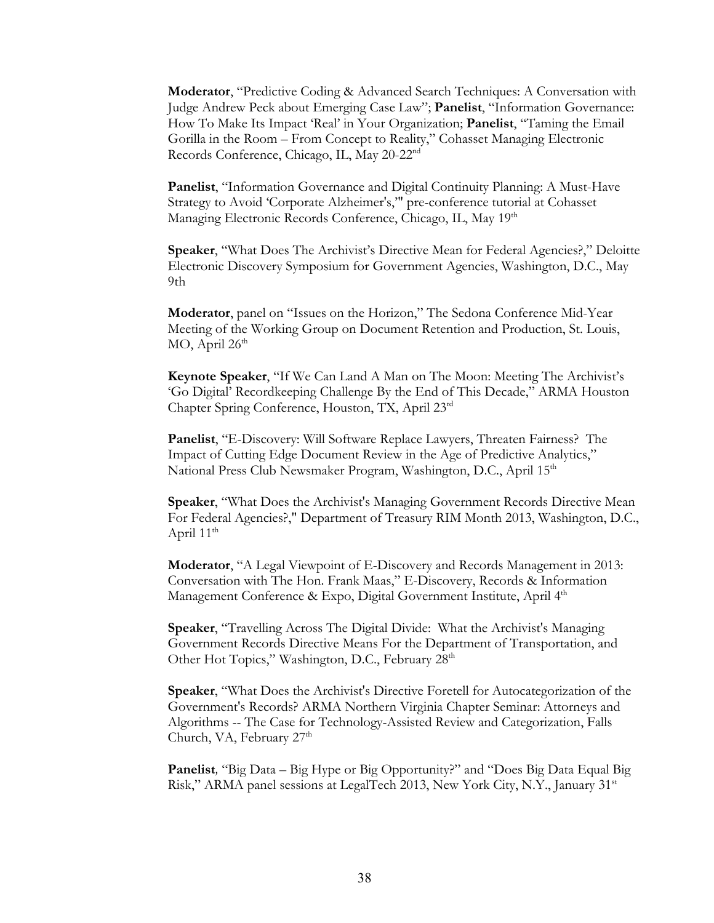**Moderator**, "Predictive Coding & Advanced Search Techniques: A Conversation with Judge Andrew Peck about Emerging Case Law"; **Panelist**, "Information Governance: How To Make Its Impact 'Real' in Your Organization; **Panelist**, "Taming the Email Gorilla in the Room – From Concept to Reality," Cohasset Managing Electronic Records Conference, Chicago, IL, May 20-22nd

**Panelist**, "Information Governance and Digital Continuity Planning: A Must-Have Strategy to Avoid 'Corporate Alzheimer's,'" pre-conference tutorial at Cohasset Managing Electronic Records Conference, Chicago, IL, May 19th

**Speaker**, "What Does The Archivist's Directive Mean for Federal Agencies?," Deloitte Electronic Discovery Symposium for Government Agencies, Washington, D.C., May 9th

**Moderator**, panel on "Issues on the Horizon," The Sedona Conference Mid-Year Meeting of the Working Group on Document Retention and Production, St. Louis,  $MO$ , April  $26<sup>th</sup>$ 

**Keynote Speaker**, "If We Can Land A Man on The Moon: Meeting The Archivist's 'Go Digital' Recordkeeping Challenge By the End of This Decade," ARMA Houston Chapter Spring Conference, Houston, TX, April 23rd

**Panelist**, "E-Discovery: Will Software Replace Lawyers, Threaten Fairness? The Impact of Cutting Edge Document Review in the Age of Predictive Analytics," National Press Club Newsmaker Program, Washington, D.C., April 15th

**Speaker**, "What Does the Archivist's Managing Government Records Directive Mean For Federal Agencies?," Department of Treasury RIM Month 2013, Washington, D.C., April  $11<sup>th</sup>$ 

**Moderator**, "A Legal Viewpoint of E-Discovery and Records Management in 2013: Conversation with The Hon. Frank Maas," E-Discovery, Records & Information Management Conference & Expo, Digital Government Institute, April  $4<sup>th</sup>$ 

**Speaker**, "Travelling Across The Digital Divide: What the Archivist's Managing Government Records Directive Means For the Department of Transportation, and Other Hot Topics," Washington, D.C., February 28<sup>th</sup>

**Speaker**, "What Does the Archivist's Directive Foretell for Autocategorization of the Government's Records? ARMA Northern Virginia Chapter Seminar: Attorneys and Algorithms -- The Case for Technology-Assisted Review and Categorization, Falls Church, VA, February  $27<sup>th</sup>$ 

**Panelist***,* "Big Data – Big Hype or Big Opportunity?" and "Does Big Data Equal Big Risk," ARMA panel sessions at LegalTech 2013, New York City, N.Y., January 31<sup>st</sup>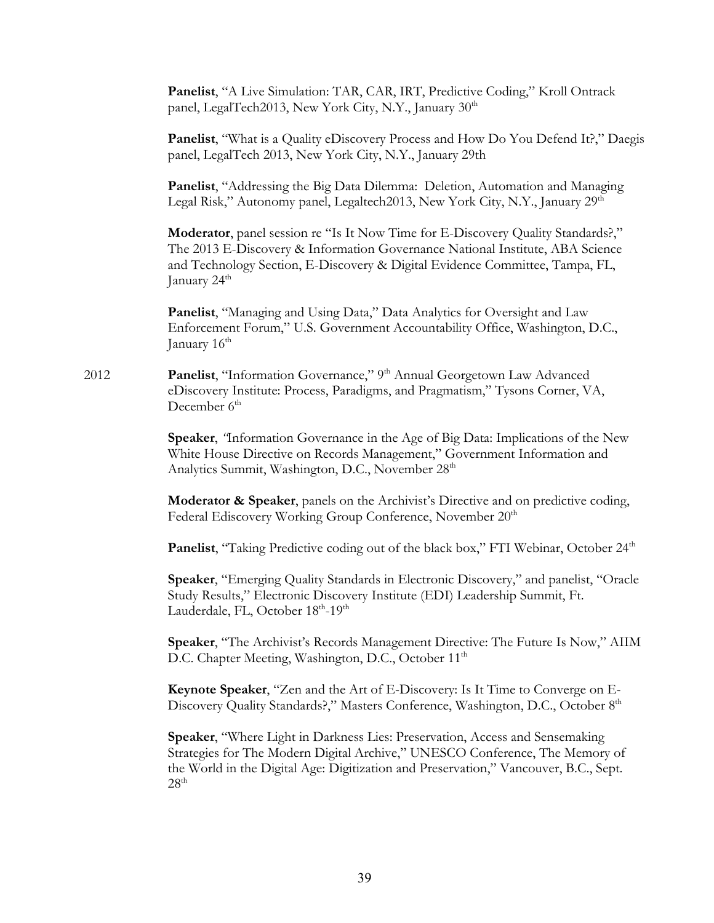**Panelist**, "A Live Simulation: TAR, CAR, IRT, Predictive Coding," Kroll Ontrack panel, LegalTech2013, New York City, N.Y., January 30<sup>th</sup>

**Panelist**, "What is a Quality eDiscovery Process and How Do You Defend It?," Daegis panel, LegalTech 2013, New York City, N.Y., January 29th

**Panelist**, "Addressing the Big Data Dilemma: Deletion, Automation and Managing Legal Risk," Autonomy panel, Legaltech2013, New York City, N.Y., January  $29<sup>th</sup>$ 

**Moderator**, panel session re "Is It Now Time for E-Discovery Quality Standards?," The 2013 E-Discovery & Information Governance National Institute, ABA Science and Technology Section, E-Discovery & Digital Evidence Committee, Tampa, FL, January  $24<sup>th</sup>$ 

**Panelist**, "Managing and Using Data," Data Analytics for Oversight and Law Enforcement Forum," U.S. Government Accountability Office, Washington, D.C., January  $16<sup>th</sup>$ 

2012 **Panelist**, "Information Governance," 9<sup>th</sup> Annual Georgetown Law Advanced eDiscovery Institute: Process, Paradigms, and Pragmatism," Tysons Corner, VA, December  $6<sup>th</sup>$ 

> **Speaker**, *"*Information Governance in the Age of Big Data: Implications of the New White House Directive on Records Management," Government Information and Analytics Summit, Washington, D.C., November 28<sup>th</sup>

> **Moderator & Speaker**, panels on the Archivist's Directive and on predictive coding, Federal Ediscovery Working Group Conference, November 20<sup>th</sup>

> **Panelist**, "Taking Predictive coding out of the black box," FTI Webinar, October 24<sup>th</sup>

**Speaker**, "Emerging Quality Standards in Electronic Discovery," and panelist, "Oracle Study Results," Electronic Discovery Institute (EDI) Leadership Summit, Ft. Lauderdale, FL, October  $18<sup>th</sup>$ -19<sup>th</sup>

**Speaker**, "The Archivist's Records Management Directive: The Future Is Now," AIIM D.C. Chapter Meeting, Washington, D.C., October 11<sup>th</sup>

**Keynote Speaker**, "Zen and the Art of E-Discovery: Is It Time to Converge on E-Discovery Quality Standards?," Masters Conference, Washington, D.C., October 8<sup>th</sup>

**Speaker**, "Where Light in Darkness Lies: Preservation, Access and Sensemaking Strategies for The Modern Digital Archive," UNESCO Conference, The Memory of the World in the Digital Age: Digitization and Preservation," Vancouver, B.C., Sept.  $28^{\text{th}}$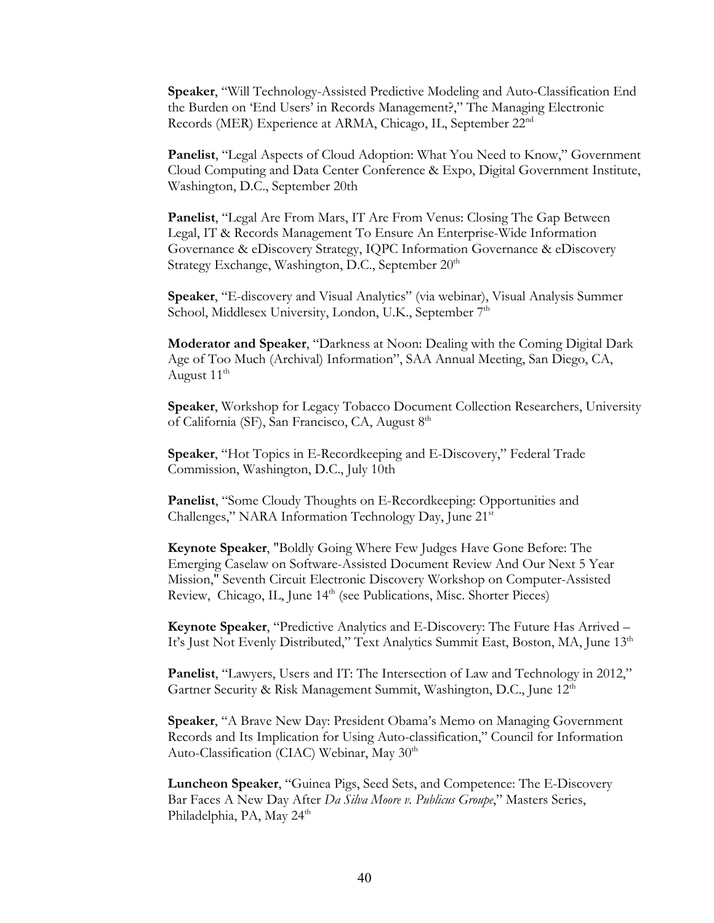**Speaker**, "Will Technology-Assisted Predictive Modeling and Auto-Classification End the Burden on 'End Users' in Records Management?," The Managing Electronic Records (MER) Experience at ARMA, Chicago, IL, September 22nd

**Panelist**, "Legal Aspects of Cloud Adoption: What You Need to Know," Government Cloud Computing and Data Center Conference & Expo, Digital Government Institute, Washington, D.C., September 20th

**Panelist**, "Legal Are From Mars, IT Are From Venus: Closing The Gap Between Legal, IT & Records Management To Ensure An Enterprise-Wide Information Governance & eDiscovery Strategy, IQPC Information Governance & eDiscovery Strategy Exchange, Washington, D.C., September  $20<sup>th</sup>$ 

**Speaker**, "E-discovery and Visual Analytics" (via webinar), Visual Analysis Summer School, Middlesex University, London, U.K., September 7<sup>th</sup>

**Moderator and Speaker**, "Darkness at Noon: Dealing with the Coming Digital Dark Age of Too Much (Archival) Information", SAA Annual Meeting, San Diego, CA, August  $11<sup>th</sup>$ 

**Speaker**, Workshop for Legacy Tobacco Document Collection Researchers, University of California (SF), San Francisco, CA, August 8<sup>th</sup>

**Speaker**, "Hot Topics in E-Recordkeeping and E-Discovery," Federal Trade Commission, Washington, D.C., July 10th

**Panelist**, "Some Cloudy Thoughts on E-Recordkeeping: Opportunities and Challenges," NARA Information Technology Day, June 21<sup>st</sup>

**Keynote Speaker**, "Boldly Going Where Few Judges Have Gone Before: The Emerging Caselaw on Software-Assisted Document Review And Our Next 5 Year Mission," Seventh Circuit Electronic Discovery Workshop on Computer-Assisted Review, Chicago, IL, June 14<sup>th</sup> (see Publications, Misc. Shorter Pieces)

**Keynote Speaker**, "Predictive Analytics and E-Discovery: The Future Has Arrived – It's Just Not Evenly Distributed," Text Analytics Summit East, Boston, MA, June 13<sup>th</sup>

**Panelist**, "Lawyers, Users and IT: The Intersection of Law and Technology in 2012," Gartner Security & Risk Management Summit, Washington, D.C., June 12<sup>th</sup>

**Speaker**, "A Brave New Day: President Obama's Memo on Managing Government Records and Its Implication for Using Auto-classification," Council for Information Auto-Classification (CIAC) Webinar, May 30<sup>th</sup>

**Luncheon Speaker**, "Guinea Pigs, Seed Sets, and Competence: The E-Discovery Bar Faces A New Day After *Da Silva Moore v. Publicus Groupe*," Masters Series, Philadelphia, PA, May 24<sup>th</sup>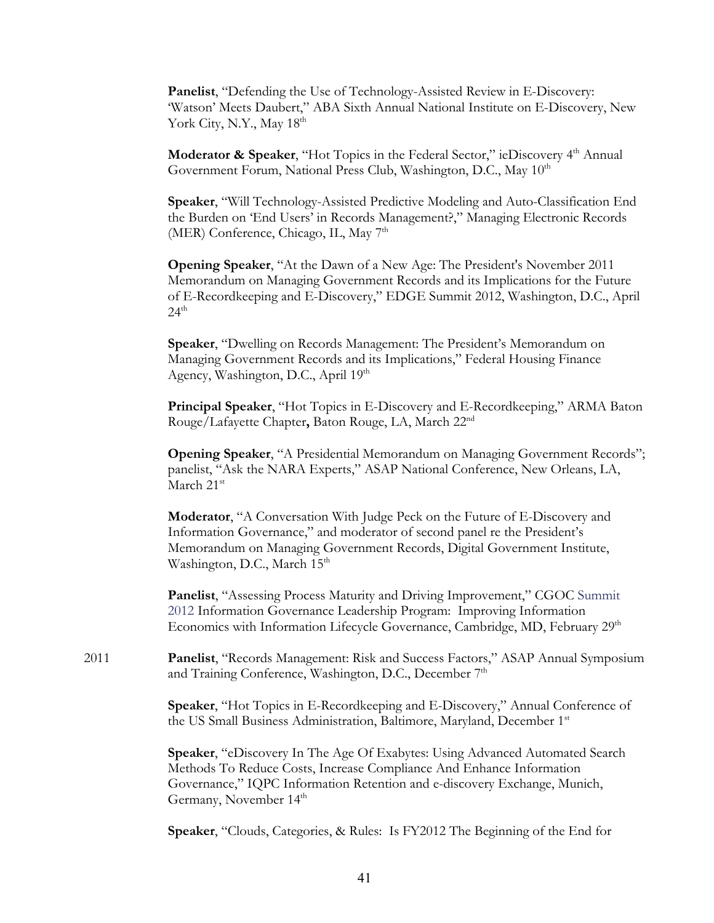**Panelist**, "Defending the Use of Technology-Assisted Review in E-Discovery: 'Watson' Meets Daubert," ABA Sixth Annual National Institute on E-Discovery, New York City, N.Y., May 18<sup>th</sup>

**Moderator & Speaker,** "Hot Topics in the Federal Sector," ieDiscovery 4<sup>th</sup> Annual Government Forum, National Press Club, Washington, D.C., May 10<sup>th</sup>

**Speaker**, "Will Technology-Assisted Predictive Modeling and Auto-Classification End the Burden on 'End Users' in Records Management?," Managing Electronic Records (MER) Conference, Chicago, IL, May 7<sup>th</sup>

**Opening Speaker**, "At the Dawn of a New Age: The President's November 2011 Memorandum on Managing Government Records and its Implications for the Future of E-Recordkeeping and E-Discovery," EDGE Summit 2012, Washington, D.C., April  $24<sup>th</sup>$ 

**Speaker**, "Dwelling on Records Management: The President's Memorandum on Managing Government Records and its Implications," Federal Housing Finance Agency, Washington, D.C., April 19th

**Principal Speaker,** "Hot Topics in E-Discovery and E-Recordkeeping," ARMA Baton Rouge/Lafayette Chapter**,** Baton Rouge, LA, March 22nd

**Opening Speaker, "A Presidential Memorandum on Managing Government Records";** panelist, "Ask the NARA Experts," ASAP National Conference, New Orleans, LA, March 21<sup>st</sup>

**Moderator**, "A Conversation With Judge Peck on the Future of E-Discovery and Information Governance," and moderator of second panel re the President's Memorandum on Managing Government Records, Digital Government Institute, Washington, D.C., March 15<sup>th</sup>

**Panelist**, "Assessing Process Maturity and Driving Improvement," CGOC Summit 2012 Information Governance Leadership Program: Improving Information Economics with Information Lifecycle Governance, Cambridge, MD, February 29<sup>th</sup>

2011 **Panelist**, "Records Management: Risk and Success Factors," ASAP Annual Symposium and Training Conference, Washington, D.C., December 7<sup>th</sup>

> **Speaker**, "Hot Topics in E-Recordkeeping and E-Discovery," Annual Conference of the US Small Business Administration, Baltimore, Maryland, December 1st

**Speaker**, "eDiscovery In The Age Of Exabytes: Using Advanced Automated Search Methods To Reduce Costs, Increase Compliance And Enhance Information Governance," IQPC Information Retention and e-discovery Exchange, Munich, Germany, November 14<sup>th</sup>

**Speaker**, "Clouds, Categories, & Rules: Is FY2012 The Beginning of the End for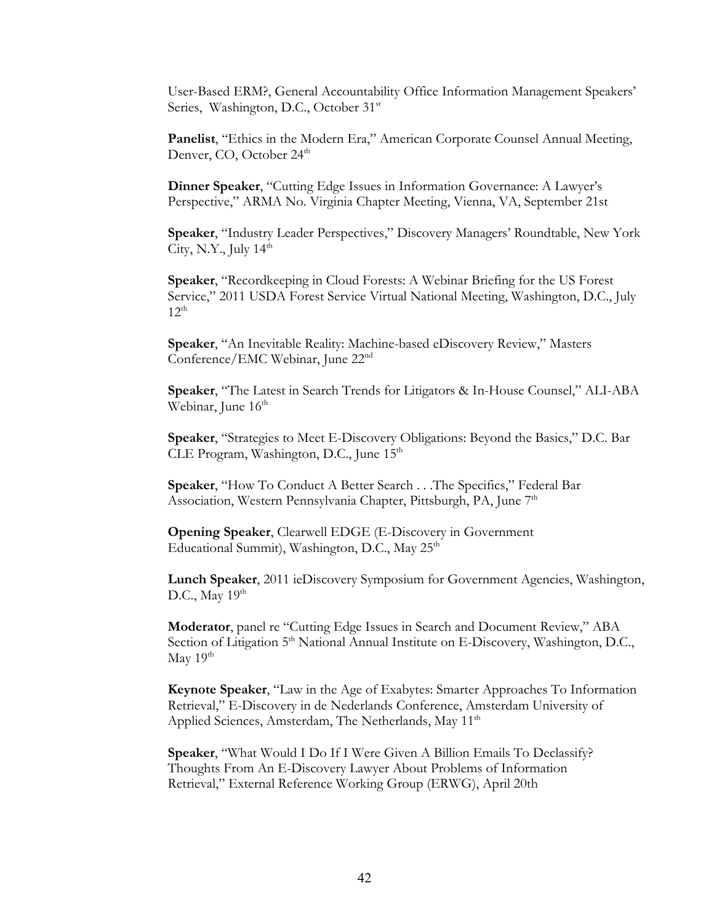User-Based ERM?, General Accountability Office Information Management Speakers' Series, Washington, D.C., October 31<sup>st</sup>

**Panelist**, "Ethics in the Modern Era," American Corporate Counsel Annual Meeting, Denver, CO, October 24<sup>th</sup>

**Dinner Speaker**, "Cutting Edge Issues in Information Governance: A Lawyer's Perspective," ARMA No. Virginia Chapter Meeting, Vienna, VA, September 21st

**Speaker**, "Industry Leader Perspectives," Discovery Managers' Roundtable, New York City, N.Y., July  $14<sup>th</sup>$ 

**Speaker**, "Recordkeeping in Cloud Forests: A Webinar Briefing for the US Forest Service," 2011 USDA Forest Service Virtual National Meeting, Washington, D.C., July  $12^{th}$ 

**Speaker**, "An Inevitable Reality: Machine-based eDiscovery Review," Masters Conference/EMC Webinar, June 22<sup>nd</sup>

**Speaker**, "The Latest in Search Trends for Litigators & In-House Counsel," ALI-ABA Webinar, June  $16<sup>th</sup>$ 

**Speaker**, "Strategies to Meet E-Discovery Obligations: Beyond the Basics," D.C. Bar CLE Program, Washington, D.C., June  $15<sup>th</sup>$ 

**Speaker**, "How To Conduct A Better Search . . .The Specifics," Federal Bar Association, Western Pennsylvania Chapter, Pittsburgh, PA, June 7<sup>th</sup>

**Opening Speaker**, Clearwell EDGE (E-Discovery in Government Educational Summit), Washington, D.C., May 25<sup>th</sup>

**Lunch Speaker**, 2011 ieDiscovery Symposium for Government Agencies, Washington, D.C., May  $19<sup>th</sup>$ 

**Moderator**, panel re "Cutting Edge Issues in Search and Document Review," ABA Section of Litigation 5<sup>th</sup> National Annual Institute on E-Discovery, Washington, D.C., May  $19<sup>th</sup>$ 

**Keynote Speaker**, "Law in the Age of Exabytes: Smarter Approaches To Information Retrieval," E-Discovery in de Nederlands Conference, Amsterdam University of Applied Sciences, Amsterdam, The Netherlands, May 11<sup>th</sup>

**Speaker**, "What Would I Do If I Were Given A Billion Emails To Declassify? Thoughts From An E-Discovery Lawyer About Problems of Information Retrieval," External Reference Working Group (ERWG), April 20th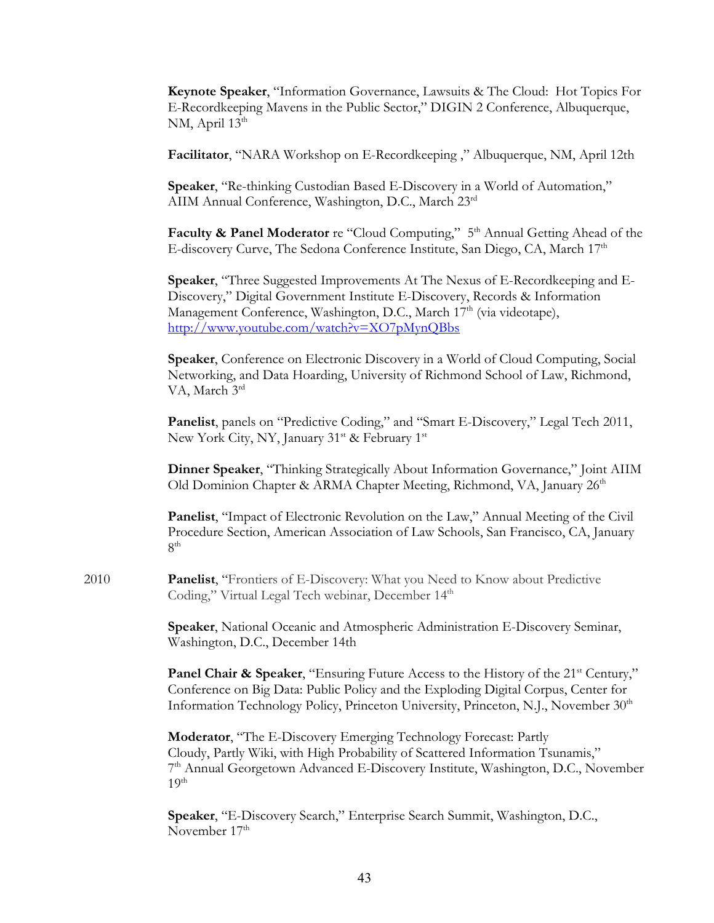**Keynote Speaker**, "Information Governance, Lawsuits & The Cloud: Hot Topics For E-Recordkeeping Mavens in the Public Sector," DIGIN 2 Conference, Albuquerque, NM, April  $13<sup>th</sup>$ 

**Facilitator**, "NARA Workshop on E-Recordkeeping ," Albuquerque, NM, April 12th

**Speaker**, "Re-thinking Custodian Based E-Discovery in a World of Automation," AIIM Annual Conference, Washington, D.C., March 23rd

Faculty & Panel Moderator re "Cloud Computing," 5<sup>th</sup> Annual Getting Ahead of the E-discovery Curve, The Sedona Conference Institute, San Diego, CA, March 17<sup>th</sup>

**Speaker**, "Three Suggested Improvements At The Nexus of E-Recordkeeping and E-Discovery," Digital Government Institute E-Discovery, Records & Information Management Conference, Washington, D.C., March 17<sup>th</sup> (via videotape), http://www.youtube.com/watch?v=XO7pMynQBbs

**Speaker**, Conference on Electronic Discovery in a World of Cloud Computing, Social Networking, and Data Hoarding, University of Richmond School of Law, Richmond, VA, March 3rd

**Panelist**, panels on "Predictive Coding," and "Smart E-Discovery," Legal Tech 2011, New York City, NY, January 31<sup>st</sup> & February 1<sup>st</sup>

**Dinner Speaker**, "Thinking Strategically About Information Governance," Joint AIIM Old Dominion Chapter & ARMA Chapter Meeting, Richmond, VA, January 26<sup>th</sup>

**Panelist**, "Impact of Electronic Revolution on the Law," Annual Meeting of the Civil Procedure Section, American Association of Law Schools, San Francisco, CA, January 8th

2010 **Panelist**, "Frontiers of E-Discovery: What you Need to Know about Predictive Coding," Virtual Legal Tech webinar, December 14<sup>th</sup>

> **Speaker**, National Oceanic and Atmospheric Administration E-Discovery Seminar, Washington, D.C., December 14th

**Panel Chair & Speaker,** "Ensuring Future Access to the History of the 21<sup>st</sup> Century," Conference on Big Data: Public Policy and the Exploding Digital Corpus, Center for Information Technology Policy, Princeton University, Princeton, N.J., November 30th

**Moderator**, "The E-Discovery Emerging Technology Forecast: Partly Cloudy, Partly Wiki, with High Probability of Scattered Information Tsunamis," 7<sup>th</sup> Annual Georgetown Advanced E-Discovery Institute, Washington, D.C., November  $19<sup>th</sup>$ 

**Speaker**, "E-Discovery Search," Enterprise Search Summit, Washington, D.C., November 17<sup>th</sup>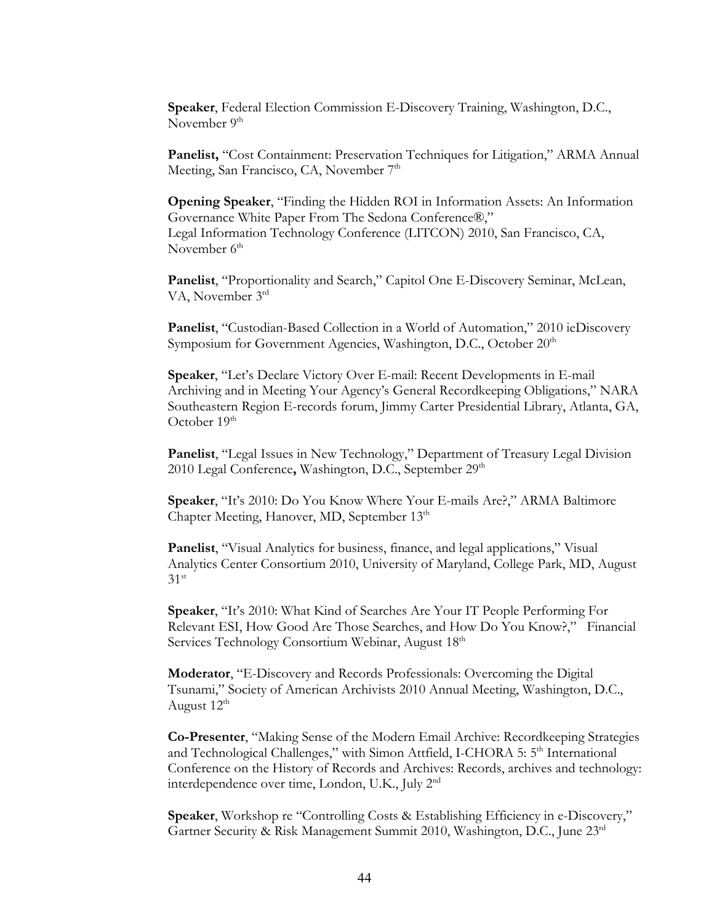**Speaker**, Federal Election Commission E-Discovery Training, Washington, D.C., November  $9<sup>th</sup>$ 

**Panelist,** "Cost Containment: Preservation Techniques for Litigation," ARMA Annual Meeting, San Francisco, CA, November 7<sup>th</sup>

**Opening Speaker**, "Finding the Hidden ROI in Information Assets: An Information Governance White Paper From The Sedona Conference®," Legal Information Technology Conference (LITCON) 2010, San Francisco, CA, November  $6<sup>th</sup>$ 

**Panelist**, "Proportionality and Search," Capitol One E-Discovery Seminar, McLean, VA, November 3rd

**Panelist**, "Custodian-Based Collection in a World of Automation," 2010 ieDiscovery Symposium for Government Agencies, Washington, D.C., October 20<sup>th</sup>

**Speaker**, "Let's Declare Victory Over E-mail: Recent Developments in E-mail Archiving and in Meeting Your Agency's General Recordkeeping Obligations," NARA Southeastern Region E-records forum, Jimmy Carter Presidential Library, Atlanta, GA, October 19<sup>th</sup>

**Panelist**, "Legal Issues in New Technology," Department of Treasury Legal Division 2010 Legal Conference, Washington, D.C., September 29<sup>th</sup>

**Speaker**, "It's 2010: Do You Know Where Your E-mails Are?," ARMA Baltimore Chapter Meeting, Hanover, MD, September 13<sup>th</sup>

**Panelist**, "Visual Analytics for business, finance, and legal applications," Visual Analytics Center Consortium 2010, University of Maryland, College Park, MD, August  $31<sup>st</sup>$ 

**Speaker**, "It's 2010: What Kind of Searches Are Your IT People Performing For Relevant ESI, How Good Are Those Searches, and How Do You Know?," Financial Services Technology Consortium Webinar, August 18<sup>th</sup>

**Moderator**, "E-Discovery and Records Professionals: Overcoming the Digital Tsunami," Society of American Archivists 2010 Annual Meeting, Washington, D.C., August  $12<sup>th</sup>$ 

**Co-Presenter**, "Making Sense of the Modern Email Archive: Recordkeeping Strategies and Technological Challenges," with Simon Attfield, I-CHORA 5: 5<sup>th</sup> International Conference on the History of Records and Archives: Records, archives and technology: interdependence over time, London, U.K., July 2nd

**Speaker**, Workshop re "Controlling Costs & Establishing Efficiency in e-Discovery," Gartner Security & Risk Management Summit 2010, Washington, D.C., June 23rd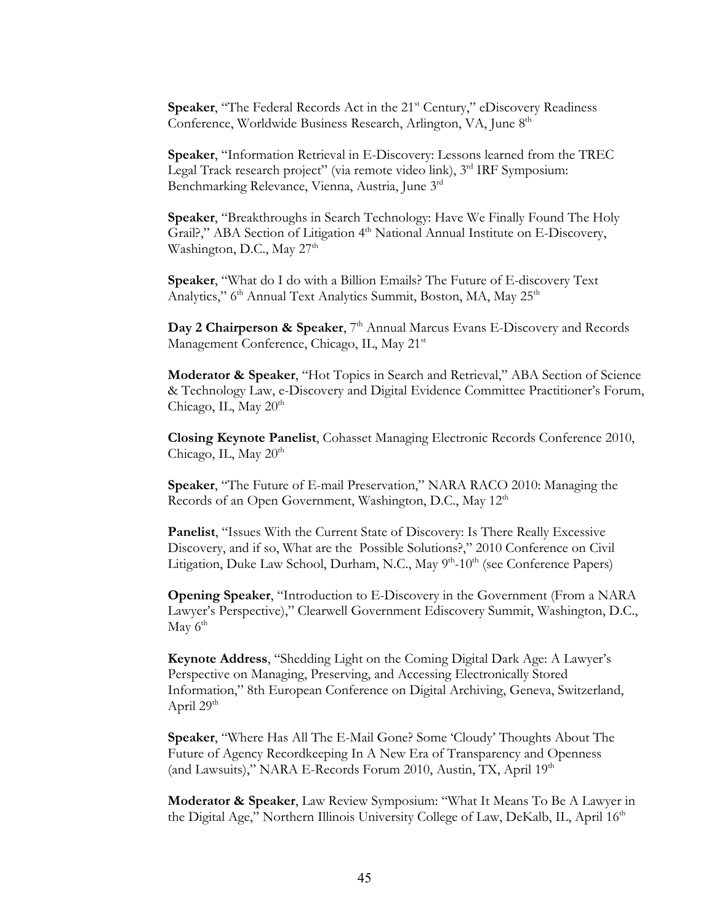**Speaker,** "The Federal Records Act in the 21<sup>st</sup> Century," eDiscovery Readiness Conference, Worldwide Business Research, Arlington, VA, June 8<sup>th</sup>

**Speaker**, "Information Retrieval in E-Discovery: Lessons learned from the TREC Legal Track research project" (via remote video link), 3<sup>rd</sup> IRF Symposium: Benchmarking Relevance, Vienna, Austria, June 3rd

**Speaker**, "Breakthroughs in Search Technology: Have We Finally Found The Holy Grail?," ABA Section of Litigation 4<sup>th</sup> National Annual Institute on E-Discovery, Washington, D.C., May  $27<sup>th</sup>$ 

**Speaker**, "What do I do with a Billion Emails? The Future of E-discovery Text Analytics," 6<sup>th</sup> Annual Text Analytics Summit, Boston, MA, May 25<sup>th</sup>

Day 2 Chairperson & Speaker, 7<sup>th</sup> Annual Marcus Evans E-Discovery and Records Management Conference, Chicago, IL, May 21<sup>st</sup>

**Moderator & Speaker**, "Hot Topics in Search and Retrieval," ABA Section of Science & Technology Law, e-Discovery and Digital Evidence Committee Practitioner's Forum, Chicago, IL, May  $20<sup>th</sup>$ 

**Closing Keynote Panelist**, Cohasset Managing Electronic Records Conference 2010, Chicago, IL, May  $20<sup>th</sup>$ 

**Speaker**, "The Future of E-mail Preservation," NARA RACO 2010: Managing the Records of an Open Government, Washington, D.C., May 12<sup>th</sup>

**Panelist**, "Issues With the Current State of Discovery: Is There Really Excessive Discovery, and if so, What are the Possible Solutions?," 2010 Conference on Civil Litigation, Duke Law School, Durham, N.C., May 9<sup>th</sup>-10<sup>th</sup> (see Conference Papers)

**Opening Speaker**, "Introduction to E-Discovery in the Government (From a NARA Lawyer's Perspective)," Clearwell Government Ediscovery Summit, Washington, D.C., May  $6<sup>th</sup>$ 

**Keynote Address**, "Shedding Light on the Coming Digital Dark Age: A Lawyer's Perspective on Managing, Preserving, and Accessing Electronically Stored Information," 8th European Conference on Digital Archiving, Geneva, Switzerland, April  $29<sup>th</sup>$ 

**Speaker**, "Where Has All The E-Mail Gone? Some 'Cloudy' Thoughts About The Future of Agency Recordkeeping In A New Era of Transparency and Openness (and Lawsuits)," NARA E-Records Forum 2010, Austin, TX, April  $19<sup>th</sup>$ 

**Moderator & Speaker**, Law Review Symposium: "What It Means To Be A Lawyer in the Digital Age," Northern Illinois University College of Law, DeKalb, IL, April 16<sup>th</sup>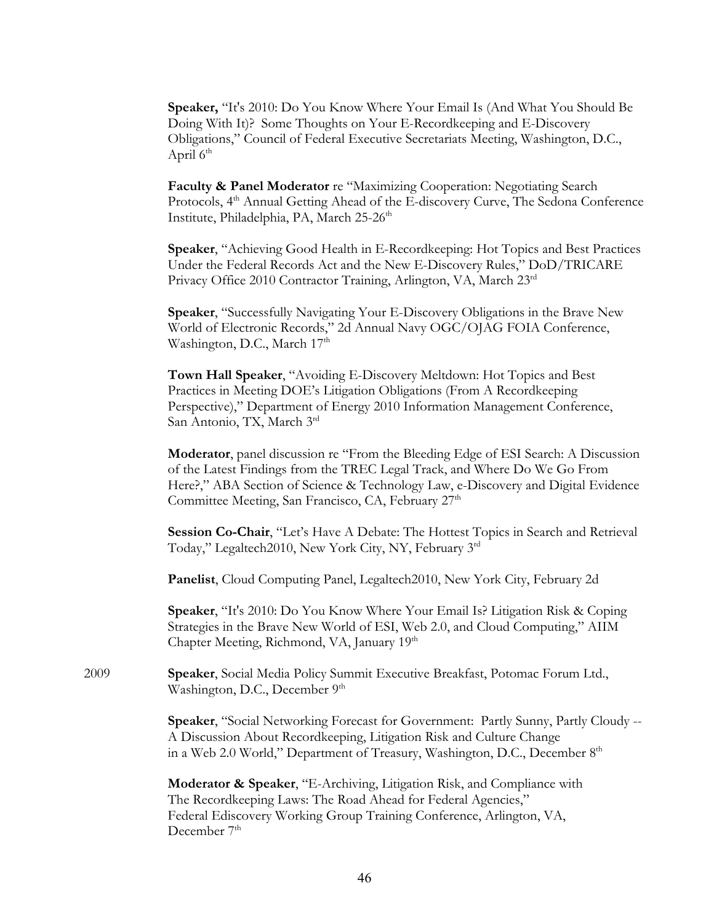**Speaker,** "It's 2010: Do You Know Where Your Email Is (And What You Should Be Doing With It)? Some Thoughts on Your E-Recordkeeping and E-Discovery Obligations," Council of Federal Executive Secretariats Meeting, Washington, D.C., April  $6<sup>th</sup>$ 

**Faculty & Panel Moderator** re "Maximizing Cooperation: Negotiating Search Protocols, 4th Annual Getting Ahead of the E-discovery Curve, The Sedona Conference Institute, Philadelphia, PA, March 25-26<sup>th</sup>

**Speaker**, "Achieving Good Health in E-Recordkeeping: Hot Topics and Best Practices Under the Federal Records Act and the New E-Discovery Rules," DoD/TRICARE Privacy Office 2010 Contractor Training, Arlington, VA, March 23rd

**Speaker**, "Successfully Navigating Your E-Discovery Obligations in the Brave New World of Electronic Records," 2d Annual Navy OGC/OJAG FOIA Conference, Washington, D.C., March 17<sup>th</sup>

**Town Hall Speaker**, "Avoiding E-Discovery Meltdown: Hot Topics and Best Practices in Meeting DOE's Litigation Obligations (From A Recordkeeping Perspective)," Department of Energy 2010 Information Management Conference, San Antonio, TX, March 3rd

**Moderator**, panel discussion re "From the Bleeding Edge of ESI Search: A Discussion of the Latest Findings from the TREC Legal Track, and Where Do We Go From Here?," ABA Section of Science & Technology Law, e-Discovery and Digital Evidence Committee Meeting, San Francisco, CA, February 27<sup>th</sup>

**Session Co-Chair**, "Let's Have A Debate: The Hottest Topics in Search and Retrieval Today," Legaltech2010, New York City, NY, February 3rd

**Panelist**, Cloud Computing Panel, Legaltech2010, New York City, February 2d

**Speaker**, "It's 2010: Do You Know Where Your Email Is? Litigation Risk & Coping Strategies in the Brave New World of ESI, Web 2.0, and Cloud Computing," AIIM Chapter Meeting, Richmond, VA, January 19<sup>th</sup>

2009 **Speaker**, Social Media Policy Summit Executive Breakfast, Potomac Forum Ltd., Washington, D.C., December 9<sup>th</sup>

> **Speaker**, "Social Networking Forecast for Government: Partly Sunny, Partly Cloudy -- A Discussion About Recordkeeping, Litigation Risk and Culture Change in a Web 2.0 World," Department of Treasury, Washington, D.C., December 8<sup>th</sup>

**Moderator & Speaker**, "E-Archiving, Litigation Risk, and Compliance with The Recordkeeping Laws: The Road Ahead for Federal Agencies," Federal Ediscovery Working Group Training Conference, Arlington, VA, December 7<sup>th</sup>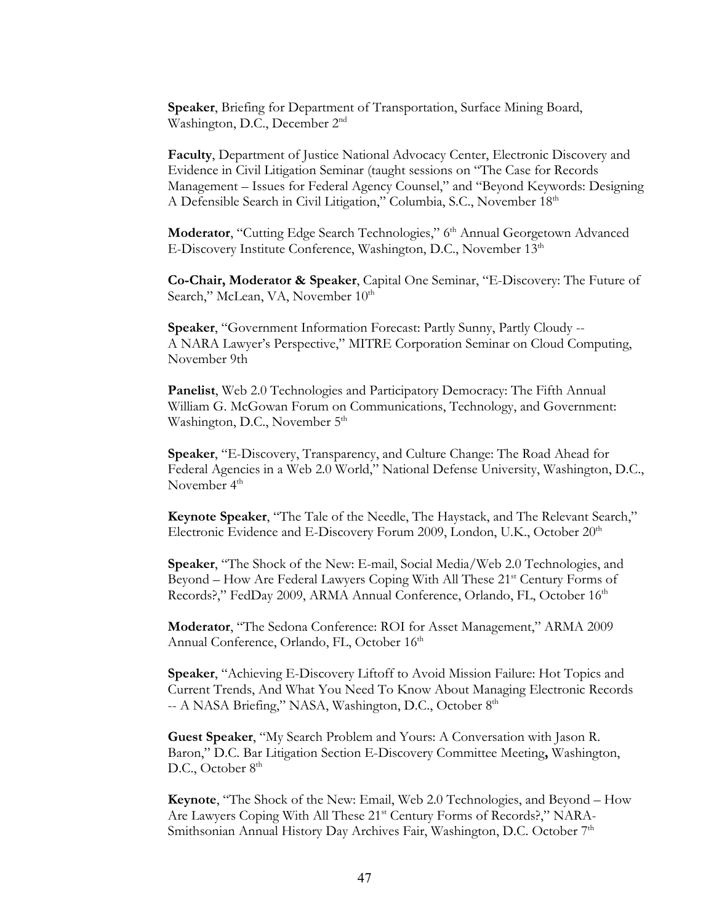**Speaker**, Briefing for Department of Transportation, Surface Mining Board, Washington, D.C., December 2<sup>nd</sup>

**Faculty**, Department of Justice National Advocacy Center, Electronic Discovery and Evidence in Civil Litigation Seminar (taught sessions on "The Case for Records Management – Issues for Federal Agency Counsel," and "Beyond Keywords: Designing A Defensible Search in Civil Litigation," Columbia, S.C., November 18<sup>th</sup>

Moderator, "Cutting Edge Search Technologies," 6<sup>th</sup> Annual Georgetown Advanced E-Discovery Institute Conference, Washington, D.C., November 13<sup>th</sup>

**Co-Chair, Moderator & Speaker**, Capital One Seminar, "E-Discovery: The Future of Search," McLean, VA, November  $10<sup>th</sup>$ 

**Speaker**, "Government Information Forecast: Partly Sunny, Partly Cloudy -- A NARA Lawyer's Perspective," MITRE Corporation Seminar on Cloud Computing, November 9th

**Panelist**, Web 2.0 Technologies and Participatory Democracy: The Fifth Annual William G. McGowan Forum on Communications, Technology, and Government: Washington, D.C., November 5<sup>th</sup>

**Speaker**, "E-Discovery, Transparency, and Culture Change: The Road Ahead for Federal Agencies in a Web 2.0 World," National Defense University, Washington, D.C., November  $4<sup>th</sup>$ 

**Keynote Speaker**, "The Tale of the Needle, The Haystack, and The Relevant Search," Electronic Evidence and E-Discovery Forum 2009, London, U.K., October 20<sup>th</sup>

**Speaker**, "The Shock of the New: E-mail, Social Media/Web 2.0 Technologies, and Beyond – How Are Federal Lawyers Coping With All These 21st Century Forms of Records?," FedDay 2009, ARMA Annual Conference, Orlando, FL, October 16<sup>th</sup>

**Moderator**, "The Sedona Conference: ROI for Asset Management," ARMA 2009 Annual Conference, Orlando, FL, October 16<sup>th</sup>

**Speaker**, "Achieving E-Discovery Liftoff to Avoid Mission Failure: Hot Topics and Current Trends, And What You Need To Know About Managing Electronic Records -- A NASA Briefing," NASA, Washington, D.C., October 8<sup>th</sup>

**Guest Speaker**, "My Search Problem and Yours: A Conversation with Jason R. Baron," D.C. Bar Litigation Section E-Discovery Committee Meeting**,** Washington, D.C., October 8<sup>th</sup>

**Keynote**, "The Shock of the New: Email, Web 2.0 Technologies, and Beyond – How Are Lawyers Coping With All These 21<sup>st</sup> Century Forms of Records?," NARA-Smithsonian Annual History Day Archives Fair, Washington, D.C. October 7<sup>th</sup>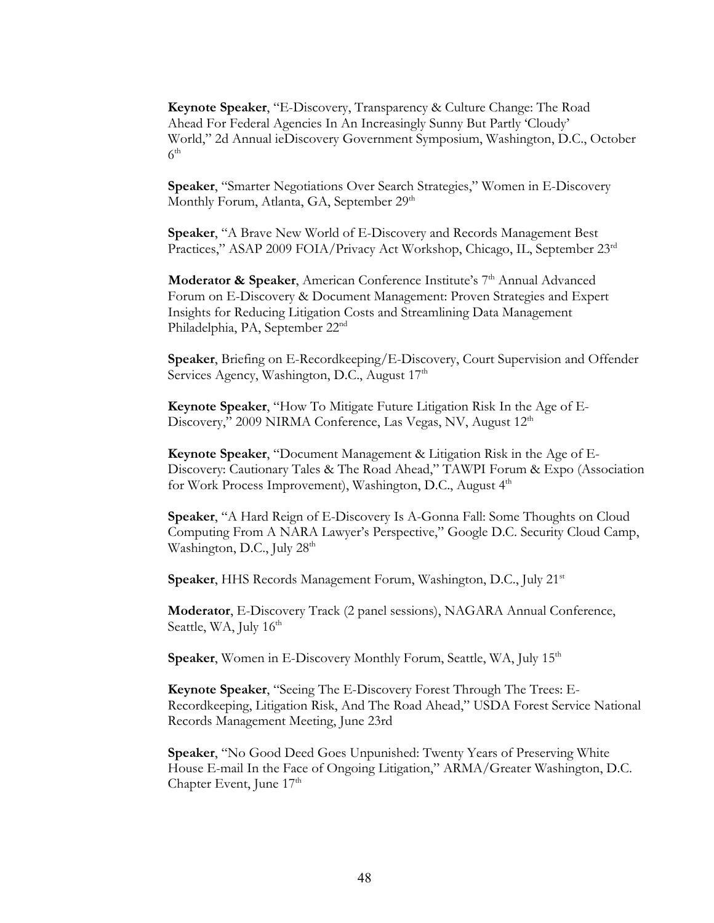**Keynote Speaker**, "E-Discovery, Transparency & Culture Change: The Road Ahead For Federal Agencies In An Increasingly Sunny But Partly 'Cloudy' World," 2d Annual ieDiscovery Government Symposium, Washington, D.C., October  $6<sup>th</sup>$ 

**Speaker**, "Smarter Negotiations Over Search Strategies," Women in E-Discovery Monthly Forum, Atlanta, GA, September 29<sup>th</sup>

**Speaker**, "A Brave New World of E-Discovery and Records Management Best Practices," ASAP 2009 FOIA/Privacy Act Workshop, Chicago, IL, September 23rd

**Moderator & Speaker**, American Conference Institute's 7<sup>th</sup> Annual Advanced Forum on E-Discovery & Document Management: Proven Strategies and Expert Insights for Reducing Litigation Costs and Streamlining Data Management Philadelphia, PA, September 22nd

**Speaker**, Briefing on E-Recordkeeping/E-Discovery, Court Supervision and Offender Services Agency, Washington, D.C., August 17<sup>th</sup>

**Keynote Speaker**, "How To Mitigate Future Litigation Risk In the Age of E-Discovery," 2009 NIRMA Conference, Las Vegas, NV, August 12<sup>th</sup>

**Keynote Speaker**, "Document Management & Litigation Risk in the Age of E-Discovery: Cautionary Tales & The Road Ahead," TAWPI Forum & Expo (Association for Work Process Improvement), Washington, D.C., August 4th

**Speaker**, "A Hard Reign of E-Discovery Is A-Gonna Fall: Some Thoughts on Cloud Computing From A NARA Lawyer's Perspective," Google D.C. Security Cloud Camp, Washington, D.C., July 28<sup>th</sup>

**Speaker, HHS Records Management Forum, Washington, D.C., July 21<sup>st</sup>** 

**Moderator**, E-Discovery Track (2 panel sessions), NAGARA Annual Conference, Seattle, WA, July  $16<sup>th</sup>$ 

**Speaker,** Women in E-Discovery Monthly Forum, Seattle, WA, July 15<sup>th</sup>

**Keynote Speaker**, "Seeing The E-Discovery Forest Through The Trees: E-Recordkeeping, Litigation Risk, And The Road Ahead," USDA Forest Service National Records Management Meeting, June 23rd

**Speaker**, "No Good Deed Goes Unpunished: Twenty Years of Preserving White House E-mail In the Face of Ongoing Litigation," ARMA/Greater Washington, D.C. Chapter Event, June  $17<sup>th</sup>$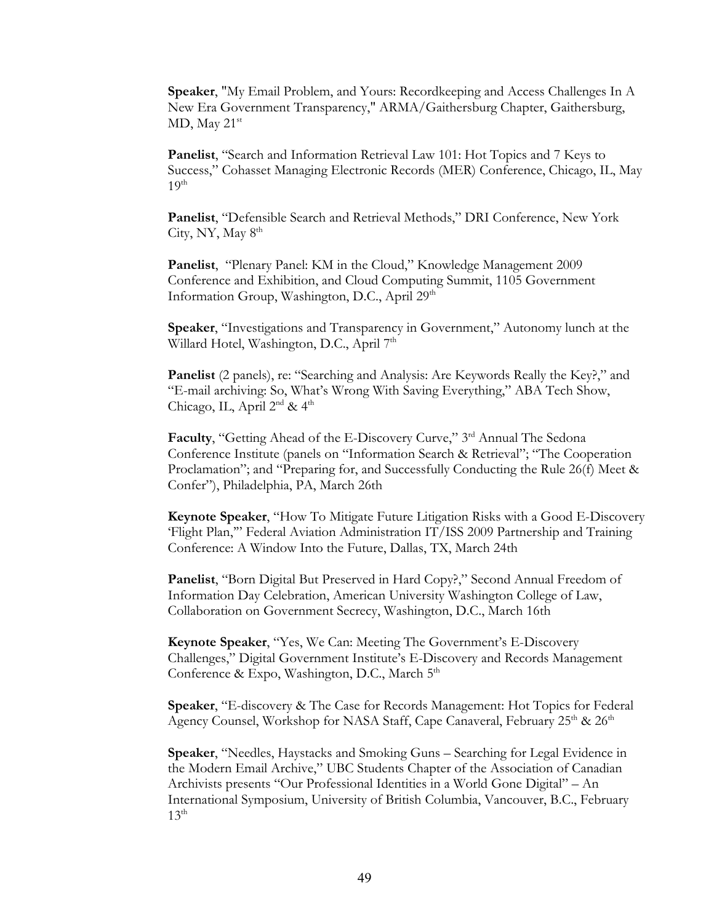**Speaker**, "My Email Problem, and Yours: Recordkeeping and Access Challenges In A New Era Government Transparency," ARMA/Gaithersburg Chapter, Gaithersburg, MD, May 21st

**Panelist**, "Search and Information Retrieval Law 101: Hot Topics and 7 Keys to Success," Cohasset Managing Electronic Records (MER) Conference, Chicago, IL, May  $19<sup>th</sup>$ 

**Panelist**, "Defensible Search and Retrieval Methods," DRI Conference, New York City, NY, May  $8<sup>th</sup>$ 

**Panelist**, "Plenary Panel: KM in the Cloud," Knowledge Management 2009 Conference and Exhibition, and Cloud Computing Summit, 1105 Government Information Group, Washington, D.C., April 29th

**Speaker**, "Investigations and Transparency in Government," Autonomy lunch at the Willard Hotel, Washington, D.C., April 7<sup>th</sup>

**Panelist** (2 panels), re: "Searching and Analysis: Are Keywords Really the Key?," and "E-mail archiving: So, What's Wrong With Saving Everything," ABA Tech Show, Chicago, IL, April  $2^{nd}$  &  $4^{th}$ 

Faculty, "Getting Ahead of the E-Discovery Curve," 3<sup>rd</sup> Annual The Sedona Conference Institute (panels on "Information Search & Retrieval"; "The Cooperation Proclamation"; and "Preparing for, and Successfully Conducting the Rule 26(f) Meet & Confer"), Philadelphia, PA, March 26th

**Keynote Speaker**, "How To Mitigate Future Litigation Risks with a Good E-Discovery 'Flight Plan,'" Federal Aviation Administration IT/ISS 2009 Partnership and Training Conference: A Window Into the Future, Dallas, TX, March 24th

**Panelist**, "Born Digital But Preserved in Hard Copy?," Second Annual Freedom of Information Day Celebration, American University Washington College of Law, Collaboration on Government Secrecy, Washington, D.C., March 16th

 **Keynote Speaker**, "Yes, We Can: Meeting The Government's E-Discovery Challenges," Digital Government Institute's E-Discovery and Records Management Conference & Expo, Washington, D.C., March 5<sup>th</sup>

**Speaker**, "E-discovery & The Case for Records Management: Hot Topics for Federal Agency Counsel, Workshop for NASA Staff, Cape Canaveral, February  $25<sup>th</sup>$  &  $26<sup>th</sup>$ 

**Speaker**, "Needles, Haystacks and Smoking Guns – Searching for Legal Evidence in the Modern Email Archive," UBC Students Chapter of the Association of Canadian Archivists presents "Our Professional Identities in a World Gone Digital" – An International Symposium, University of British Columbia, Vancouver, B.C., February  $13<sup>th</sup>$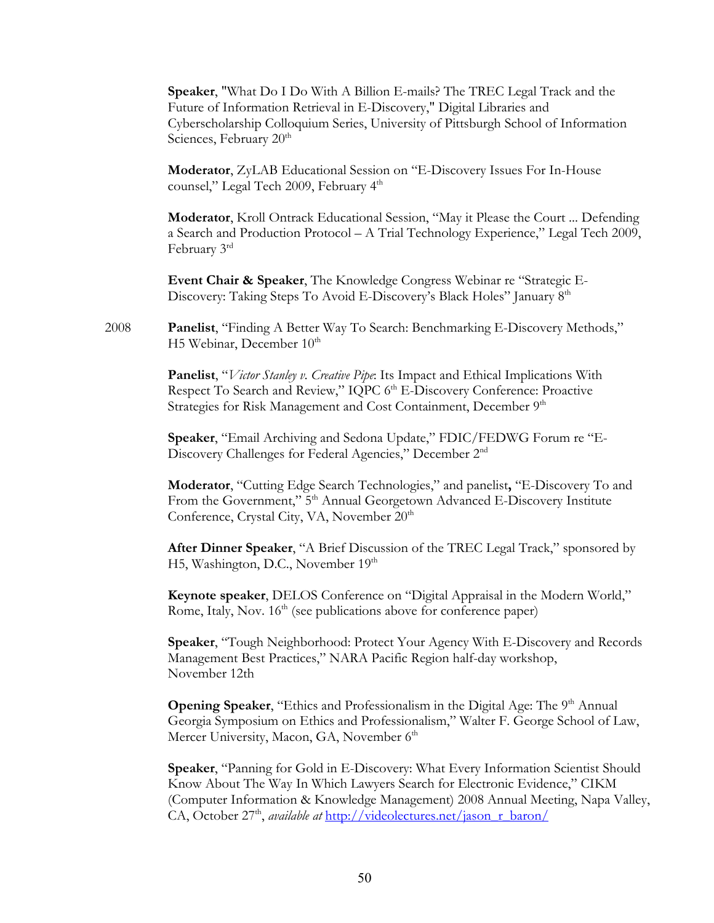**Speaker**, "What Do I Do With A Billion E-mails? The TREC Legal Track and the Future of Information Retrieval in E-Discovery," Digital Libraries and Cyberscholarship Colloquium Series, University of Pittsburgh School of Information Sciences, February 20<sup>th</sup>

**Moderator**, ZyLAB Educational Session on "E-Discovery Issues For In-House counsel," Legal Tech 2009, February 4<sup>th</sup>

**Moderator**, Kroll Ontrack Educational Session, "May it Please the Court ... Defending a Search and Production Protocol – A Trial Technology Experience," Legal Tech 2009, February 3rd

**Event Chair & Speaker**, The Knowledge Congress Webinar re "Strategic E-Discovery: Taking Steps To Avoid E-Discovery's Black Holes" January 8th

2008 **Panelist**, "Finding A Better Way To Search: Benchmarking E-Discovery Methods," H5 Webinar, December  $10^{th}$ 

> **Panelist**, "*Victor Stanley v. Creative Pipe*: Its Impact and Ethical Implications With Respect To Search and Review," IQPC 6<sup>th</sup> E-Discovery Conference: Proactive Strategies for Risk Management and Cost Containment, December 9<sup>th</sup>

> **Speaker**, "Email Archiving and Sedona Update," FDIC/FEDWG Forum re "E-Discovery Challenges for Federal Agencies," December 2<sup>nd</sup>

**Moderator**, "Cutting Edge Search Technologies," and panelist**,** "E-Discovery To and From the Government," 5<sup>th</sup> Annual Georgetown Advanced E-Discovery Institute Conference, Crystal City, VA, November 20<sup>th</sup>

**After Dinner Speaker**, "A Brief Discussion of the TREC Legal Track," sponsored by H5, Washington, D.C., November 19<sup>th</sup>

**Keynote speaker**, DELOS Conference on "Digital Appraisal in the Modern World," Rome, Italy, Nov. 16<sup>th</sup> (see publications above for conference paper)

**Speaker**, "Tough Neighborhood: Protect Your Agency With E-Discovery and Records Management Best Practices," NARA Pacific Region half-day workshop, November 12th

**Opening Speaker**, "Ethics and Professionalism in the Digital Age: The 9<sup>th</sup> Annual Georgia Symposium on Ethics and Professionalism," Walter F. George School of Law, Mercer University, Macon, GA, November 6<sup>th</sup>

**Speaker**, "Panning for Gold in E-Discovery: What Every Information Scientist Should Know About The Way In Which Lawyers Search for Electronic Evidence," CIKM (Computer Information & Knowledge Management) 2008 Annual Meeting, Napa Valley, CA, October 27<sup>th</sup>, *available at* http://videolectures.net/jason\_r\_baron/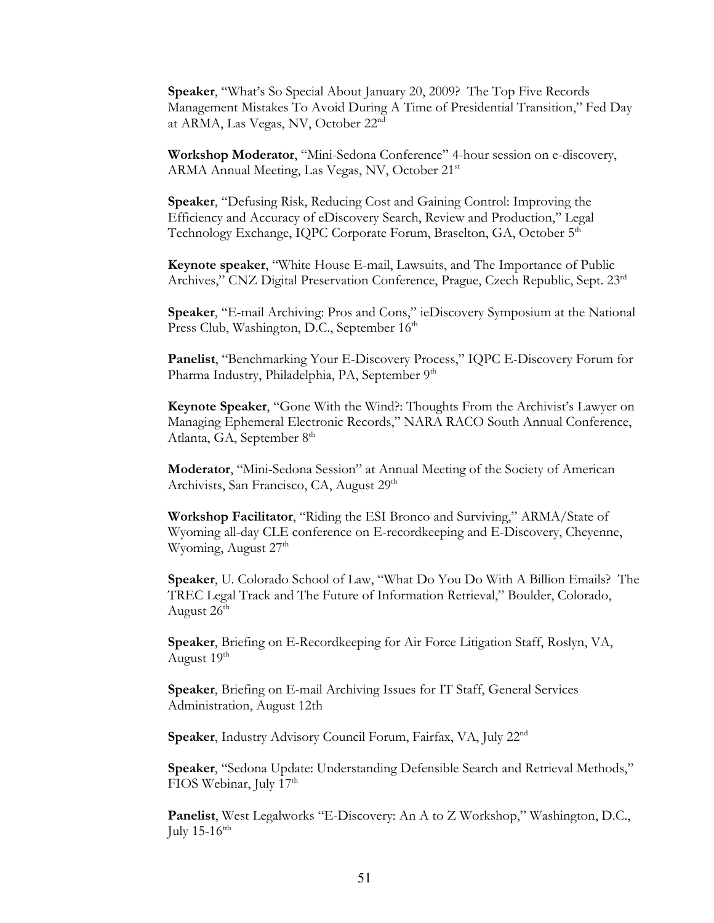**Speaker**, "What's So Special About January 20, 2009? The Top Five Records Management Mistakes To Avoid During A Time of Presidential Transition," Fed Day at ARMA, Las Vegas, NV, October 22nd

**Workshop Moderator**, "Mini-Sedona Conference" 4-hour session on e-discovery, ARMA Annual Meeting, Las Vegas, NV, October 21st

**Speaker**, "Defusing Risk, Reducing Cost and Gaining Control: Improving the Efficiency and Accuracy of eDiscovery Search, Review and Production," Legal Technology Exchange, IQPC Corporate Forum, Braselton, GA, October 5<sup>th</sup>

**Keynote speaker**, "White House E-mail, Lawsuits, and The Importance of Public Archives," CNZ Digital Preservation Conference, Prague, Czech Republic, Sept. 23rd

**Speaker**, "E-mail Archiving: Pros and Cons," ieDiscovery Symposium at the National Press Club, Washington, D.C., September 16<sup>th</sup>

**Panelist**, "Benchmarking Your E-Discovery Process," IQPC E-Discovery Forum for Pharma Industry, Philadelphia, PA, September 9<sup>th</sup>

**Keynote Speaker**, "Gone With the Wind?: Thoughts From the Archivist's Lawyer on Managing Ephemeral Electronic Records," NARA RACO South Annual Conference, Atlanta, GA, September 8<sup>th</sup>

**Moderator**, "Mini-Sedona Session" at Annual Meeting of the Society of American Archivists, San Francisco, CA, August 29<sup>th</sup>

**Workshop Facilitator**, "Riding the ESI Bronco and Surviving," ARMA/State of Wyoming all-day CLE conference on E-recordkeeping and E-Discovery, Cheyenne, Wyoming, August  $27<sup>th</sup>$ 

**Speaker**, U. Colorado School of Law, "What Do You Do With A Billion Emails? The TREC Legal Track and The Future of Information Retrieval," Boulder, Colorado, August  $26<sup>th</sup>$ 

**Speaker**, Briefing on E-Recordkeeping for Air Force Litigation Staff, Roslyn, VA, August  $19<sup>th</sup>$ 

**Speaker**, Briefing on E-mail Archiving Issues for IT Staff, General Services Administration, August 12th

**Speaker**, Industry Advisory Council Forum, Fairfax, VA, July 22nd

 **Speaker**, "Sedona Update: Understanding Defensible Search and Retrieval Methods," FIOS Webinar, July  $17<sup>th</sup>$ 

**Panelist**, West Legalworks "E-Discovery: An A to Z Workshop," Washington, D.C., July  $15-16^{\text{tth}}$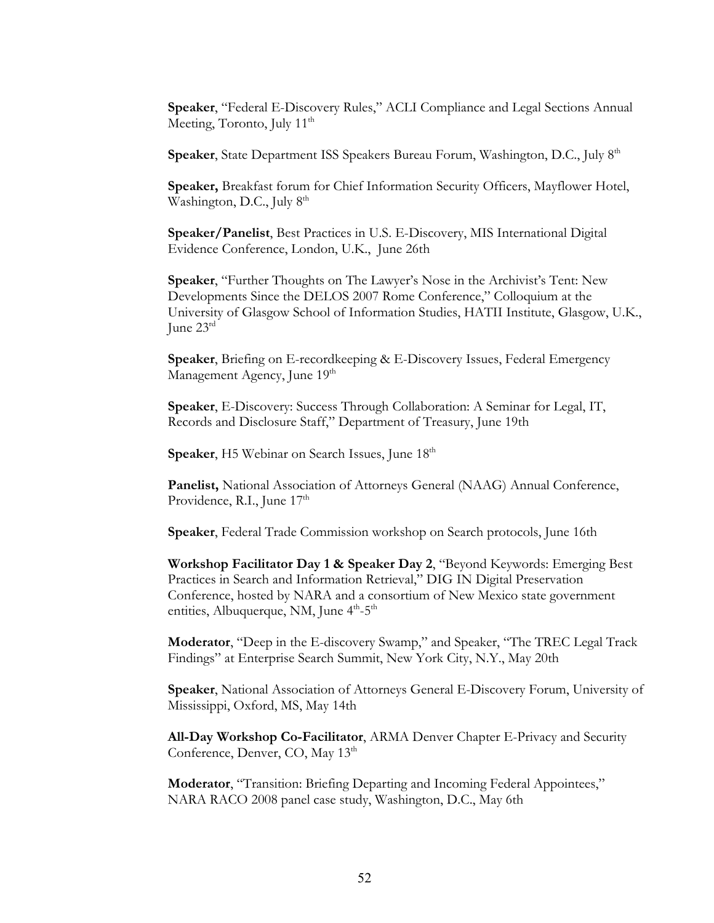**Speaker**, "Federal E-Discovery Rules," ACLI Compliance and Legal Sections Annual Meeting, Toronto, July 11<sup>th</sup>

**Speaker**, State Department ISS Speakers Bureau Forum, Washington, D.C., July 8<sup>th</sup>

**Speaker,** Breakfast forum for Chief Information Security Officers, Mayflower Hotel, Washington, D.C., July  $8<sup>th</sup>$ 

**Speaker/Panelist**, Best Practices in U.S. E-Discovery, MIS International Digital Evidence Conference, London, U.K., June 26th

**Speaker**, "Further Thoughts on The Lawyer's Nose in the Archivist's Tent: New Developments Since the DELOS 2007 Rome Conference," Colloquium at the University of Glasgow School of Information Studies, HATII Institute, Glasgow, U.K., June 23rd

**Speaker**, Briefing on E-recordkeeping & E-Discovery Issues, Federal Emergency Management Agency, June 19<sup>th</sup>

**Speaker**, E-Discovery: Success Through Collaboration: A Seminar for Legal, IT, Records and Disclosure Staff," Department of Treasury, June 19th

Speaker, H5 Webinar on Search Issues, June 18<sup>th</sup>

**Panelist,** National Association of Attorneys General (NAAG) Annual Conference, Providence, R.I., June  $17<sup>th</sup>$ 

**Speaker**, Federal Trade Commission workshop on Search protocols, June 16th

**Workshop Facilitator Day 1 & Speaker Day 2**, "Beyond Keywords: Emerging Best Practices in Search and Information Retrieval," DIG IN Digital Preservation Conference, hosted by NARA and a consortium of New Mexico state government entities, Albuquerque, NM, June  $4<sup>th</sup>$ -5<sup>th</sup>

**Moderator**, "Deep in the E-discovery Swamp," and Speaker, "The TREC Legal Track Findings" at Enterprise Search Summit, New York City, N.Y., May 20th

**Speaker**, National Association of Attorneys General E-Discovery Forum, University of Mississippi, Oxford, MS, May 14th

**All-Day Workshop Co-Facilitator**, ARMA Denver Chapter E-Privacy and Security Conference, Denver, CO, May 13<sup>th</sup>

**Moderator**, "Transition: Briefing Departing and Incoming Federal Appointees," NARA RACO 2008 panel case study, Washington, D.C., May 6th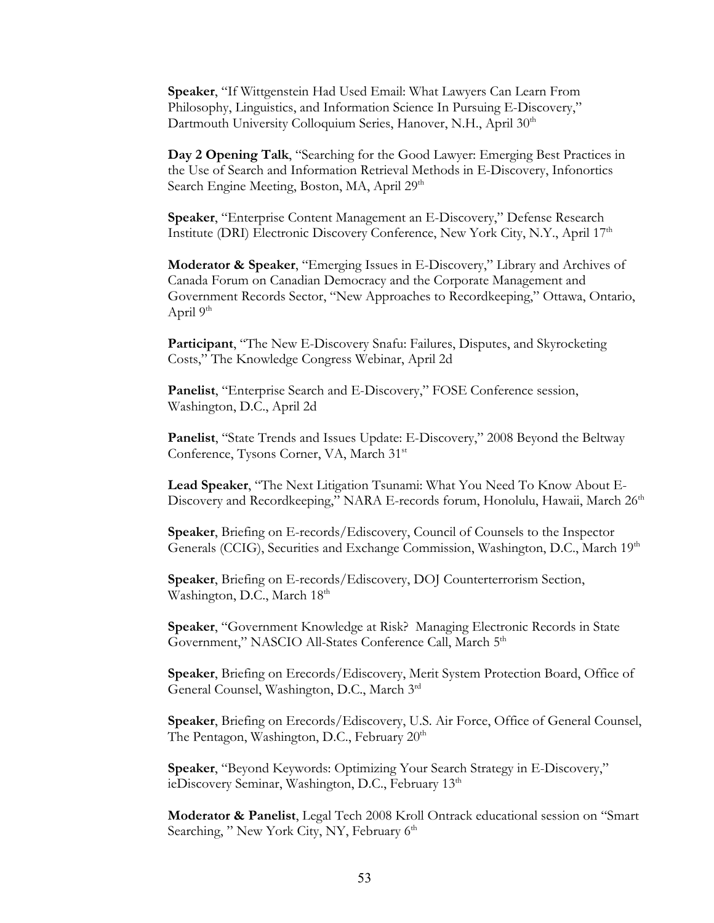**Speaker**, "If Wittgenstein Had Used Email: What Lawyers Can Learn From Philosophy, Linguistics, and Information Science In Pursuing E-Discovery," Dartmouth University Colloquium Series, Hanover, N.H., April 30<sup>th</sup>

**Day 2 Opening Talk**, "Searching for the Good Lawyer: Emerging Best Practices in the Use of Search and Information Retrieval Methods in E-Discovery, Infonortics Search Engine Meeting, Boston, MA, April 29<sup>th</sup>

**Speaker**, "Enterprise Content Management an E-Discovery," Defense Research Institute (DRI) Electronic Discovery Conference, New York City, N.Y., April 17th

**Moderator & Speaker**, "Emerging Issues in E-Discovery," Library and Archives of Canada Forum on Canadian Democracy and the Corporate Management and Government Records Sector, "New Approaches to Recordkeeping," Ottawa, Ontario, April 9<sup>th</sup>

**Participant,** "The New E-Discovery Snafu: Failures, Disputes, and Skyrocketing Costs," The Knowledge Congress Webinar, April 2d

**Panelist**, "Enterprise Search and E-Discovery," FOSE Conference session, Washington, D.C., April 2d

**Panelist**, "State Trends and Issues Update: E-Discovery," 2008 Beyond the Beltway Conference, Tysons Corner, VA, March 31<sup>st</sup>

**Lead Speaker**, "The Next Litigation Tsunami: What You Need To Know About E-Discovery and Recordkeeping," NARA E-records forum, Honolulu, Hawaii, March 26<sup>th</sup>

**Speaker**, Briefing on E-records/Ediscovery, Council of Counsels to the Inspector Generals (CCIG), Securities and Exchange Commission, Washington, D.C., March 19th

**Speaker**, Briefing on E-records/Ediscovery, DOJ Counterterrorism Section, Washington, D.C., March 18<sup>th</sup>

**Speaker**, "Government Knowledge at Risk? Managing Electronic Records in State Government," NASCIO All-States Conference Call, March 5<sup>th</sup>

**Speaker**, Briefing on Erecords/Ediscovery, Merit System Protection Board, Office of General Counsel, Washington, D.C., March 3rd

**Speaker**, Briefing on Erecords/Ediscovery, U.S. Air Force, Office of General Counsel, The Pentagon, Washington, D.C., February 20<sup>th</sup>

**Speaker**, "Beyond Keywords: Optimizing Your Search Strategy in E-Discovery," ieDiscovery Seminar, Washington, D.C., February 13<sup>th</sup>

**Moderator & Panelist**, Legal Tech 2008 Kroll Ontrack educational session on "Smart Searching, " New York City, NY, February 6<sup>th</sup>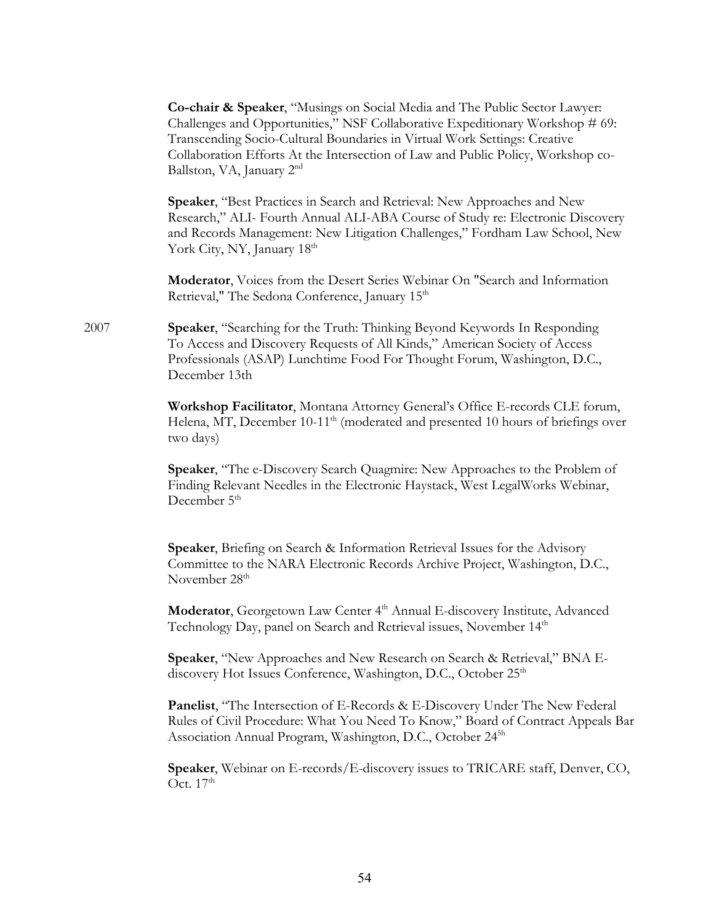**Co-chair & Speaker**, "Musings on Social Media and The Public Sector Lawyer: Challenges and Opportunities," NSF Collaborative Expeditionary Workshop # 69: Transcending Socio-Cultural Boundaries in Virtual Work Settings: Creative Collaboration Efforts At the Intersection of Law and Public Policy, Workshop co-Ballston, VA, January 2<sup>nd</sup>

**Speaker**, "Best Practices in Search and Retrieval: New Approaches and New Research," ALI- Fourth Annual ALI-ABA Course of Study re: Electronic Discovery and Records Management: New Litigation Challenges," Fordham Law School, New York City, NY, January 18<sup>th</sup>

**Moderator**, Voices from the Desert Series Webinar On "Search and Information Retrieval," The Sedona Conference, January 15<sup>th</sup>

2007 **Speaker**, "Searching for the Truth: Thinking Beyond Keywords In Responding To Access and Discovery Requests of All Kinds," American Society of Access Professionals (ASAP) Lunchtime Food For Thought Forum, Washington, D.C., December 13th

> **Workshop Facilitator**, Montana Attorney General's Office E-records CLE forum, Helena, MT, December 10-11<sup>th</sup> (moderated and presented 10 hours of briefings over two days)

**Speaker**, "The e-Discovery Search Quagmire: New Approaches to the Problem of Finding Relevant Needles in the Electronic Haystack, West LegalWorks Webinar, December 5<sup>th</sup>

**Speaker**, Briefing on Search & Information Retrieval Issues for the Advisory Committee to the NARA Electronic Records Archive Project, Washington, D.C., November 28<sup>th</sup>

**Moderator**, Georgetown Law Center 4<sup>th</sup> Annual E-discovery Institute, Advanced Technology Day, panel on Search and Retrieval issues, November 14<sup>th</sup>

**Speaker**, "New Approaches and New Research on Search & Retrieval," BNA Ediscovery Hot Issues Conference, Washington, D.C., October 25<sup>th</sup>

**Panelist**, "The Intersection of E-Records & E-Discovery Under The New Federal Rules of Civil Procedure: What You Need To Know," Board of Contract Appeals Bar Association Annual Program, Washington, D.C., October 24<sup>5h</sup>

**Speaker**, Webinar on E-records/E-discovery issues to TRICARE staff, Denver, CO, Oct.  $17<sup>th</sup>$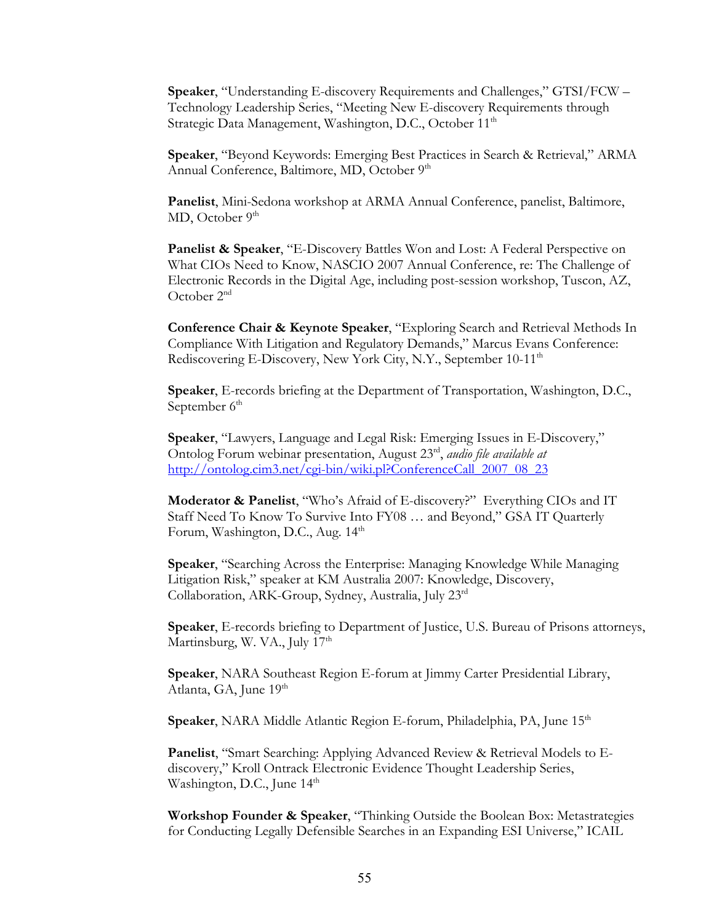**Speaker**, "Understanding E-discovery Requirements and Challenges," GTSI/FCW – Technology Leadership Series, "Meeting New E-discovery Requirements through Strategic Data Management, Washington, D.C., October 11<sup>th</sup>

**Speaker**, "Beyond Keywords: Emerging Best Practices in Search & Retrieval," ARMA Annual Conference, Baltimore, MD, October 9<sup>th</sup>

**Panelist**, Mini-Sedona workshop at ARMA Annual Conference, panelist, Baltimore, MD, October  $9<sup>th</sup>$ 

**Panelist & Speaker**, "E-Discovery Battles Won and Lost: A Federal Perspective on What CIOs Need to Know, NASCIO 2007 Annual Conference, re: The Challenge of Electronic Records in the Digital Age, including post-session workshop, Tuscon, AZ, October 2<sup>nd</sup>

**Conference Chair & Keynote Speaker**, "Exploring Search and Retrieval Methods In Compliance With Litigation and Regulatory Demands," Marcus Evans Conference: Rediscovering E-Discovery, New York City, N.Y., September 10-11th

**Speaker**, E-records briefing at the Department of Transportation, Washington, D.C., September  $6<sup>th</sup>$ 

**Speaker**, "Lawyers, Language and Legal Risk: Emerging Issues in E-Discovery," Ontolog Forum webinar presentation, August 23rd, *audio file available at*  http://ontolog.cim3.net/cgi-bin/wiki.pl?ConferenceCall\_2007\_08\_23

**Moderator & Panelist**, "Who's Afraid of E-discovery?" Everything CIOs and IT Staff Need To Know To Survive Into FY08 … and Beyond," GSA IT Quarterly Forum, Washington, D.C., Aug. 14<sup>th</sup>

**Speaker**, "Searching Across the Enterprise: Managing Knowledge While Managing Litigation Risk," speaker at KM Australia 2007: Knowledge, Discovery, Collaboration, ARK-Group, Sydney, Australia, July 23rd

**Speaker**, E-records briefing to Department of Justice, U.S. Bureau of Prisons attorneys, Martinsburg, W. VA., July  $17<sup>th</sup>$ 

**Speaker**, NARA Southeast Region E-forum at Jimmy Carter Presidential Library, Atlanta, GA, June  $19<sup>th</sup>$ 

**Speaker**, NARA Middle Atlantic Region E-forum, Philadelphia, PA, June 15<sup>th</sup>

**Panelist**, "Smart Searching: Applying Advanced Review & Retrieval Models to Ediscovery," Kroll Ontrack Electronic Evidence Thought Leadership Series, Washington, D.C., June  $14<sup>th</sup>$ 

**Workshop Founder & Speaker**, "Thinking Outside the Boolean Box: Metastrategies for Conducting Legally Defensible Searches in an Expanding ESI Universe," ICAIL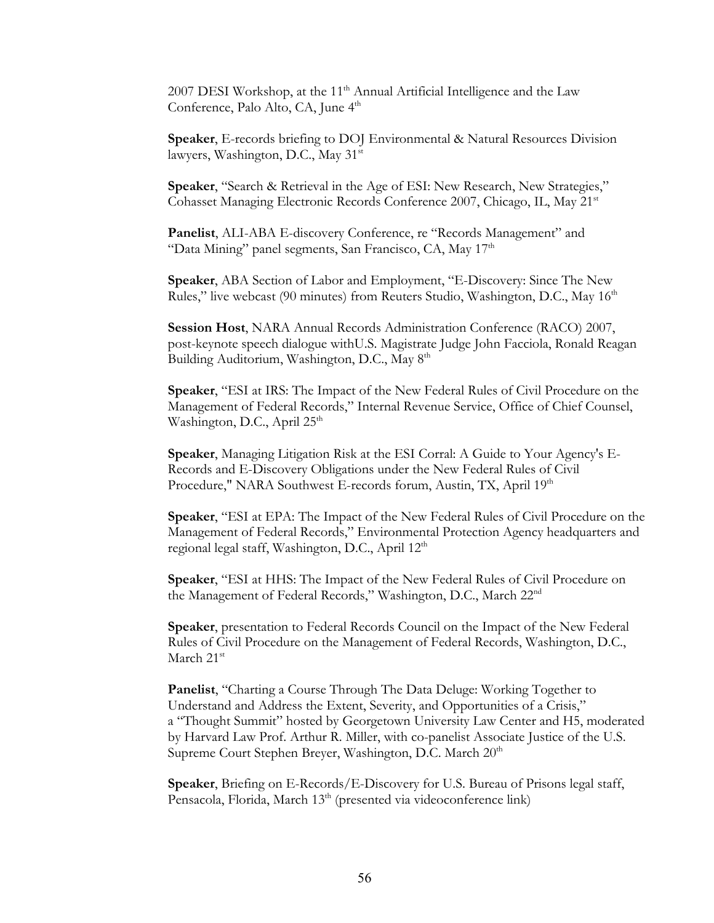2007 DESI Workshop, at the  $11<sup>th</sup>$  Annual Artificial Intelligence and the Law Conference, Palo Alto, CA, June 4<sup>th</sup>

**Speaker**, E-records briefing to DOJ Environmental & Natural Resources Division lawyers, Washington, D.C., May 31<sup>st</sup>

**Speaker**, "Search & Retrieval in the Age of ESI: New Research, New Strategies," Cohasset Managing Electronic Records Conference 2007, Chicago, IL, May 21st

**Panelist**, ALI-ABA E-discovery Conference, re "Records Management" and "Data Mining" panel segments, San Francisco, CA, May  $17<sup>th</sup>$ 

**Speaker**, ABA Section of Labor and Employment, "E-Discovery: Since The New Rules," live webcast (90 minutes) from Reuters Studio, Washington, D.C., May 16<sup>th</sup>

**Session Host**, NARA Annual Records Administration Conference (RACO) 2007, post-keynote speech dialogue withU.S. Magistrate Judge John Facciola, Ronald Reagan Building Auditorium, Washington, D.C., May 8<sup>th</sup>

**Speaker**, "ESI at IRS: The Impact of the New Federal Rules of Civil Procedure on the Management of Federal Records," Internal Revenue Service, Office of Chief Counsel, Washington, D.C., April 25<sup>th</sup>

**Speaker**, Managing Litigation Risk at the ESI Corral: A Guide to Your Agency's E-Records and E-Discovery Obligations under the New Federal Rules of Civil Procedure," NARA Southwest E-records forum, Austin, TX, April 19<sup>th</sup>

**Speaker**, "ESI at EPA: The Impact of the New Federal Rules of Civil Procedure on the Management of Federal Records," Environmental Protection Agency headquarters and regional legal staff, Washington, D.C., April 12th

**Speaker**, "ESI at HHS: The Impact of the New Federal Rules of Civil Procedure on the Management of Federal Records," Washington, D.C., March 22<sup>nd</sup>

**Speaker**, presentation to Federal Records Council on the Impact of the New Federal Rules of Civil Procedure on the Management of Federal Records, Washington, D.C., March 21<sup>st</sup>

**Panelist**, "Charting a Course Through The Data Deluge: Working Together to Understand and Address the Extent, Severity, and Opportunities of a Crisis," a "Thought Summit" hosted by Georgetown University Law Center and H5, moderated by Harvard Law Prof. Arthur R. Miller, with co-panelist Associate Justice of the U.S. Supreme Court Stephen Breyer, Washington, D.C. March  $20<sup>th</sup>$ 

**Speaker**, Briefing on E-Records/E-Discovery for U.S. Bureau of Prisons legal staff, Pensacola, Florida, March 13<sup>th</sup> (presented via videoconference link)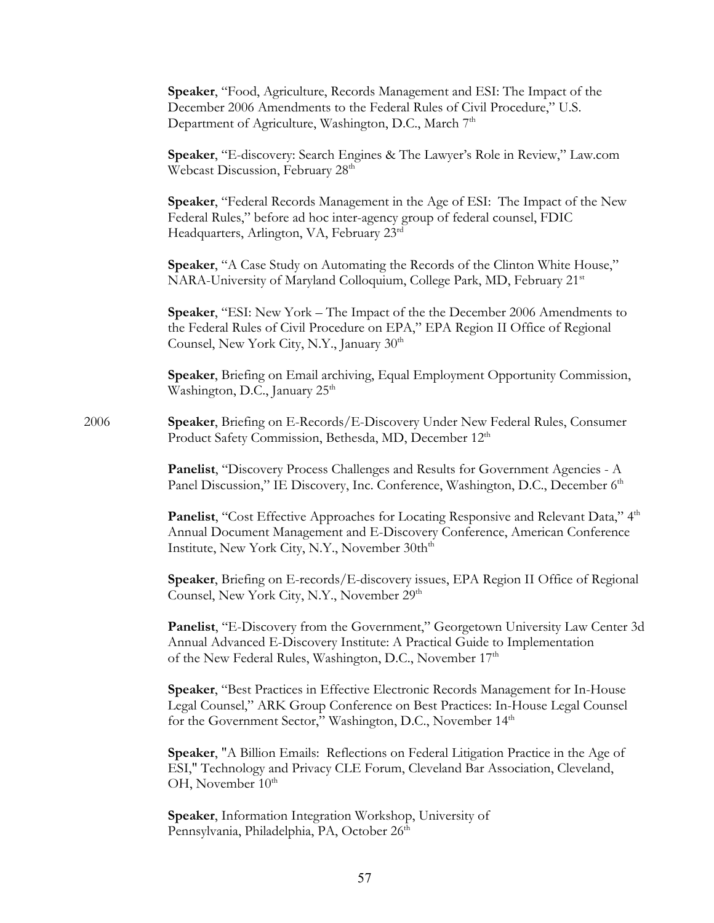**Speaker**, "Food, Agriculture, Records Management and ESI: The Impact of the December 2006 Amendments to the Federal Rules of Civil Procedure," U.S. Department of Agriculture, Washington, D.C., March 7<sup>th</sup>

**Speaker**, "E-discovery: Search Engines & The Lawyer's Role in Review," Law.com Webcast Discussion, February 28<sup>th</sup>

**Speaker**, "Federal Records Management in the Age of ESI: The Impact of the New Federal Rules," before ad hoc inter-agency group of federal counsel, FDIC Headquarters, Arlington, VA, February 23rd

**Speaker**, "A Case Study on Automating the Records of the Clinton White House," NARA-University of Maryland Colloquium, College Park, MD, February 21st

**Speaker**, "ESI: New York – The Impact of the the December 2006 Amendments to the Federal Rules of Civil Procedure on EPA," EPA Region II Office of Regional Counsel, New York City, N.Y., January 30<sup>th</sup>

**Speaker**, Briefing on Email archiving, Equal Employment Opportunity Commission, Washington, D.C., January 25<sup>th</sup>

2006 **Speaker**, Briefing on E-Records/E-Discovery Under New Federal Rules, Consumer Product Safety Commission, Bethesda, MD, December 12<sup>th</sup>

> **Panelist**, "Discovery Process Challenges and Results for Government Agencies - A Panel Discussion," IE Discovery, Inc. Conference, Washington, D.C., December 6th

**Panelist**, "Cost Effective Approaches for Locating Responsive and Relevant Data," 4<sup>th</sup> Annual Document Management and E-Discovery Conference, American Conference Institute, New York City, N.Y., November 30th<sup>th</sup>

**Speaker**, Briefing on E-records/E-discovery issues, EPA Region II Office of Regional Counsel, New York City, N.Y., November 29<sup>th</sup>

**Panelist**, "E-Discovery from the Government," Georgetown University Law Center 3d Annual Advanced E-Discovery Institute: A Practical Guide to Implementation of the New Federal Rules, Washington, D.C., November 17<sup>th</sup>

**Speaker**, "Best Practices in Effective Electronic Records Management for In-House Legal Counsel," ARK Group Conference on Best Practices: In-House Legal Counsel for the Government Sector," Washington, D.C., November 14<sup>th</sup>

**Speaker**, "A Billion Emails: Reflections on Federal Litigation Practice in the Age of ESI," Technology and Privacy CLE Forum, Cleveland Bar Association, Cleveland, OH, November  $10^{th}$ 

**Speaker**, Information Integration Workshop, University of Pennsylvania, Philadelphia, PA, October 26<sup>th</sup>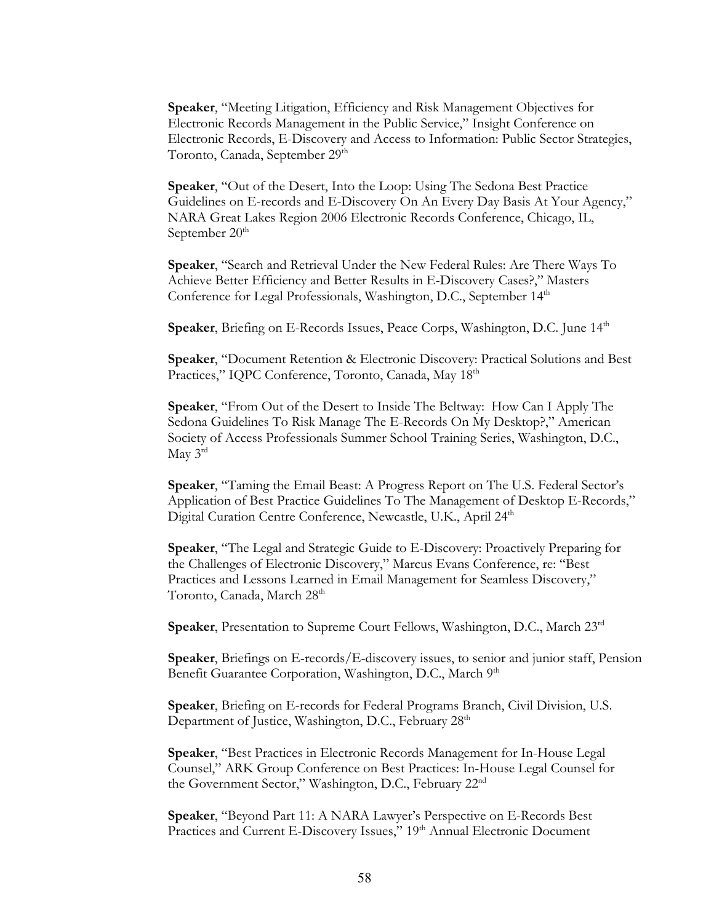**Speaker**, "Meeting Litigation, Efficiency and Risk Management Objectives for Electronic Records Management in the Public Service," Insight Conference on Electronic Records, E-Discovery and Access to Information: Public Sector Strategies, Toronto, Canada, September 29<sup>th</sup>

**Speaker**, "Out of the Desert, Into the Loop: Using The Sedona Best Practice Guidelines on E-records and E-Discovery On An Every Day Basis At Your Agency," NARA Great Lakes Region 2006 Electronic Records Conference, Chicago, IL, September 20<sup>th</sup>

**Speaker**, "Search and Retrieval Under the New Federal Rules: Are There Ways To Achieve Better Efficiency and Better Results in E-Discovery Cases?," Masters Conference for Legal Professionals, Washington, D.C., September 14<sup>th</sup>

**Speaker**, Briefing on E-Records Issues, Peace Corps, Washington, D.C. June 14<sup>th</sup>

**Speaker**, "Document Retention & Electronic Discovery: Practical Solutions and Best Practices," IQPC Conference, Toronto, Canada, May 18<sup>th</sup>

**Speaker**, "From Out of the Desert to Inside The Beltway: How Can I Apply The Sedona Guidelines To Risk Manage The E-Records On My Desktop?," American Society of Access Professionals Summer School Training Series, Washington, D.C., May 3<sup>rd</sup>

**Speaker**, "Taming the Email Beast: A Progress Report on The U.S. Federal Sector's Application of Best Practice Guidelines To The Management of Desktop E-Records," Digital Curation Centre Conference, Newcastle, U.K., April 24<sup>th</sup>

**Speaker**, "The Legal and Strategic Guide to E-Discovery: Proactively Preparing for the Challenges of Electronic Discovery," Marcus Evans Conference, re: "Best Practices and Lessons Learned in Email Management for Seamless Discovery," Toronto, Canada, March 28<sup>th</sup>

**Speaker**, Presentation to Supreme Court Fellows, Washington, D.C., March 23rd

**Speaker**, Briefings on E-records/E-discovery issues, to senior and junior staff, Pension Benefit Guarantee Corporation, Washington, D.C., March 9<sup>th</sup>

**Speaker**, Briefing on E-records for Federal Programs Branch, Civil Division, U.S. Department of Justice, Washington, D.C., February 28<sup>th</sup>

**Speaker**, "Best Practices in Electronic Records Management for In-House Legal Counsel," ARK Group Conference on Best Practices: In-House Legal Counsel for the Government Sector," Washington, D.C., February 22nd

**Speaker**, "Beyond Part 11: A NARA Lawyer's Perspective on E-Records Best Practices and Current E-Discovery Issues," 19th Annual Electronic Document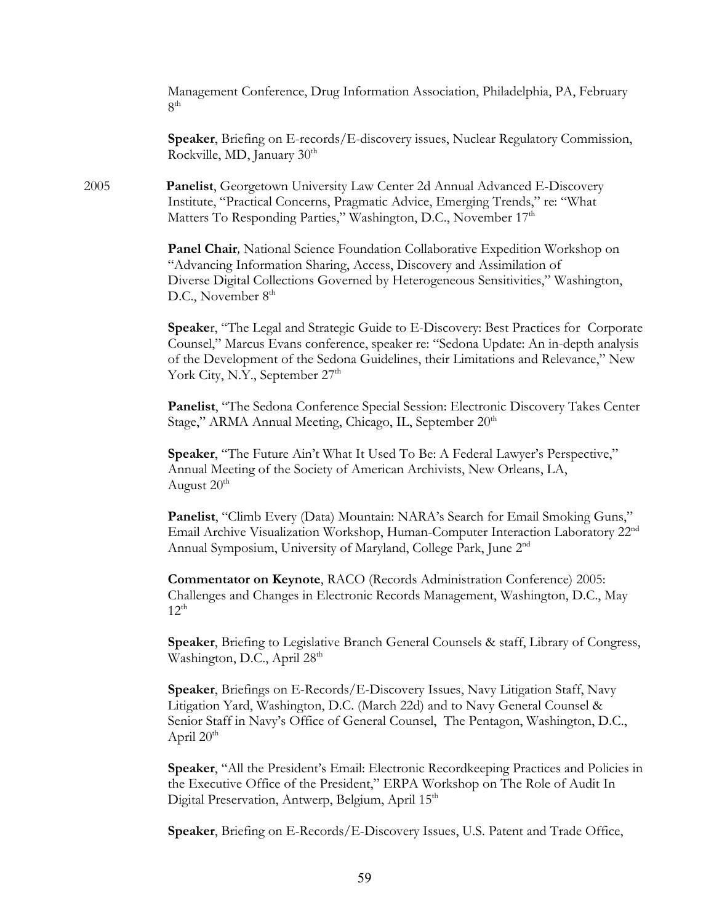Management Conference, Drug Information Association, Philadelphia, PA, February 8th

**Speaker**, Briefing on E-records/E-discovery issues, Nuclear Regulatory Commission, Rockville, MD, January 30<sup>th</sup>

2005 **Panelist**, Georgetown University Law Center 2d Annual Advanced E-Discovery Institute, "Practical Concerns, Pragmatic Advice, Emerging Trends," re: "What Matters To Responding Parties," Washington, D.C., November 17<sup>th</sup>

> **Panel Chair***,* National Science Foundation Collaborative Expedition Workshop on "Advancing Information Sharing, Access, Discovery and Assimilation of Diverse Digital Collections Governed by Heterogeneous Sensitivities," Washington, D.C., November  $8<sup>th</sup>$

**Speake**r, "The Legal and Strategic Guide to E-Discovery: Best Practices for Corporate Counsel," Marcus Evans conference, speaker re: "Sedona Update: An in-depth analysis of the Development of the Sedona Guidelines, their Limitations and Relevance," New York City, N.Y., September 27<sup>th</sup>

**Panelist**, "The Sedona Conference Special Session: Electronic Discovery Takes Center Stage," ARMA Annual Meeting, Chicago, IL, September 20<sup>th</sup>

**Speaker**, "The Future Ain't What It Used To Be: A Federal Lawyer's Perspective," Annual Meeting of the Society of American Archivists, New Orleans, LA, August  $20<sup>th</sup>$ 

**Panelist**, "Climb Every (Data) Mountain: NARA's Search for Email Smoking Guns," Email Archive Visualization Workshop, Human-Computer Interaction Laboratory 22nd Annual Symposium, University of Maryland, College Park, June 2nd

**Commentator on Keynote**, RACO (Records Administration Conference) 2005: Challenges and Changes in Electronic Records Management, Washington, D.C., May  $12^{\text{th}}$ 

**Speaker**, Briefing to Legislative Branch General Counsels & staff, Library of Congress, Washington, D.C., April 28<sup>th</sup>

**Speaker**, Briefings on E-Records/E-Discovery Issues, Navy Litigation Staff, Navy Litigation Yard, Washington, D.C. (March 22d) and to Navy General Counsel & Senior Staff in Navy's Office of General Counsel, The Pentagon, Washington, D.C., April  $20<sup>th</sup>$ 

**Speaker**, "All the President's Email: Electronic Recordkeeping Practices and Policies in the Executive Office of the President," ERPA Workshop on The Role of Audit In Digital Preservation, Antwerp, Belgium, April 15<sup>th</sup>

**Speaker**, Briefing on E-Records/E-Discovery Issues, U.S. Patent and Trade Office,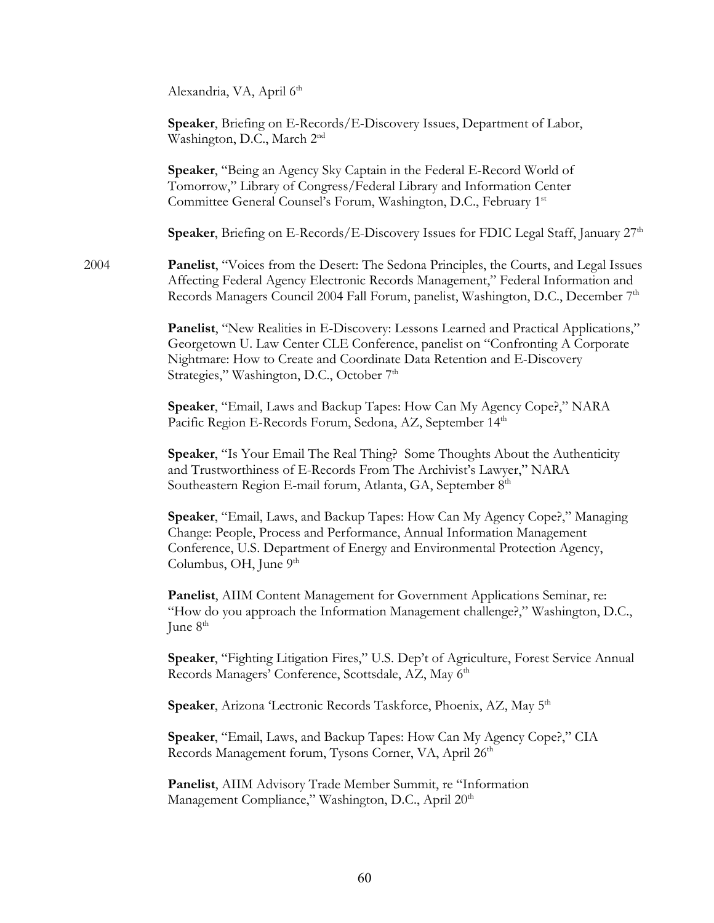Alexandria, VA, April 6<sup>th</sup>

**Speaker**, Briefing on E-Records/E-Discovery Issues, Department of Labor, Washington, D.C., March 2<sup>nd</sup>

 **Speaker**, "Being an Agency Sky Captain in the Federal E-Record World of Tomorrow," Library of Congress/Federal Library and Information Center Committee General Counsel's Forum, Washington, D.C., February 1st

**Speaker**, Briefing on E-Records/E-Discovery Issues for FDIC Legal Staff, January 27<sup>th</sup>

2004 **Panelist**, "Voices from the Desert: The Sedona Principles, the Courts, and Legal Issues Affecting Federal Agency Electronic Records Management," Federal Information and Records Managers Council 2004 Fall Forum, panelist, Washington, D.C., December 7th

> Panelist, "New Realities in E-Discovery: Lessons Learned and Practical Applications," Georgetown U. Law Center CLE Conference, panelist on "Confronting A Corporate Nightmare: How to Create and Coordinate Data Retention and E-Discovery Strategies," Washington, D.C., October 7<sup>th</sup>

**Speaker**, "Email, Laws and Backup Tapes: How Can My Agency Cope?," NARA Pacific Region E-Records Forum, Sedona, AZ, September 14<sup>th</sup>

**Speaker**, "Is Your Email The Real Thing? Some Thoughts About the Authenticity and Trustworthiness of E-Records From The Archivist's Lawyer," NARA Southeastern Region E-mail forum, Atlanta, GA, September 8<sup>th</sup>

**Speaker**, "Email, Laws, and Backup Tapes: How Can My Agency Cope?," Managing Change: People, Process and Performance, Annual Information Management Conference, U.S. Department of Energy and Environmental Protection Agency, Columbus, OH, June  $9<sup>th</sup>$ 

**Panelist**, AIIM Content Management for Government Applications Seminar, re: "How do you approach the Information Management challenge?," Washington, D.C., June  $8<sup>th</sup>$ 

**Speaker**, "Fighting Litigation Fires," U.S. Dep't of Agriculture, Forest Service Annual Records Managers' Conference, Scottsdale, AZ, May 6<sup>th</sup>

**Speaker**, Arizona 'Lectronic Records Taskforce, Phoenix, AZ, May 5<sup>th</sup>

**Speaker**, "Email, Laws, and Backup Tapes: How Can My Agency Cope?," CIA Records Management forum, Tysons Corner, VA, April 26<sup>th</sup>

**Panelist**, AIIM Advisory Trade Member Summit, re "Information Management Compliance," Washington, D.C., April 20<sup>th</sup>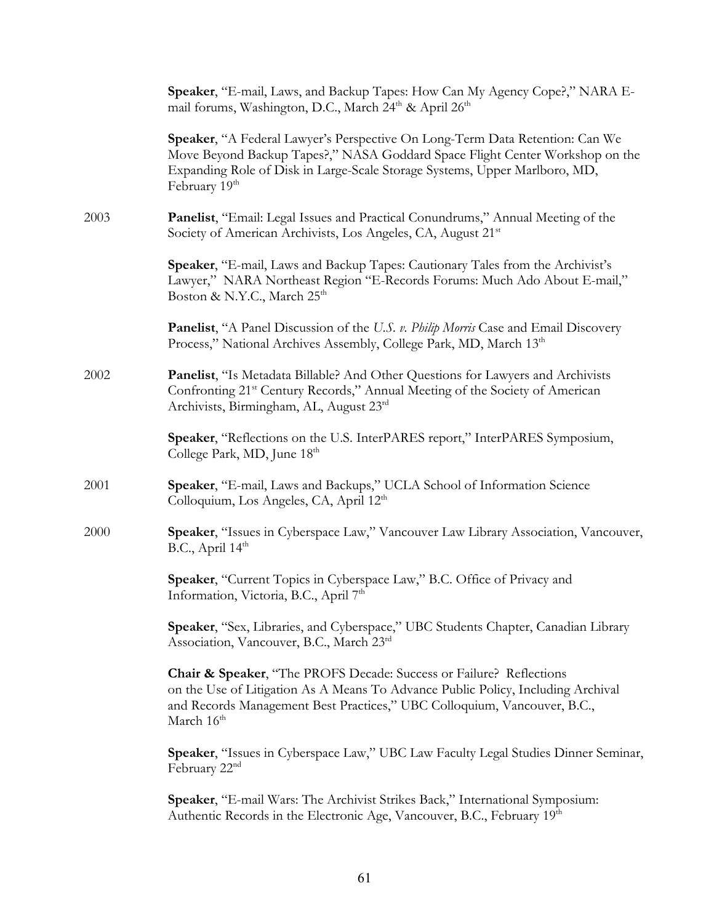|      | Speaker, "E-mail, Laws, and Backup Tapes: How Can My Agency Cope?," NARA E-<br>mail forums, Washington, D.C., March 24 <sup>th</sup> & April 26 <sup>th</sup>                                                                                                            |
|------|--------------------------------------------------------------------------------------------------------------------------------------------------------------------------------------------------------------------------------------------------------------------------|
|      | Speaker, "A Federal Lawyer's Perspective On Long-Term Data Retention: Can We<br>Move Beyond Backup Tapes?," NASA Goddard Space Flight Center Workshop on the<br>Expanding Role of Disk in Large-Scale Storage Systems, Upper Marlboro, MD,<br>February 19 <sup>th</sup>  |
| 2003 | <b>Panelist</b> , "Email: Legal Issues and Practical Conundrums," Annual Meeting of the<br>Society of American Archivists, Los Angeles, CA, August 21 <sup>st</sup>                                                                                                      |
|      | Speaker, "E-mail, Laws and Backup Tapes: Cautionary Tales from the Archivist's<br>Lawyer," NARA Northeast Region "E-Records Forums: Much Ado About E-mail,"<br>Boston & N.Y.C., March 25 <sup>th</sup>                                                                   |
|      | <b>Panelist,</b> "A Panel Discussion of the U.S. v. Philip Morris Case and Email Discovery<br>Process," National Archives Assembly, College Park, MD, March 13th                                                                                                         |
| 2002 | Panelist, "Is Metadata Billable? And Other Questions for Lawyers and Archivists<br>Confronting 21 <sup>st</sup> Century Records," Annual Meeting of the Society of American<br>Archivists, Birmingham, AL, August 23rd                                                   |
|      | <b>Speaker,</b> "Reflections on the U.S. InterPARES report," InterPARES Symposium,<br>College Park, MD, June 18 <sup>th</sup>                                                                                                                                            |
| 2001 | Speaker, "E-mail, Laws and Backups," UCLA School of Information Science<br>Colloquium, Los Angeles, CA, April 12 <sup>th</sup>                                                                                                                                           |
| 2000 | Speaker, "Issues in Cyberspace Law," Vancouver Law Library Association, Vancouver,<br>B.C., April $14th$                                                                                                                                                                 |
|      | Speaker, "Current Topics in Cyberspace Law," B.C. Office of Privacy and<br>Information, Victoria, B.C., April 7 <sup>th</sup>                                                                                                                                            |
|      | Speaker, "Sex, Libraries, and Cyberspace," UBC Students Chapter, Canadian Library<br>Association, Vancouver, B.C., March 23rd                                                                                                                                            |
|      | <b>Chair &amp; Speaker, "The PROFS Decade: Success or Failure? Reflections</b><br>on the Use of Litigation As A Means To Advance Public Policy, Including Archival<br>and Records Management Best Practices," UBC Colloquium, Vancouver, B.C.,<br>March 16 <sup>th</sup> |
|      | Speaker, "Issues in Cyberspace Law," UBC Law Faculty Legal Studies Dinner Seminar,<br>February 22 <sup>nd</sup>                                                                                                                                                          |
|      | Speaker, "E-mail Wars: The Archivist Strikes Back," International Symposium:<br>Authentic Records in the Electronic Age, Vancouver, B.C., February 19th                                                                                                                  |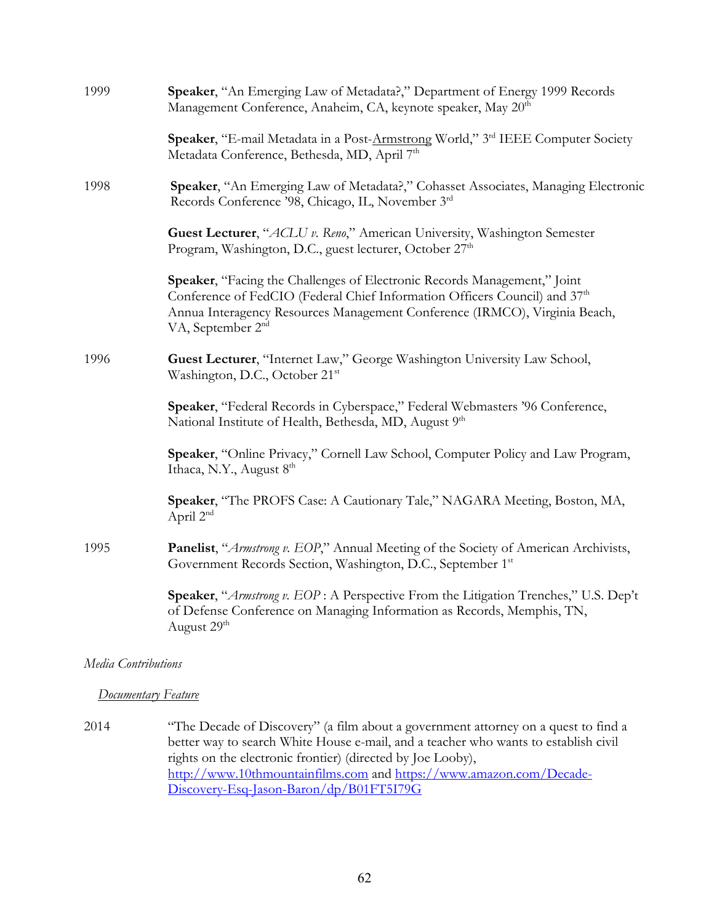| 1999 | Speaker, "An Emerging Law of Metadata?," Department of Energy 1999 Records<br>Management Conference, Anaheim, CA, keynote speaker, May 20 <sup>th</sup>                                                                                                                           |
|------|-----------------------------------------------------------------------------------------------------------------------------------------------------------------------------------------------------------------------------------------------------------------------------------|
|      | Speaker, "E-mail Metadata in a Post-Armstrong World," 3rd IEEE Computer Society<br>Metadata Conference, Bethesda, MD, April 7th                                                                                                                                                   |
| 1998 | Speaker, "An Emerging Law of Metadata?," Cohasset Associates, Managing Electronic<br>Records Conference '98, Chicago, IL, November 3rd                                                                                                                                            |
|      | Guest Lecturer, "ACLU v. Reno," American University, Washington Semester<br>Program, Washington, D.C., guest lecturer, October 27 <sup>th</sup>                                                                                                                                   |
|      | Speaker, "Facing the Challenges of Electronic Records Management," Joint<br>Conference of FedCIO (Federal Chief Information Officers Council) and 37 <sup>th</sup><br>Annua Interagency Resources Management Conference (IRMCO), Virginia Beach,<br>VA, September 2 <sup>nd</sup> |
| 1996 | Guest Lecturer, "Internet Law," George Washington University Law School,<br>Washington, D.C., October 21 <sup>st</sup>                                                                                                                                                            |
|      | Speaker, "Federal Records in Cyberspace," Federal Webmasters '96 Conference,<br>National Institute of Health, Bethesda, MD, August 9th                                                                                                                                            |
|      | Speaker, "Online Privacy," Cornell Law School, Computer Policy and Law Program,<br>Ithaca, N.Y., August $8th$                                                                                                                                                                     |
|      | Speaker, "The PROFS Case: A Cautionary Tale," NAGARA Meeting, Boston, MA,<br>April 2 <sup>nd</sup>                                                                                                                                                                                |
| 1995 | Panelist, "Armstrong v. EOP," Annual Meeting of the Society of American Archivists,<br>Government Records Section, Washington, D.C., September 1st                                                                                                                                |
|      | Speaker, "Armstrong v. EOP: A Perspective From the Litigation Trenches," U.S. Dep't<br>of Defense Conference on Managing Information as Records, Memphis, TN,<br>August 29 <sup>th</sup>                                                                                          |
|      |                                                                                                                                                                                                                                                                                   |

## *Media Contributions*

## *Documentary Feature*

2014 "The Decade of Discovery" (a film about a government attorney on a quest to find a better way to search White House e-mail, and a teacher who wants to establish civil rights on the electronic frontier) (directed by Joe Looby), http://www.10thmountainfilms.com and https://www.amazon.com/Decade-Discovery-Esq-Jason-Baron/dp/B01FT5I79G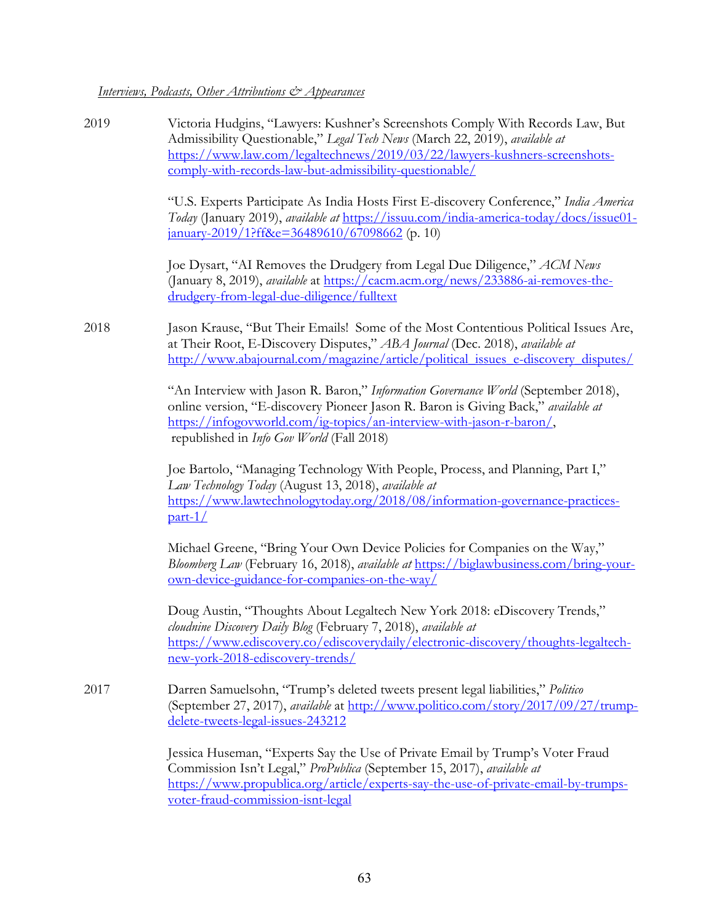*Interviews, Podcasts, Other Attributions & Appearances* 

2019 Victoria Hudgins, "Lawyers: Kushner's Screenshots Comply With Records Law, But Admissibility Questionable," *Legal Tech News* (March 22, 2019), *available at*  https://www.law.com/legaltechnews/2019/03/22/lawyers-kushners-screenshotscomply-with-records-law-but-admissibility-questionable/

> "U.S. Experts Participate As India Hosts First E-discovery Conference," *India America Today* (January 2019), *available at* https://issuu.com/india-america-today/docs/issue01 january-2019/1?ff&e=36489610/67098662 (p. 10)

Joe Dysart, "AI Removes the Drudgery from Legal Due Diligence," *ACM News*  (January 8, 2019), *available* at https://cacm.acm.org/news/233886-ai-removes-thedrudgery-from-legal-due-diligence/fulltext

2018 Jason Krause, "But Their Emails! Some of the Most Contentious Political Issues Are, at Their Root, E-Discovery Disputes," *ABA Journal* (Dec. 2018), *available at*  http://www.abajournal.com/magazine/article/political\_issues\_e-discovery\_disputes/

> "An Interview with Jason R. Baron," *Information Governance World* (September 2018), online version, "E-discovery Pioneer Jason R. Baron is Giving Back," *available at*  https://infogovworld.com/ig-topics/an-interview-with-jason-r-baron/, republished in *Info Gov World* (Fall 2018)

> Joe Bartolo, "Managing Technology With People, Process, and Planning, Part I," *Law Technology Today* (August 13, 2018), *available at*  https://www.lawtechnologytoday.org/2018/08/information-governance-practices $part-1/$

Michael Greene, "Bring Your Own Device Policies for Companies on the Way," *Bloomberg Law* (February 16, 2018), *available at* https://biglawbusiness.com/bring-yourown-device-guidance-for-companies-on-the-way/

Doug Austin, "Thoughts About Legaltech New York 2018: eDiscovery Trends," *cloudnine Discovery Daily Blog* (February 7, 2018), *available at* https://www.ediscovery.co/ediscoverydaily/electronic-discovery/thoughts-legaltechnew-york-2018-ediscovery-trends/

2017 Darren Samuelsohn, "Trump's deleted tweets present legal liabilities," *Politico*  (September 27, 2017), *available* at http://www.politico.com/story/2017/09/27/trumpdelete-tweets-legal-issues-243212

> Jessica Huseman, "Experts Say the Use of Private Email by Trump's Voter Fraud Commission Isn't Legal," *ProPublica* (September 15, 2017), *available at*  https://www.propublica.org/article/experts-say-the-use-of-private-email-by-trumpsvoter-fraud-commission-isnt-legal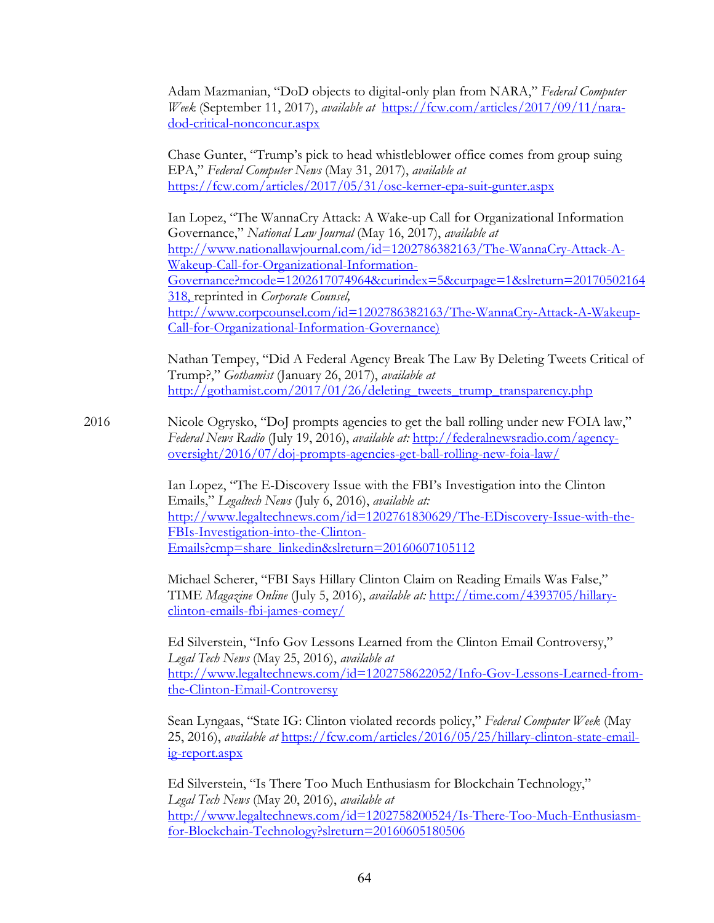Adam Mazmanian, "DoD objects to digital-only plan from NARA," *Federal Computer Week* (September 11, 2017), *available at* https://fcw.com/articles/2017/09/11/naradod-critical-nonconcur.aspx

Chase Gunter, "Trump's pick to head whistleblower office comes from group suing EPA," *Federal Computer News* (May 31, 2017), *available at*  https://fcw.com/articles/2017/05/31/osc-kerner-epa-suit-gunter.aspx

Ian Lopez, "The WannaCry Attack: A Wake-up Call for Organizational Information Governance," *National Law Journal* (May 16, 2017), *available at*  http://www.nationallawjournal.com/id=1202786382163/The-WannaCry-Attack-A-Wakeup-Call-for-Organizational-Information-Governance?mcode=1202617074964&curindex=5&curpage=1&slreturn=20170502164 318, reprinted in *Corporate Counsel,* http://www.corpcounsel.com/id=1202786382163/The-WannaCry-Attack-A-Wakeup-Call-for-Organizational-Information-Governance)

Nathan Tempey, "Did A Federal Agency Break The Law By Deleting Tweets Critical of Trump?," *Gothamist* (January 26, 2017), *available at*  http://gothamist.com/2017/01/26/deleting\_tweets\_trump\_transparency.php

2016 Nicole Ogrysko, "DoJ prompts agencies to get the ball rolling under new FOIA law," *Federal News Radio* (July 19, 2016), *available at:* http://federalnewsradio.com/agencyoversight/2016/07/doj-prompts-agencies-get-ball-rolling-new-foia-law/

> Ian Lopez, "The E-Discovery Issue with the FBI's Investigation into the Clinton Emails," *Legaltech News* (July 6, 2016), *available at:*  http://www.legaltechnews.com/id=1202761830629/The-EDiscovery-Issue-with-the-FBIs-Investigation-into-the-Clinton-Emails?cmp=share\_linkedin&slreturn=20160607105112

Michael Scherer, "FBI Says Hillary Clinton Claim on Reading Emails Was False," TIME *Magazine Online* (July 5, 2016), *available at:* http://time.com/4393705/hillaryclinton-emails-fbi-james-comey/

Ed Silverstein, "Info Gov Lessons Learned from the Clinton Email Controversy," *Legal Tech News* (May 25, 2016), *available at*  http://www.legaltechnews.com/id=1202758622052/Info-Gov-Lessons-Learned-fromthe-Clinton-Email-Controversy

Sean Lyngaas, "State IG: Clinton violated records policy," *Federal Computer Week* (May 25, 2016), *available at* https://fcw.com/articles/2016/05/25/hillary-clinton-state-emailig-report.aspx

Ed Silverstein, "Is There Too Much Enthusiasm for Blockchain Technology," *Legal Tech News* (May 20, 2016), *available at*  http://www.legaltechnews.com/id=1202758200524/Is-There-Too-Much-Enthusiasmfor-Blockchain-Technology?slreturn=20160605180506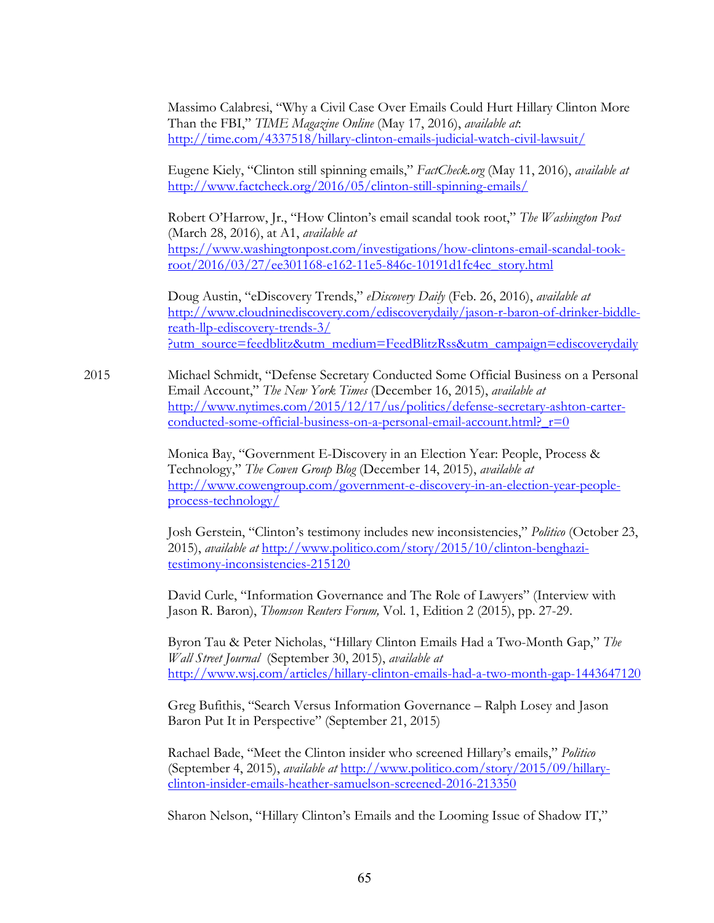Massimo Calabresi, "Why a Civil Case Over Emails Could Hurt Hillary Clinton More Than the FBI," *TIME Magazine Online* (May 17, 2016), *available at*: http://time.com/4337518/hillary-clinton-emails-judicial-watch-civil-lawsuit/

Eugene Kiely, "Clinton still spinning emails," *FactCheck.org* (May 11, 2016), *available at*  http://www.factcheck.org/2016/05/clinton-still-spinning-emails/

Robert O'Harrow, Jr., "How Clinton's email scandal took root," *The Washington Post* (March 28, 2016), at A1, *available at*  https://www.washingtonpost.com/investigations/how-clintons-email-scandal-tookroot/2016/03/27/ee301168-e162-11e5-846c-10191d1fc4ec\_story.html

Doug Austin, "eDiscovery Trends," *eDiscovery Daily* (Feb. 26, 2016), *available at*  http://www.cloudninediscovery.com/ediscoverydaily/jason-r-baron-of-drinker-biddlereath-llp-ediscovery-trends-3/ ?utm\_source=feedblitz&utm\_medium=FeedBlitzRss&utm\_campaign=ediscoverydaily

2015 Michael Schmidt, "Defense Secretary Conducted Some Official Business on a Personal Email Account," *The New York Times* (December 16, 2015), *available at*  http://www.nytimes.com/2015/12/17/us/politics/defense-secretary-ashton-carterconducted-some-official-business-on-a-personal-email-account.html? r=0

> Monica Bay, "Government E-Discovery in an Election Year: People, Process & Technology," *The Cowen Group Blog* (December 14, 2015), *available at*  http://www.cowengroup.com/government-e-discovery-in-an-election-year-peopleprocess-technology/

Josh Gerstein, "Clinton's testimony includes new inconsistencies," *Politico* (October 23, 2015), *available at* http://www.politico.com/story/2015/10/clinton-benghazitestimony-inconsistencies-215120

David Curle, "Information Governance and The Role of Lawyers" (Interview with Jason R. Baron), *Thomson Reuters Forum,* Vol. 1, Edition 2 (2015), pp. 27-29.

Byron Tau & Peter Nicholas, "Hillary Clinton Emails Had a Two-Month Gap," *The Wall Street Journal* (September 30, 2015), *available at*  http://www.wsj.com/articles/hillary-clinton-emails-had-a-two-month-gap-1443647120

Greg Bufithis, "Search Versus Information Governance – Ralph Losey and Jason Baron Put It in Perspective" (September 21, 2015)

Rachael Bade, "Meet the Clinton insider who screened Hillary's emails," *Politico*  (September 4, 2015), *available at* http://www.politico.com/story/2015/09/hillaryclinton-insider-emails-heather-samuelson-screened-2016-213350

Sharon Nelson, "Hillary Clinton's Emails and the Looming Issue of Shadow IT,"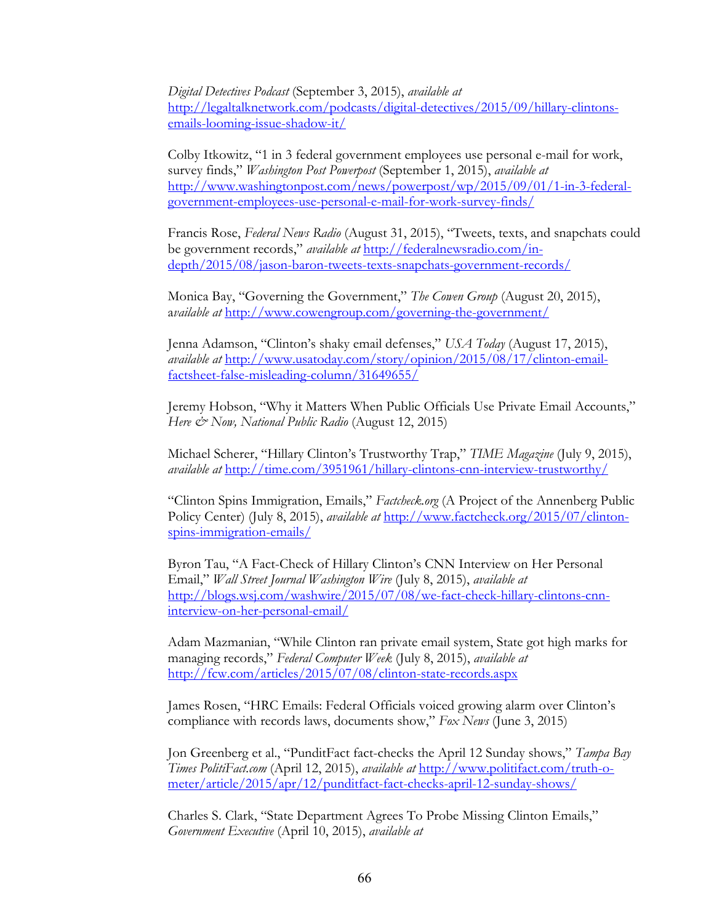*Digital Detectives Podcast* (September 3, 2015), *available at*  http://legaltalknetwork.com/podcasts/digital-detectives/2015/09/hillary-clintonsemails-looming-issue-shadow-it/

Colby Itkowitz, "1 in 3 federal government employees use personal e-mail for work, survey finds," *Washington Post Powerpost* (September 1, 2015), *available at*  http://www.washingtonpost.com/news/powerpost/wp/2015/09/01/1-in-3-federalgovernment-employees-use-personal-e-mail-for-work-survey-finds/

Francis Rose, *Federal News Radio* (August 31, 2015), "Tweets, texts, and snapchats could be government records," *available at* http://federalnewsradio.com/indepth/2015/08/jason-baron-tweets-texts-snapchats-government-records/

Monica Bay, "Governing the Government," *The Cowen Group* (August 20, 2015), a*vailable at* http://www.cowengroup.com/governing-the-government/

Jenna Adamson, "Clinton's shaky email defenses," *USA Today* (August 17, 2015), *available at* http://www.usatoday.com/story/opinion/2015/08/17/clinton-emailfactsheet-false-misleading-column/31649655/

Jeremy Hobson, "Why it Matters When Public Officials Use Private Email Accounts," *Here & Now, National Public Radio* (August 12, 2015)

Michael Scherer, "Hillary Clinton's Trustworthy Trap," *TIME Magazine* (July 9, 2015), *available at* http://time.com/3951961/hillary-clintons-cnn-interview-trustworthy/

"Clinton Spins Immigration, Emails," *Factcheck.org* (A Project of the Annenberg Public Policy Center) (July 8, 2015), *available at* http://www.factcheck.org/2015/07/clintonspins-immigration-emails/

Byron Tau, "A Fact-Check of Hillary Clinton's CNN Interview on Her Personal Email," *Wall Street Journal Washington Wire* (July 8, 2015), *available at*  http://blogs.wsj.com/washwire/2015/07/08/we-fact-check-hillary-clintons-cnninterview-on-her-personal-email/

Adam Mazmanian, "While Clinton ran private email system, State got high marks for managing records," *Federal Computer Week* (July 8, 2015), *available at*  http://fcw.com/articles/2015/07/08/clinton-state-records.aspx

James Rosen, "HRC Emails: Federal Officials voiced growing alarm over Clinton's compliance with records laws, documents show," *Fox News* (June 3, 2015)

Jon Greenberg et al., "PunditFact fact-checks the April 12 Sunday shows," *Tampa Bay Times PolitiFact.com* (April 12, 2015), *available at* http://www.politifact.com/truth-ometer/article/2015/apr/12/punditfact-fact-checks-april-12-sunday-shows/

Charles S. Clark, "State Department Agrees To Probe Missing Clinton Emails," *Government Executive* (April 10, 2015), *available at*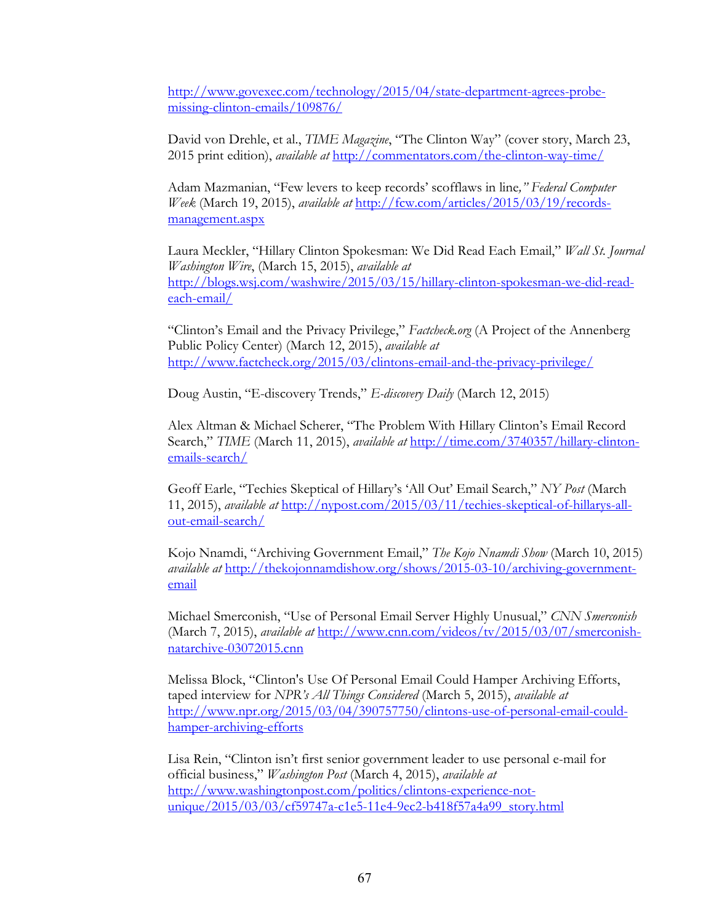http://www.govexec.com/technology/2015/04/state-department-agrees-probemissing-clinton-emails/109876/

David von Drehle, et al., *TIME Magazine*, "The Clinton Way" (cover story, March 23, 2015 print edition), *available at* http://commentators.com/the-clinton-way-time/

Adam Mazmanian, "Few levers to keep records' scofflaws in line*," Federal Computer Week* (March 19, 2015), *available at* http://fcw.com/articles/2015/03/19/recordsmanagement.aspx

Laura Meckler, "Hillary Clinton Spokesman: We Did Read Each Email," *Wall St. Journal Washington Wire*, (March 15, 2015), *available at* http://blogs.wsj.com/washwire/2015/03/15/hillary-clinton-spokesman-we-did-readeach-email/

"Clinton's Email and the Privacy Privilege," *Factcheck.org* (A Project of the Annenberg Public Policy Center) (March 12, 2015), *available at* http://www.factcheck.org/2015/03/clintons-email-and-the-privacy-privilege/

Doug Austin, "E-discovery Trends," *E-discovery Daily* (March 12, 2015)

Alex Altman & Michael Scherer, "The Problem With Hillary Clinton's Email Record Search," *TIME* (March 11, 2015), *available at* http://time.com/3740357/hillary-clintonemails-search/

Geoff Earle, "Techies Skeptical of Hillary's 'All Out' Email Search," *NY Post* (March 11, 2015), *available at* http://nypost.com/2015/03/11/techies-skeptical-of-hillarys-allout-email-search/

Kojo Nnamdi, "Archiving Government Email," *The Kojo Nnamdi Show* (March 10, 2015) *available at* http://thekojonnamdishow.org/shows/2015-03-10/archiving-governmentemail

Michael Smerconish, "Use of Personal Email Server Highly Unusual," *CNN Smerconish* (March 7, 2015), *available at* http://www.cnn.com/videos/tv/2015/03/07/smerconishnatarchive-03072015.cnn

Melissa Block, "Clinton's Use Of Personal Email Could Hamper Archiving Efforts, taped interview for *NPR's All Things Considered* (March 5, 2015), *available at* http://www.npr.org/2015/03/04/390757750/clintons-use-of-personal-email-couldhamper-archiving-efforts

Lisa Rein, "Clinton isn't first senior government leader to use personal e-mail for official business," *Washington Post* (March 4, 2015), *available at*  http://www.washingtonpost.com/politics/clintons-experience-notunique/2015/03/03/cf59747a-c1e5-11e4-9ec2-b418f57a4a99\_story.html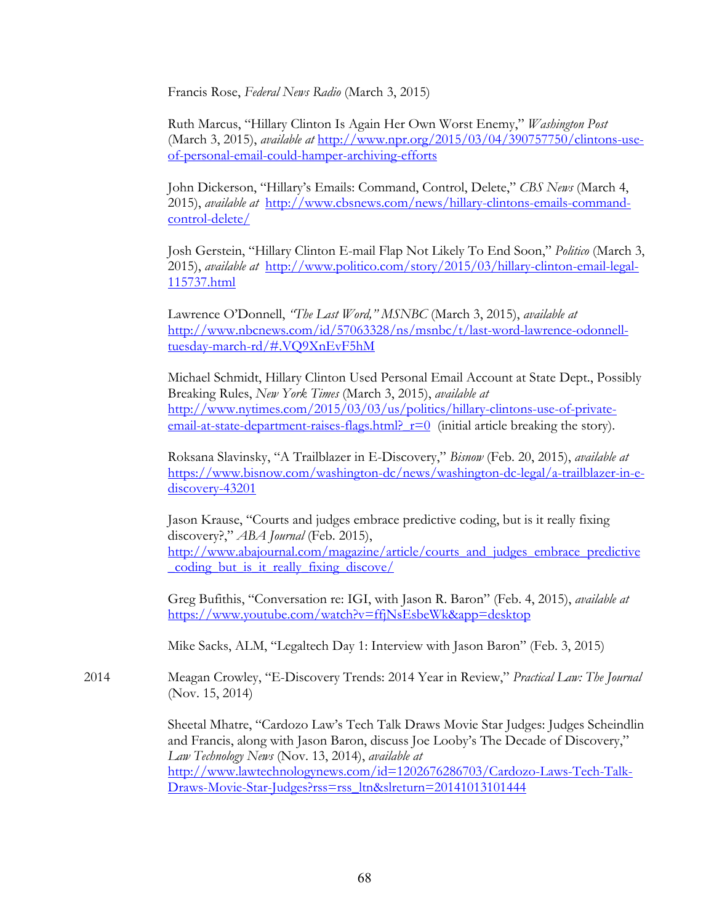Francis Rose, *Federal News Radio* (March 3, 2015)

Ruth Marcus, "Hillary Clinton Is Again Her Own Worst Enemy," *Washington Post*  (March 3, 2015), *available at* http://www.npr.org/2015/03/04/390757750/clintons-useof-personal-email-could-hamper-archiving-efforts

John Dickerson, "Hillary's Emails: Command, Control, Delete," *CBS News* (March 4, 2015), *available at* http://www.cbsnews.com/news/hillary-clintons-emails-commandcontrol-delete/

Josh Gerstein, "Hillary Clinton E-mail Flap Not Likely To End Soon," *Politico* (March 3, 2015), *available at* http://www.politico.com/story/2015/03/hillary-clinton-email-legal-115737.html

Lawrence O'Donnell, *"The Last Word," MSNBC* (March 3, 2015), *available at*  http://www.nbcnews.com/id/57063328/ns/msnbc/t/last-word-lawrence-odonnelltuesday-march-rd/#.VQ9XnEvF5hM

Michael Schmidt, Hillary Clinton Used Personal Email Account at State Dept., Possibly Breaking Rules, *New York Times* (March 3, 2015), *available at*  http://www.nytimes.com/2015/03/03/us/politics/hillary-clintons-use-of-privateemail-at-state-department-raises-flags.html?  $r=0$  (initial article breaking the story).

Roksana Slavinsky, "A Trailblazer in E-Discovery," *Bisnow* (Feb. 20, 2015), *available at* https://www.bisnow.com/washington-dc/news/washington-dc-legal/a-trailblazer-in-ediscovery-43201

Jason Krause, "Courts and judges embrace predictive coding, but is it really fixing discovery?," *ABA Journal* (Feb. 2015), http://www.abajournal.com/magazine/article/courts\_and\_judges\_embrace\_predictive coding but is it really fixing discove/

Greg Bufithis, "Conversation re: IGI, with Jason R. Baron" (Feb. 4, 2015), *available at*  https://www.youtube.com/watch?v=ffjNsEsbeWk&app=desktop

Mike Sacks, ALM, "Legaltech Day 1: Interview with Jason Baron" (Feb. 3, 2015)

2014 Meagan Crowley, "E-Discovery Trends: 2014 Year in Review," *Practical Law: The Journal*  (Nov. 15, 2014)

> Sheetal Mhatre, "Cardozo Law's Tech Talk Draws Movie Star Judges: Judges Scheindlin and Francis, along with Jason Baron, discuss Joe Looby's The Decade of Discovery," *Law Technology News* (Nov. 13, 2014), *available at*  http://www.lawtechnologynews.com/id=1202676286703/Cardozo-Laws-Tech-Talk-Draws-Movie-Star-Judges?rss=rss\_ltn&slreturn=20141013101444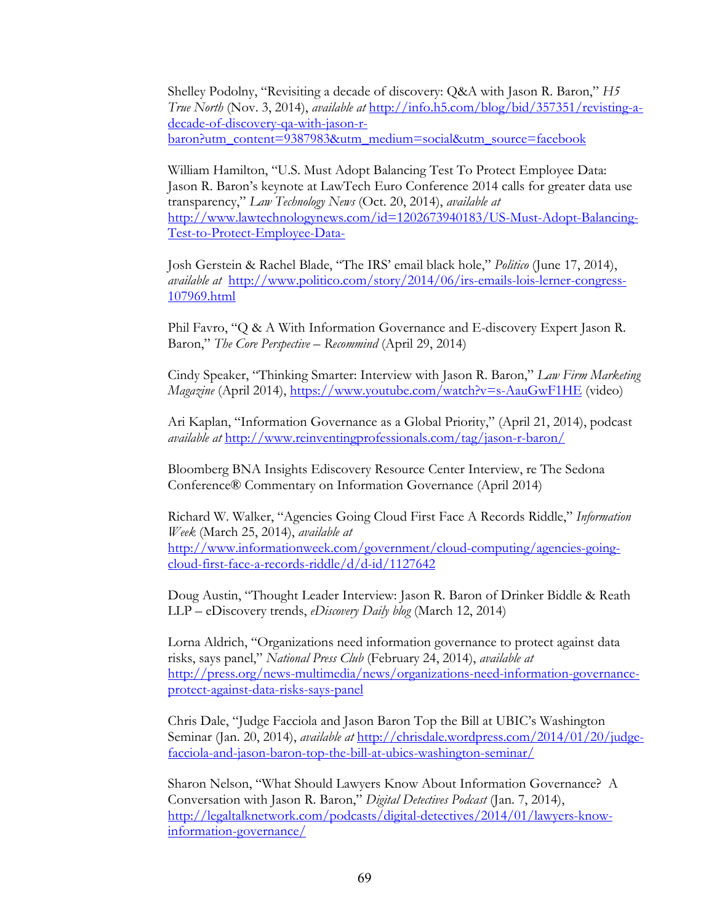Shelley Podolny, "Revisiting a decade of discovery: Q&A with Jason R. Baron," *H5 True North* (Nov. 3, 2014), *available at* http://info.h5.com/blog/bid/357351/revisting-adecade-of-discovery-qa-with-jason-rbaron?utm\_content=9387983&utm\_medium=social&utm\_source=facebook

William Hamilton, "U.S. Must Adopt Balancing Test To Protect Employee Data: Jason R. Baron's keynote at LawTech Euro Conference 2014 calls for greater data use transparency," *Law Technology News* (Oct. 20, 2014), *available at*  http://www.lawtechnologynews.com/id=1202673940183/US-Must-Adopt-Balancing-Test-to-Protect-Employee-Data-

Josh Gerstein & Rachel Blade, "The IRS' email black hole," *Politico* (June 17, 2014), *available at* http://www.politico.com/story/2014/06/irs-emails-lois-lerner-congress-107969.html

Phil Favro, "Q & A With Information Governance and E-discovery Expert Jason R. Baron," *The Core Perspective – Recommind* (April 29, 2014)

Cindy Speaker, "Thinking Smarter: Interview with Jason R. Baron," *Law Firm Marketing Magazine* (April 2014), https://www.youtube.com/watch?v=s-AauGwF1HE (video)

Ari Kaplan, "Information Governance as a Global Priority," (April 21, 2014), podcast *available at* http://www.reinventingprofessionals.com/tag/jason-r-baron/

Bloomberg BNA Insights Ediscovery Resource Center Interview, re The Sedona Conference® Commentary on Information Governance (April 2014)

Richard W. Walker, "Agencies Going Cloud First Face A Records Riddle," *Information Week* (March 25, 2014), *available at*  http://www.informationweek.com/government/cloud-computing/agencies-goingcloud-first-face-a-records-riddle/d/d-id/1127642

Doug Austin, "Thought Leader Interview: Jason R. Baron of Drinker Biddle & Reath LLP – eDiscovery trends, *eDiscovery Daily blog* (March 12, 2014)

Lorna Aldrich, "Organizations need information governance to protect against data risks, says panel," *National Press Club* (February 24, 2014), *available at*  http://press.org/news-multimedia/news/organizations-need-information-governanceprotect-against-data-risks-says-panel

Chris Dale, "Judge Facciola and Jason Baron Top the Bill at UBIC's Washington Seminar (Jan. 20, 2014), *available at* http://chrisdale.wordpress.com/2014/01/20/judgefacciola-and-jason-baron-top-the-bill-at-ubics-washington-seminar/

Sharon Nelson, "What Should Lawyers Know About Information Governance? A Conversation with Jason R. Baron," *Digital Detectives Podcast* (Jan. 7, 2014), http://legaltalknetwork.com/podcasts/digital-detectives/2014/01/lawyers-knowinformation-governance/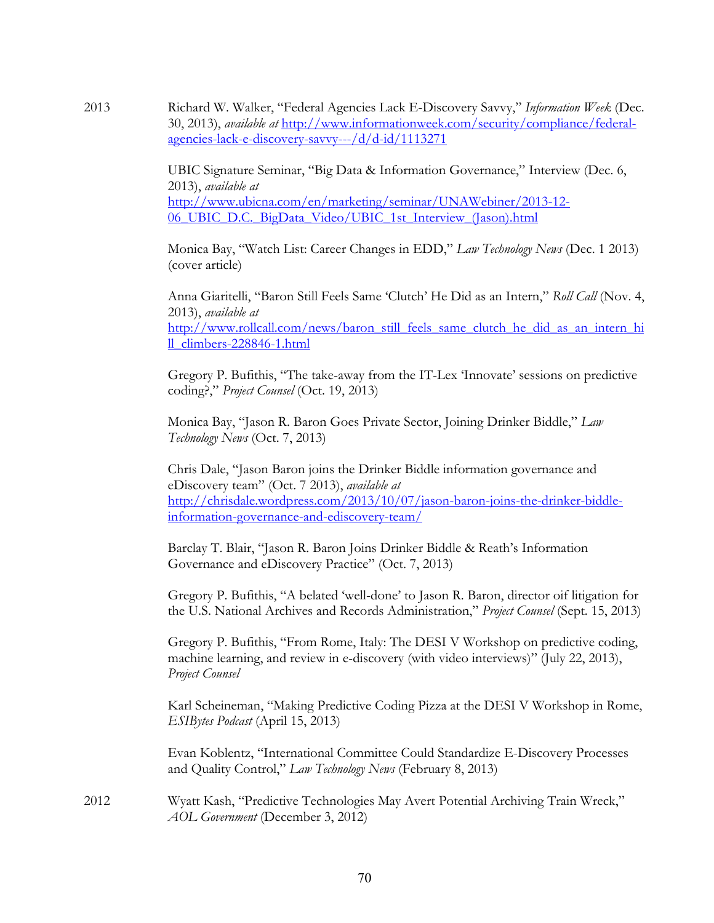2013 Richard W. Walker, "Federal Agencies Lack E-Discovery Savvy," *Information Week* (Dec. 30, 2013), *available at* http://www.informationweek.com/security/compliance/federalagencies-lack-e-discovery-savvy---/d/d-id/1113271

> UBIC Signature Seminar, "Big Data & Information Governance," Interview (Dec. 6, 2013), *available at*  http://www.ubicna.com/en/marketing/seminar/UNAWebiner/2013-12- 06\_UBIC\_D.C.\_BigData\_Video/UBIC\_1st\_Interview\_(Jason).html

Monica Bay, "Watch List: Career Changes in EDD," *Law Technology News* (Dec. 1 2013) (cover article)

Anna Giaritelli, "Baron Still Feels Same 'Clutch' He Did as an Intern," *Roll Call* (Nov. 4, 2013), *available at*  http://www.rollcall.com/news/baron\_still\_feels\_same\_clutch\_he\_did\_as\_an\_intern\_hi ll\_climbers-228846-1.html

Gregory P. Bufithis, "The take-away from the IT-Lex 'Innovate' sessions on predictive coding?," *Project Counsel* (Oct. 19, 2013)

Monica Bay, "Jason R. Baron Goes Private Sector, Joining Drinker Biddle," *Law Technology News* (Oct. 7, 2013)

Chris Dale, "Jason Baron joins the Drinker Biddle information governance and eDiscovery team" (Oct. 7 2013), *available at*  http://chrisdale.wordpress.com/2013/10/07/jason-baron-joins-the-drinker-biddleinformation-governance-and-ediscovery-team/

Barclay T. Blair, "Jason R. Baron Joins Drinker Biddle & Reath's Information Governance and eDiscovery Practice" (Oct. 7, 2013)

Gregory P. Bufithis, "A belated 'well-done' to Jason R. Baron, director oif litigation for the U.S. National Archives and Records Administration," *Project Counsel* (Sept. 15, 2013)

Gregory P. Bufithis, "From Rome, Italy: The DESI V Workshop on predictive coding, machine learning, and review in e-discovery (with video interviews)" (July 22, 2013), *Project Counsel*

Karl Scheineman, "Making Predictive Coding Pizza at the DESI V Workshop in Rome, *ESIBytes Podcast* (April 15, 2013)

Evan Koblentz, "International Committee Could Standardize E-Discovery Processes and Quality Control," *Law Technology News* (February 8, 2013)

2012 Wyatt Kash, "Predictive Technologies May Avert Potential Archiving Train Wreck," *AOL Government* (December 3, 2012)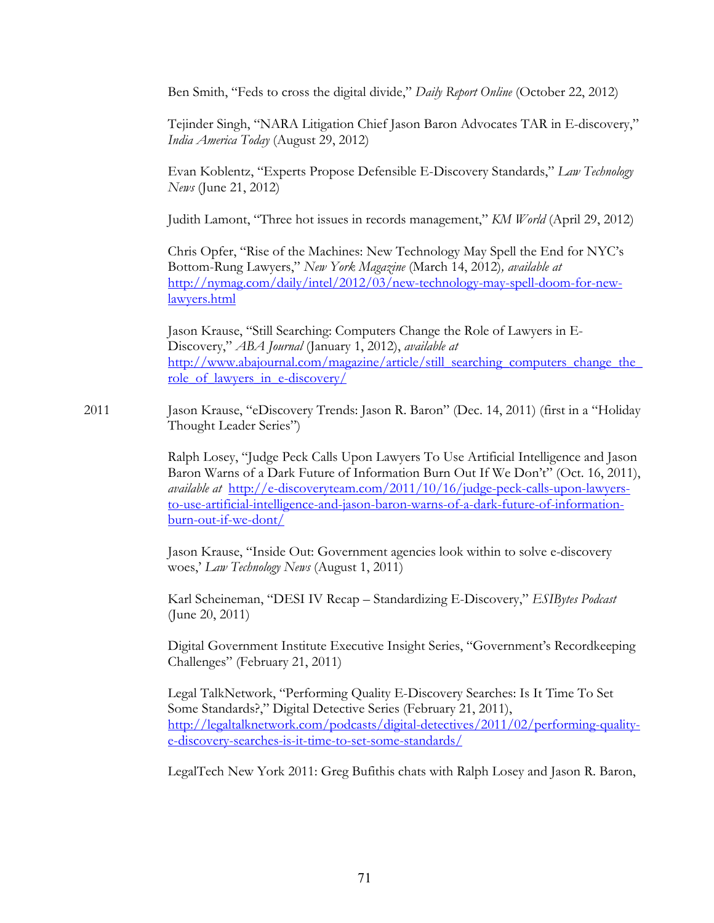Ben Smith, "Feds to cross the digital divide," *Daily Report Online* (October 22, 2012)

Tejinder Singh, "NARA Litigation Chief Jason Baron Advocates TAR in E-discovery," *India America Today* (August 29, 2012)

Evan Koblentz, "Experts Propose Defensible E-Discovery Standards," *Law Technology News* (June 21, 2012)

Judith Lamont, "Three hot issues in records management," *KM World* (April 29, 2012)

Chris Opfer, "Rise of the Machines: New Technology May Spell the End for NYC's Bottom-Rung Lawyers," *New York Magazine* (March 14, 2012)*, available at*  http://nymag.com/daily/intel/2012/03/new-technology-may-spell-doom-for-newlawyers.html

Jason Krause, "Still Searching: Computers Change the Role of Lawyers in E-Discovery," *ABA Journal* (January 1, 2012), *available at*  http://www.abajournal.com/magazine/article/still\_searching\_computers\_change\_the\_ role\_of\_lawyers\_in\_e-discovery/

2011 Jason Krause, "eDiscovery Trends: Jason R. Baron" (Dec. 14, 2011) (first in a "Holiday Thought Leader Series")

> Ralph Losey, "Judge Peck Calls Upon Lawyers To Use Artificial Intelligence and Jason Baron Warns of a Dark Future of Information Burn Out If We Don't" (Oct. 16, 2011), *available at* http://e-discoveryteam.com/2011/10/16/judge-peck-calls-upon-lawyersto-use-artificial-intelligence-and-jason-baron-warns-of-a-dark-future-of-informationburn-out-if-we-dont/

Jason Krause, "Inside Out: Government agencies look within to solve e-discovery woes,' *Law Technology News* (August 1, 2011)

Karl Scheineman, "DESI IV Recap – Standardizing E-Discovery," *ESIBytes Podcast*  (June 20, 2011)

Digital Government Institute Executive Insight Series, "Government's Recordkeeping Challenges" (February 21, 2011)

Legal TalkNetwork, "Performing Quality E-Discovery Searches: Is It Time To Set Some Standards?," Digital Detective Series (February 21, 2011), http://legaltalknetwork.com/podcasts/digital-detectives/2011/02/performing-qualitye-discovery-searches-is-it-time-to-set-some-standards/

LegalTech New York 2011: Greg Bufithis chats with Ralph Losey and Jason R. Baron,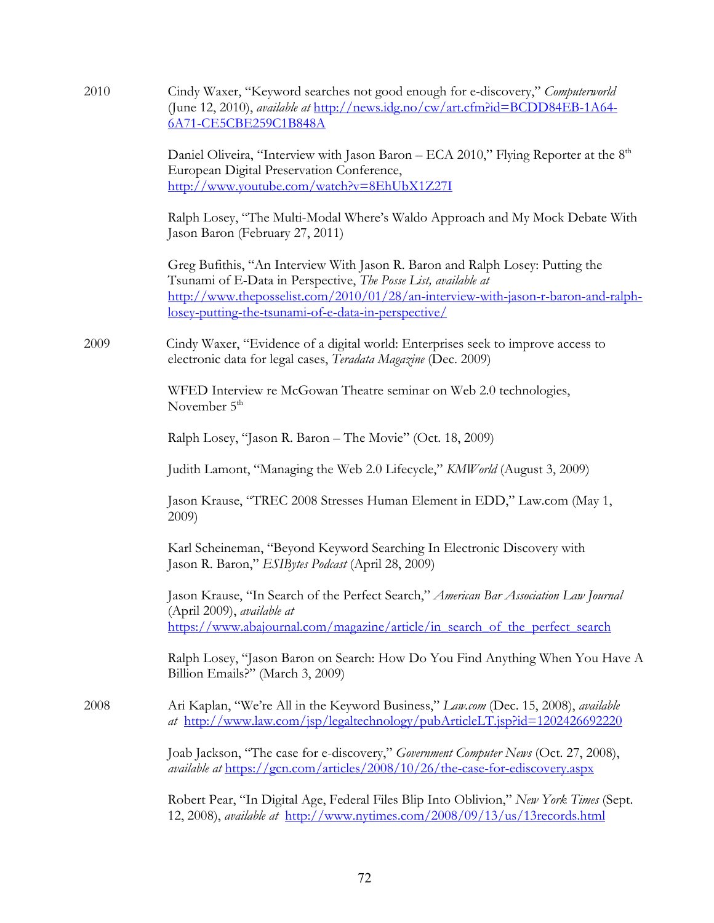| 2010 | Cindy Waxer, "Keyword searches not good enough for e-discovery," Computerworld<br>(June 12, 2010), available at http://news.idg.no/cw/art.cfm?id=BCDD84EB-1A64-<br>6A71-CE5CBE259C1B848A                                                                                                    |
|------|---------------------------------------------------------------------------------------------------------------------------------------------------------------------------------------------------------------------------------------------------------------------------------------------|
|      | Daniel Oliveira, "Interview with Jason Baron - ECA 2010," Flying Reporter at the 8 <sup>th</sup><br>European Digital Preservation Conference,<br>http://www.youtube.com/watch?v=8EhUbX1Z27I                                                                                                 |
|      | Ralph Losey, "The Multi-Modal Where's Waldo Approach and My Mock Debate With<br>Jason Baron (February 27, 2011)                                                                                                                                                                             |
|      | Greg Bufithis, "An Interview With Jason R. Baron and Ralph Losey: Putting the<br>Tsunami of E-Data in Perspective, The Posse List, available at<br>http://www.theposselist.com/2010/01/28/an-interview-with-jason-r-baron-and-ralph-<br>losey-putting-the-tsunami-of-e-data-in-perspective/ |
| 2009 | Cindy Waxer, "Evidence of a digital world: Enterprises seek to improve access to<br>electronic data for legal cases, Teradata Magazine (Dec. 2009)                                                                                                                                          |
|      | WFED Interview re McGowan Theatre seminar on Web 2.0 technologies,<br>November 5 <sup>th</sup>                                                                                                                                                                                              |
|      | Ralph Losey, "Jason R. Baron - The Movie" (Oct. 18, 2009)                                                                                                                                                                                                                                   |
|      | Judith Lamont, "Managing the Web 2.0 Lifecycle," KMW orld (August 3, 2009)                                                                                                                                                                                                                  |
|      | Jason Krause, "TREC 2008 Stresses Human Element in EDD," Law.com (May 1,<br>$2009$ )                                                                                                                                                                                                        |
|      | Karl Scheineman, "Beyond Keyword Searching In Electronic Discovery with<br>Jason R. Baron," <i>ESIBytes Podcast</i> (April 28, 2009)                                                                                                                                                        |
|      | Jason Krause, "In Search of the Perfect Search," American Bar Association Law Journal<br>(April 2009), available at<br>https://www.abajournal.com/magazine/article/in search of the perfect search                                                                                          |
|      | Ralph Losey, "Jason Baron on Search: How Do You Find Anything When You Have A<br>Billion Emails?" (March 3, 2009)                                                                                                                                                                           |
| 2008 | Ari Kaplan, "We're All in the Keyword Business," Law.com (Dec. 15, 2008), available<br>at http://www.law.com/jsp/legaltechnology/pubArticleLT.jsp?id=1202426692220                                                                                                                          |
|      | Joab Jackson, "The case for e-discovery," Government Computer News (Oct. 27, 2008),<br><i>available at</i> https://gcn.com/articles/2008/10/26/the-case-for-ediscovery.aspx                                                                                                                 |
|      | Robert Pear, "In Digital Age, Federal Files Blip Into Oblivion," New York Times (Sept.<br>12, 2008), available at http://www.nytimes.com/2008/09/13/us/13records.html                                                                                                                       |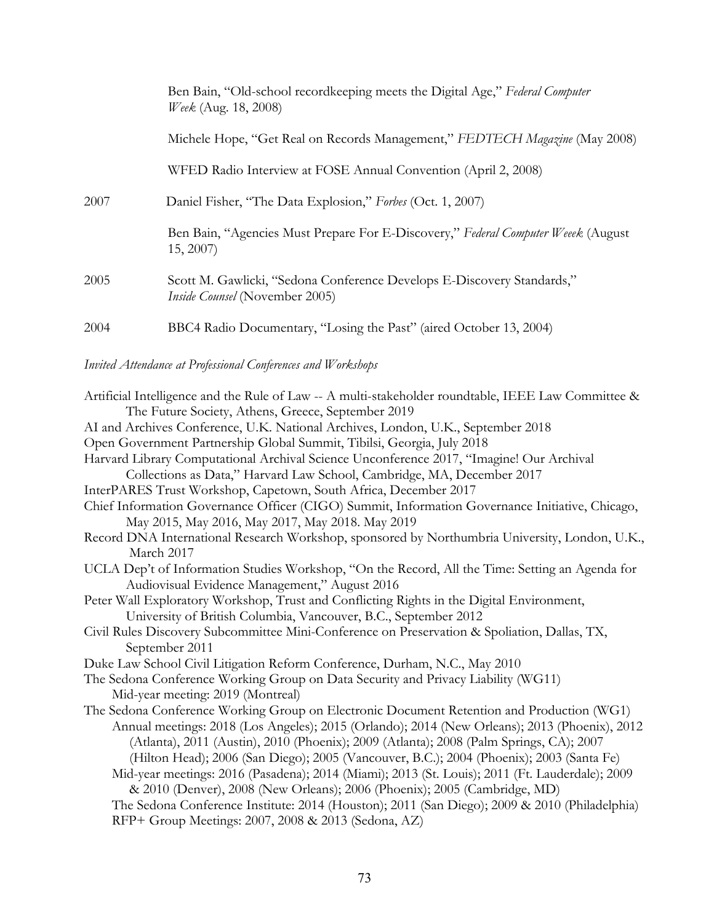|      | Ben Bain, "Old-school recordkeeping meets the Digital Age," Federal Computer<br><i>Week</i> (Aug. 18, 2008) |
|------|-------------------------------------------------------------------------------------------------------------|
|      | Michele Hope, "Get Real on Records Management," FEDTECH Magazine (May 2008)                                 |
|      | WFED Radio Interview at FOSE Annual Convention (April 2, 2008)                                              |
| 2007 | Daniel Fisher, "The Data Explosion," Forbes (Oct. 1, 2007)                                                  |
|      | Ben Bain, "Agencies Must Prepare For E-Discovery," Federal Computer Weeek (August<br>15, 2007               |
| 2005 | Scott M. Gawlicki, "Sedona Conference Develops E-Discovery Standards,"<br>Inside Counsel (November 2005)    |
| 2004 | BBC4 Radio Documentary, "Losing the Past" (aired October 13, 2004)                                          |

*Invited Attendance at Professional Conferences and Workshops*

| Artificial Intelligence and the Rule of Law -- A multi-stakeholder roundtable, IEEE Law Committee &          |  |
|--------------------------------------------------------------------------------------------------------------|--|
| The Future Society, Athens, Greece, September 2019                                                           |  |
| AI and Archives Conference, U.K. National Archives, London, U.K., September 2018                             |  |
| Open Government Partnership Global Summit, Tibilsi, Georgia, July 2018                                       |  |
| Harvard Library Computational Archival Science Unconference 2017, "Imagine! Our Archival                     |  |
| Collections as Data," Harvard Law School, Cambridge, MA, December 2017                                       |  |
| InterPARES Trust Workshop, Capetown, South Africa, December 2017                                             |  |
| Chief Information Governance Officer (CIGO) Summit, Information Governance Initiative, Chicago,              |  |
| May 2015, May 2016, May 2017, May 2018. May 2019                                                             |  |
| Record DNA International Research Workshop, sponsored by Northumbria University, London, U.K.,<br>March 2017 |  |
| UCLA Dep't of Information Studies Workshop, "On the Record, All the Time: Setting an Agenda for              |  |
| Audiovisual Evidence Management," August 2016                                                                |  |
| Peter Wall Exploratory Workshop, Trust and Conflicting Rights in the Digital Environment,                    |  |
| University of British Columbia, Vancouver, B.C., September 2012                                              |  |
| Civil Rules Discovery Subcommittee Mini-Conference on Preservation & Spoliation, Dallas, TX,                 |  |
| September 2011                                                                                               |  |
| Duke Law School Civil Litigation Reform Conference, Durham, N.C., May 2010                                   |  |
| The Sedona Conference Working Group on Data Security and Privacy Liability (WG11)                            |  |
| Mid-year meeting: 2019 (Montreal)                                                                            |  |
| The Sedona Conference Working Group on Electronic Document Retention and Production (WG1)                    |  |
| Annual meetings: 2018 (Los Angeles); 2015 (Orlando); 2014 (New Orleans); 2013 (Phoenix), 2012                |  |
| (Atlanta), 2011 (Austin), 2010 (Phoenix); 2009 (Atlanta); 2008 (Palm Springs, CA); 2007                      |  |
| (Hilton Head); 2006 (San Diego); 2005 (Vancouver, B.C.); 2004 (Phoenix); 2003 (Santa Fe)                     |  |
| Mid-year meetings: 2016 (Pasadena); 2014 (Miami); 2013 (St. Louis); 2011 (Ft. Lauderdale); 2009              |  |
| & 2010 (Denver), 2008 (New Orleans); 2006 (Phoenix); 2005 (Cambridge, MD)                                    |  |
| The Sedona Conference Institute: 2014 (Houston); 2011 (San Diego); 2009 & 2010 (Philadelphia)                |  |
| RFP+ Group Meetings: 2007, 2008 & 2013 (Sedona, AZ)                                                          |  |
|                                                                                                              |  |